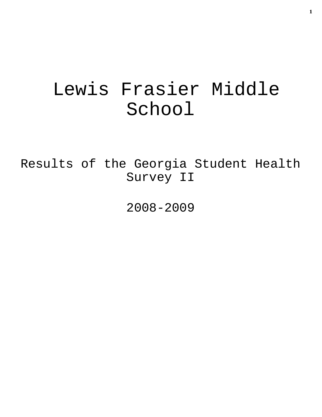# Lewis Frasier Middle School

Results of the Georgia Student Health Survey II

2008-2009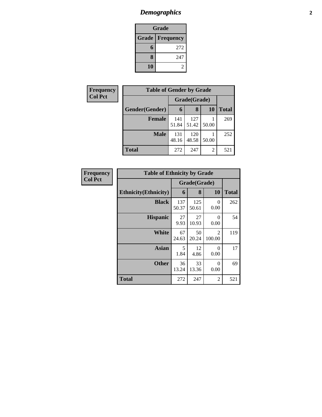## *Demographics* **2**

| Grade |                          |  |  |  |
|-------|--------------------------|--|--|--|
|       | <b>Grade   Frequency</b> |  |  |  |
| 6     | 272                      |  |  |  |
| 8     | 247                      |  |  |  |
| 10    |                          |  |  |  |

| Frequency      | <b>Table of Gender by Grade</b> |              |              |       |              |  |
|----------------|---------------------------------|--------------|--------------|-------|--------------|--|
| <b>Col Pct</b> |                                 | Grade(Grade) |              |       |              |  |
|                | Gender(Gender)                  | 6            | 8            | 10    | <b>Total</b> |  |
|                | <b>Female</b>                   | 141<br>51.84 | 127<br>51.42 | 50.00 | 269          |  |
|                | <b>Male</b>                     | 131<br>48.16 | 120<br>48.58 | 50.00 | 252          |  |
|                | <b>Total</b>                    | 272          | 247          | 2     | 521          |  |

| Frequency      | <b>Table of Ethnicity by Grade</b> |              |              |                  |              |
|----------------|------------------------------------|--------------|--------------|------------------|--------------|
| <b>Col Pct</b> |                                    | Grade(Grade) |              |                  |              |
|                | <b>Ethnicity</b> (Ethnicity)       | 6            | 8            | 10               | <b>Total</b> |
|                | <b>Black</b>                       | 137<br>50.37 | 125<br>50.61 | 0<br>0.00        | 262          |
|                | <b>Hispanic</b>                    | 27<br>9.93   | 27<br>10.93  | $\Omega$<br>0.00 | 54           |
|                | <b>White</b>                       | 67<br>24.63  | 50<br>20.24  | 2<br>100.00      | 119          |
|                | <b>Asian</b>                       | 5<br>1.84    | 12<br>4.86   | $\Omega$<br>0.00 | 17           |
|                | <b>Other</b>                       | 36<br>13.24  | 33<br>13.36  | $\Omega$<br>0.00 | 69           |
|                | <b>Total</b>                       | 272          | 247          | $\overline{2}$   | 521          |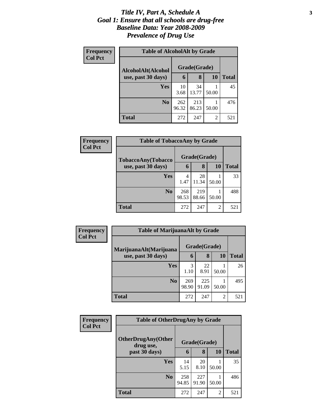### *Title IV, Part A, Schedule A* **3** *Goal 1: Ensure that all schools are drug-free Baseline Data: Year 2008-2009 Prevalence of Drug Use*

| Frequency      | <b>Table of AlcoholAlt by Grade</b> |              |              |           |              |
|----------------|-------------------------------------|--------------|--------------|-----------|--------------|
| <b>Col Pct</b> | AlcoholAlt(Alcohol                  |              | Grade(Grade) |           |              |
|                | use, past 30 days)                  | 6            | 8            | <b>10</b> | <b>Total</b> |
|                | Yes                                 | 10<br>3.68   | 34<br>13.77  | 50.00     | 45           |
|                | N <sub>0</sub>                      | 262<br>96.32 | 213<br>86.23 | 50.00     | 476          |
|                | Total                               | 272          | 247          | 2         | 521          |

| Frequency      | <b>Table of TobaccoAny by Grade</b> |              |              |                |              |
|----------------|-------------------------------------|--------------|--------------|----------------|--------------|
| <b>Col Pct</b> | TobaccoAny(Tobacco                  |              | Grade(Grade) |                |              |
|                | use, past 30 days)                  | 6            | 8            | 10             | <b>Total</b> |
|                | <b>Yes</b>                          | 4<br>1.47    | 28<br>11.34  | 50.00          | 33           |
|                | N <sub>0</sub>                      | 268<br>98.53 | 219<br>88.66 | 50.00          | 488          |
|                | <b>Total</b>                        | 272          | 247          | $\mathfrak{D}$ | 521          |

| <b>Frequency</b><br><b>Col Pct</b> | <b>Table of MarijuanaAlt by Grade</b> |              |              |       |              |
|------------------------------------|---------------------------------------|--------------|--------------|-------|--------------|
|                                    | MarijuanaAlt(Marijuana                | Grade(Grade) |              |       |              |
|                                    | use, past 30 days)                    | 6            | 8            | 10    | <b>Total</b> |
|                                    | Yes                                   | 3<br>1.10    | 22<br>8.91   | 50.00 | 26           |
|                                    | N <sub>0</sub>                        | 269<br>98.90 | 225<br>91.09 | 50.00 | 495          |
|                                    | <b>Total</b>                          | 272          | 247          | 2     | 521          |

| <b>Frequency</b> | <b>Table of OtherDrugAny by Grade</b>  |              |              |           |              |
|------------------|----------------------------------------|--------------|--------------|-----------|--------------|
| <b>Col Pct</b>   | <b>OtherDrugAny(Other</b><br>drug use, |              | Grade(Grade) |           |              |
|                  | past 30 days)                          | 6            | 8            | <b>10</b> | <b>Total</b> |
|                  | Yes                                    | 14<br>5.15   | 20<br>8.10   | 50.00     | 35           |
|                  | N <sub>0</sub>                         | 258<br>94.85 | 227<br>91.90 | 50.00     | 486          |
|                  | <b>Total</b>                           | 272          | 247          | 2         | 521          |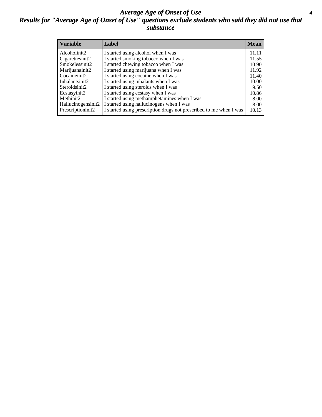### *Average Age of Onset of Use* **4** *Results for "Average Age of Onset of Use" questions exclude students who said they did not use that substance*

| <b>Variable</b>       | Label                                                              | <b>Mean</b> |
|-----------------------|--------------------------------------------------------------------|-------------|
| Alcoholinit2          | I started using alcohol when I was                                 | 11.11       |
| Cigarettesinit2       | I started smoking tobacco when I was                               | 11.55       |
| Smokelessinit2        | I started chewing tobacco when I was                               | 10.90       |
| Marijuanainit2        | I started using marijuana when I was                               | 11.92       |
| Cocaineinit2          | I started using cocaine when I was                                 | 11.40       |
| Inhalantsinit2        | I started using inhalants when I was                               | 10.00       |
| Steroidsinit2         | I started using steroids when I was                                | 9.50        |
| Ecstasyinit2          | I started using ecstasy when I was                                 | 10.86       |
| Methinit <sub>2</sub> | I started using methamphetamines when I was                        | 8.00        |
| Hallucinogensinit2    | I started using hallucinogens when I was                           | 8.00        |
| Prescriptioninit2     | I started using prescription drugs not prescribed to me when I was | 10.13       |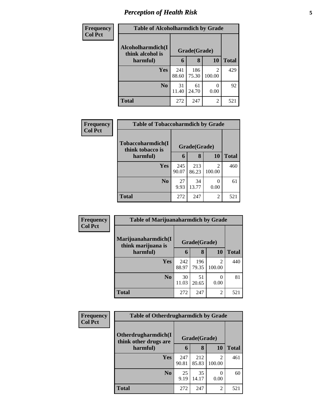## *Perception of Health Risk* **5**

| <b>Frequency</b> | <b>Table of Alcoholharmdich by Grade</b> |              |              |                           |              |
|------------------|------------------------------------------|--------------|--------------|---------------------------|--------------|
| <b>Col Pct</b>   | Alcoholharmdich(I<br>think alcohol is    | Grade(Grade) |              |                           |              |
|                  | harmful)                                 | 6            | 8            | 10                        | <b>Total</b> |
|                  | <b>Yes</b>                               | 241<br>88.60 | 186<br>75.30 | 2<br>100.00               | 429          |
|                  | N <sub>0</sub>                           | 31<br>11.40  | 61<br>24.70  | $\mathbf{\Omega}$<br>0.00 | 92           |
|                  | <b>Total</b>                             | 272          | 247          | 2                         | 521          |

| Frequency      | <b>Table of Tobaccoharmdich by Grade</b> |              |              |                          |              |  |  |
|----------------|------------------------------------------|--------------|--------------|--------------------------|--------------|--|--|
| <b>Col Pct</b> | Tobaccoharmdich(I<br>think tobacco is    | Grade(Grade) |              |                          |              |  |  |
|                | harmful)                                 | 6            | 8            | 10                       | <b>Total</b> |  |  |
|                | Yes                                      | 245<br>90.07 | 213<br>86.23 | $\mathfrak{D}$<br>100.00 | 460          |  |  |
|                | N <sub>0</sub>                           | 27<br>9.93   | 34<br>13.77  | $\theta$<br>0.00         | 61           |  |  |
|                | <b>Total</b>                             | 272          | 247          | 2                        | 521          |  |  |

| Frequency      | <b>Table of Marijuanaharmdich by Grade</b> |              |              |                           |              |
|----------------|--------------------------------------------|--------------|--------------|---------------------------|--------------|
| <b>Col Pct</b> | Marijuanaharmdich(I<br>think marijuana is  |              | Grade(Grade) |                           |              |
|                | harmful)                                   | 6            | 8            | 10                        | <b>Total</b> |
|                | Yes                                        | 242<br>88.97 | 196<br>79.35 | 2<br>100.00               | 440          |
|                | N <sub>0</sub>                             | 30<br>11.03  | 51<br>20.65  | $\mathbf{\Omega}$<br>0.00 | 81           |
|                | <b>Total</b>                               | 272          | 247          | 2                         | 521          |

| <b>Frequency</b> | <b>Table of Otherdrugharmdich by Grade</b>   |              |              |                          |              |
|------------------|----------------------------------------------|--------------|--------------|--------------------------|--------------|
| <b>Col Pct</b>   | Otherdrugharmdich(I<br>think other drugs are |              | Grade(Grade) |                          |              |
|                  | harmful)                                     | 6            | 8            | 10                       | <b>Total</b> |
|                  | <b>Yes</b>                                   | 247<br>90.81 | 212<br>85.83 | $\mathfrak{D}$<br>100.00 | 461          |
|                  | N <sub>0</sub>                               | 25<br>9.19   | 35<br>14.17  | 0<br>0.00                | 60           |
|                  | <b>Total</b>                                 | 272          | 247          | $\overline{c}$           | 521          |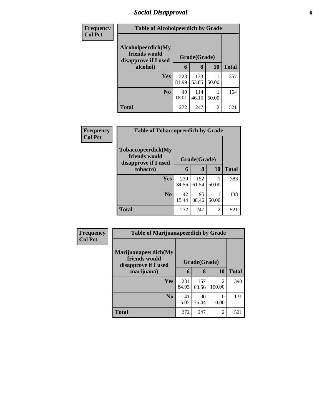## *Social Disapproval* **6**

| Frequency      | <b>Table of Alcoholpeerdich by Grade</b>                    |              |              |                |              |
|----------------|-------------------------------------------------------------|--------------|--------------|----------------|--------------|
| <b>Col Pct</b> | Alcoholpeerdich(My<br>friends would<br>disapprove if I used | Grade(Grade) |              |                |              |
|                | alcohol)                                                    | 6            | 8            | 10             | <b>Total</b> |
|                | Yes                                                         | 223<br>81.99 | 133<br>53.85 | 50.00          | 357          |
|                | N <sub>0</sub>                                              | 49<br>18.01  | 114<br>46.15 | 50.00          | 164          |
|                | <b>Total</b>                                                | 272          | 247          | $\overline{2}$ | 521          |

| <b>Frequency</b> | <b>Table of Tobaccopeerdich by Grade</b>                    |              |              |                |              |  |  |
|------------------|-------------------------------------------------------------|--------------|--------------|----------------|--------------|--|--|
| <b>Col Pct</b>   | Tobaccopeerdich(My<br>friends would<br>disapprove if I used | Grade(Grade) |              |                |              |  |  |
|                  | tobacco)                                                    | 6            | 8            | <b>10</b>      | <b>Total</b> |  |  |
|                  | Yes                                                         | 230<br>84.56 | 152<br>61.54 | 50.00          | 383          |  |  |
|                  | N <sub>0</sub>                                              | 42<br>15.44  | 95<br>38.46  | 50.00          | 138          |  |  |
|                  | <b>Total</b>                                                | 272          | 247          | $\overline{c}$ | 521          |  |  |

| <b>Frequency</b> | <b>Table of Marijuanapeerdich by Grade</b>                    |              |              |                          |              |  |
|------------------|---------------------------------------------------------------|--------------|--------------|--------------------------|--------------|--|
| <b>Col Pct</b>   | Marijuanapeerdich(My<br>friends would<br>disapprove if I used | Grade(Grade) |              |                          |              |  |
|                  | marijuana)                                                    | 6            | 8            | <b>10</b>                | <b>Total</b> |  |
|                  | <b>Yes</b>                                                    | 231<br>84.93 | 157<br>63.56 | $\mathfrak{D}$<br>100.00 | 390          |  |
|                  | N <sub>0</sub>                                                | 41<br>15.07  | 90<br>36.44  | 0<br>0.00                | 131          |  |
|                  | <b>Total</b>                                                  | 272          | 247          | $\overline{c}$           | 521          |  |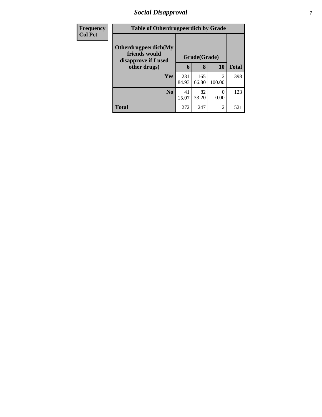## *Social Disapproval* **7**

| <b>Frequency</b> | <b>Table of Otherdrugpeerdich by Grade</b>                    |              |              |                          |              |
|------------------|---------------------------------------------------------------|--------------|--------------|--------------------------|--------------|
| <b>Col Pct</b>   | Otherdrugpeerdich(My<br>friends would<br>disapprove if I used | Grade(Grade) |              |                          |              |
|                  | other drugs)                                                  | 6            | 8            | 10                       | <b>Total</b> |
|                  | Yes                                                           | 231<br>84.93 | 165<br>66.80 | $\mathfrak{D}$<br>100.00 | 398          |
|                  | $\bf No$                                                      | 41<br>15.07  | 82<br>33.20  | $\Omega$<br>0.00         | 123          |
|                  | <b>Total</b>                                                  | 272          | 247          | 2                        | 521          |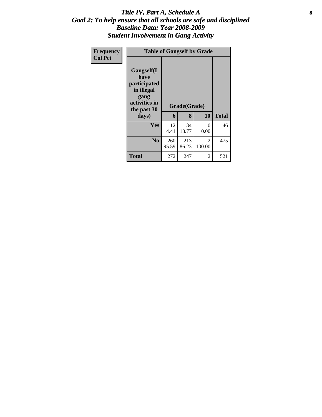### Title IV, Part A, Schedule A **8** *Goal 2: To help ensure that all schools are safe and disciplined Baseline Data: Year 2008-2009 Student Involvement in Gang Activity*

| Frequency<br><b>Col Pct</b> | <b>Table of Gangself by Grade</b>                                                                         |              |                   |             |              |  |  |  |
|-----------------------------|-----------------------------------------------------------------------------------------------------------|--------------|-------------------|-------------|--------------|--|--|--|
|                             | <b>Gangself</b> (I<br>have<br>participated<br>in illegal<br>gang<br>activities in<br>the past 30<br>days) | 6            | Grade(Grade)<br>8 | 10          | <b>Total</b> |  |  |  |
|                             | Yes                                                                                                       | 12<br>4.41   | 34<br>13.77       | 0<br>0.00   | 46           |  |  |  |
|                             | N <sub>0</sub>                                                                                            | 260<br>95.59 | 213<br>86.23      | 2<br>100.00 | 475          |  |  |  |
|                             | <b>Total</b>                                                                                              | 272          | 247               | 2           | 521          |  |  |  |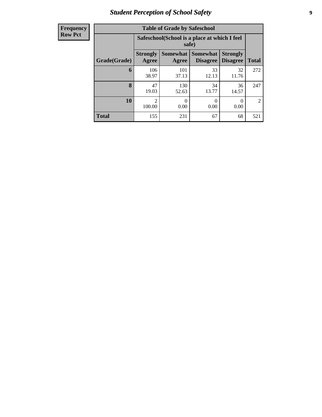## *Student Perception of School Safety* **9**

| <b>Frequency</b> |
|------------------|
| <b>Row Pct</b>   |

| <b>Table of Grade by Safeschool</b> |                          |                                                        |                                    |                                    |                |  |  |  |  |
|-------------------------------------|--------------------------|--------------------------------------------------------|------------------------------------|------------------------------------|----------------|--|--|--|--|
|                                     |                          | Safeschool (School is a place at which I feel<br>safe) |                                    |                                    |                |  |  |  |  |
| Grade(Grade)                        | <b>Strongly</b><br>Agree | <b>Somewhat</b><br>Agree                               | <b>Somewhat</b><br><b>Disagree</b> | <b>Strongly</b><br><b>Disagree</b> | <b>Total</b>   |  |  |  |  |
| 6                                   | 106<br>38.97             | 101<br>37.13                                           | 33<br>12.13                        | 32<br>11.76                        | 272            |  |  |  |  |
| 8                                   | 47<br>19.03              | 130<br>52.63                                           | 34<br>13.77                        | 36<br>14.57                        | 247            |  |  |  |  |
| 10                                  | $\mathfrak{D}$<br>100.00 | 0<br>0.00                                              | 0<br>0.00                          | 0<br>0.00                          | $\mathfrak{D}$ |  |  |  |  |
| <b>Total</b>                        | 155                      | 231                                                    | 67                                 | 68                                 | 521            |  |  |  |  |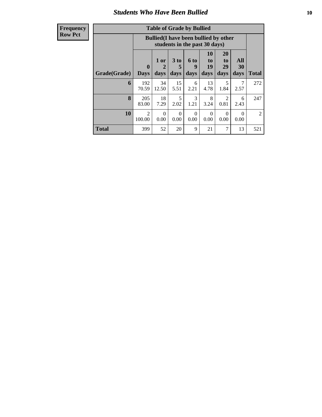### *Students Who Have Been Bullied* **10**

**Frequency Row Pct**

| <b>Table of Grade by Bullied</b> |                          |                                                                               |                   |                   |                        |                               |                   |                |  |
|----------------------------------|--------------------------|-------------------------------------------------------------------------------|-------------------|-------------------|------------------------|-------------------------------|-------------------|----------------|--|
|                                  |                          | <b>Bullied</b> (I have been bullied by other<br>students in the past 30 days) |                   |                   |                        |                               |                   |                |  |
| Grade(Grade)                     | 0<br><b>Days</b>         | 1 or<br>2<br>days                                                             | 3 to<br>5<br>days | 6 to<br>9<br>days | 10<br>to<br>19<br>days | <b>20</b><br>to<br>29<br>days | All<br>30<br>days | <b>Total</b>   |  |
| 6                                | 192<br>70.59             | 34<br>12.50                                                                   | 15<br>5.51        | 6<br>2.21         | 13<br>4.78             | 5<br>1.84                     | 2.57              | 272            |  |
| 8                                | 205<br>83.00             | 18<br>7.29                                                                    | 5<br>2.02         | 3<br>1.21         | 8<br>3.24              | 2<br>0.81                     | 6<br>2.43         | 247            |  |
| 10                               | $\overline{2}$<br>100.00 | 0<br>0.00                                                                     | 0<br>0.00         | $\Omega$<br>0.00  | $\Omega$<br>0.00       | $\Omega$<br>0.00              | $\Omega$<br>0.00  | $\overline{2}$ |  |
| <b>Total</b>                     | 399                      | 52                                                                            | 20                | 9                 | 21                     | 7                             | 13                | 521            |  |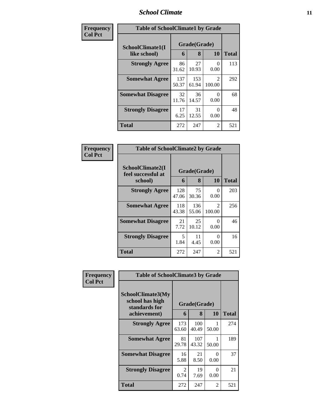### *School Climate* **11**

| Frequency      | <b>Table of SchoolClimate1 by Grade</b> |              |                   |                                       |       |  |  |
|----------------|-----------------------------------------|--------------|-------------------|---------------------------------------|-------|--|--|
| <b>Col Pct</b> | SchoolClimate1(I<br>like school)        | 6            | Grade(Grade)<br>8 | 10                                    | Total |  |  |
|                | <b>Strongly Agree</b>                   | 86<br>31.62  | 27<br>10.93       | 0<br>0.00                             | 113   |  |  |
|                | <b>Somewhat Agree</b>                   | 137<br>50.37 | 153<br>61.94      | $\mathcal{D}_{\mathcal{L}}$<br>100.00 | 292   |  |  |
|                | <b>Somewhat Disagree</b>                | 32<br>11.76  | 36<br>14.57       | 0<br>0.00                             | 68    |  |  |
|                | <b>Strongly Disagree</b>                | 17<br>6.25   | 31<br>12.55       | 0<br>0.00                             | 48    |  |  |
|                | <b>Total</b>                            | 272          | 247               | 2                                     | 521   |  |  |

| Frequency      | <b>Table of SchoolClimate2 by Grade</b>           |              |                   |                                       |              |
|----------------|---------------------------------------------------|--------------|-------------------|---------------------------------------|--------------|
| <b>Col Pct</b> | SchoolClimate2(I<br>feel successful at<br>school) | 6            | Grade(Grade)<br>8 | 10                                    | <b>Total</b> |
|                | <b>Strongly Agree</b>                             | 128<br>47.06 | 75<br>30.36       | 0<br>0.00                             | 203          |
|                | <b>Somewhat Agree</b>                             | 118<br>43.38 | 136<br>55.06      | $\mathcal{D}_{\mathcal{L}}$<br>100.00 | 256          |
|                | <b>Somewhat Disagree</b>                          | 21<br>7.72   | 25<br>10.12       | ∩<br>0.00                             | 46           |
|                | <b>Strongly Disagree</b>                          | 5<br>1.84    | 11<br>4.45        | 0<br>0.00                             | 16           |
|                | <b>Total</b>                                      | 272          | 247               | $\mathfrak{D}$                        | 521          |

| Frequency      | <b>Table of SchoolClimate3 by Grade</b>                               |              |                   |           |              |
|----------------|-----------------------------------------------------------------------|--------------|-------------------|-----------|--------------|
| <b>Col Pct</b> | SchoolClimate3(My<br>school has high<br>standards for<br>achievement) | 6            | Grade(Grade)<br>8 | 10        | <b>Total</b> |
|                | <b>Strongly Agree</b>                                                 | 173<br>63.60 | 100<br>40.49      | 50.00     | 274          |
|                | <b>Somewhat Agree</b>                                                 | 81<br>29.78  | 107<br>43.32      | 50.00     | 189          |
|                | <b>Somewhat Disagree</b>                                              | 16<br>5.88   | 21<br>8.50        | 0<br>0.00 | 37           |
|                | <b>Strongly Disagree</b>                                              | 2<br>0.74    | 19<br>7.69        | 0<br>0.00 | 21           |
|                | Total                                                                 | 272          | 247               | 2         | 521          |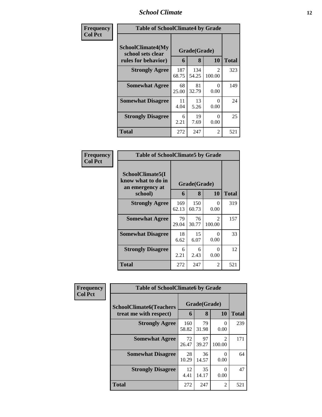## *School Climate* **12**

| Frequency      |                                                               | <b>Table of SchoolClimate4 by Grade</b> |                   |                          |              |  |  |  |
|----------------|---------------------------------------------------------------|-----------------------------------------|-------------------|--------------------------|--------------|--|--|--|
| <b>Col Pct</b> | SchoolClimate4(My<br>school sets clear<br>rules for behavior) | 6                                       | Grade(Grade)<br>8 | <b>10</b>                | <b>Total</b> |  |  |  |
|                | <b>Strongly Agree</b>                                         | 187<br>68.75                            | 134<br>54.25      | $\mathfrak{D}$<br>100.00 | 323          |  |  |  |
|                | <b>Somewhat Agree</b>                                         | 68<br>25.00                             | 81<br>32.79       | 0<br>0.00                | 149          |  |  |  |
|                | <b>Somewhat Disagree</b>                                      | 11<br>4.04                              | 13<br>5.26        | 0<br>0.00                | 24           |  |  |  |
|                | <b>Strongly Disagree</b>                                      | 6<br>2.21                               | 19<br>7.69        | 0<br>0.00                | 25           |  |  |  |
|                | <b>Total</b>                                                  | 272                                     | 247               | 2                        | 521          |  |  |  |

| Frequency<br>Col Pct |
|----------------------|

| <b>Table of SchoolClimate5 by Grade</b>                   |              |              |                           |       |  |  |  |  |
|-----------------------------------------------------------|--------------|--------------|---------------------------|-------|--|--|--|--|
| SchoolClimate5(I<br>know what to do in<br>an emergency at | Grade(Grade) |              |                           |       |  |  |  |  |
| school)                                                   | 6            | 8            | 10                        | Total |  |  |  |  |
| <b>Strongly Agree</b>                                     | 169<br>62.13 | 150<br>60.73 | 0<br>0.00                 | 319   |  |  |  |  |
| <b>Somewhat Agree</b>                                     | 79<br>29.04  | 76<br>30.77  | $\overline{c}$<br>100.00  | 157   |  |  |  |  |
| <b>Somewhat Disagree</b>                                  | 18<br>6.62   | 15<br>6.07   | $\mathbf{\Omega}$<br>0.00 | 33    |  |  |  |  |
| <b>Strongly Disagree</b>                                  | 6<br>2.21    | 6<br>2.43    | 0<br>0.00                 | 12    |  |  |  |  |
| Total                                                     | 272          | 247          | 2                         | 521   |  |  |  |  |

| Frequency      | <b>Table of SchoolClimate6 by Grade</b> |              |             |                                                                                                                                                                           |              |  |
|----------------|-----------------------------------------|--------------|-------------|---------------------------------------------------------------------------------------------------------------------------------------------------------------------------|--------------|--|
| <b>Col Pct</b> | <b>SchoolClimate6(Teachers</b>          | Grade(Grade) |             |                                                                                                                                                                           |              |  |
|                | treat me with respect)                  | 6            | 8           | <b>10</b>                                                                                                                                                                 | <b>Total</b> |  |
|                | <b>Strongly Agree</b>                   | 160<br>58.82 | 79<br>31.98 | 0<br>0.00                                                                                                                                                                 | 239          |  |
|                | <b>Somewhat Agree</b>                   | 72<br>26.47  | 97<br>39.27 | $\mathcal{D}_{\mathcal{A}}^{\mathcal{A}}(\mathcal{A})=\mathcal{D}_{\mathcal{A}}^{\mathcal{A}}(\mathcal{A})\mathcal{D}_{\mathcal{A}}^{\mathcal{A}}(\mathcal{A})$<br>100.00 | 171          |  |
|                | <b>Somewhat Disagree</b>                | 28<br>10.29  | 36<br>14.57 | $\mathbf{\Omega}$<br>0.00                                                                                                                                                 | 64           |  |
|                | <b>Strongly Disagree</b>                | 12<br>4.41   | 35<br>14.17 | ∩<br>0.00                                                                                                                                                                 | 47           |  |
|                | Total                                   | 272          | 247         | $\mathfrak{D}$                                                                                                                                                            | 521          |  |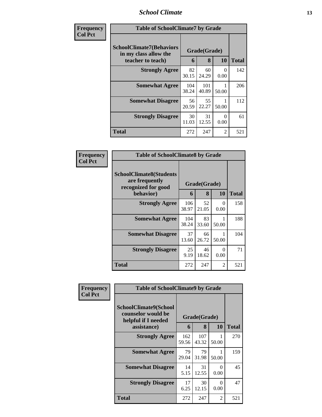### *School Climate* **13**

| Frequency      | <b>Table of SchoolClimate7 by Grade</b>                                       |              |                   |                  |              |
|----------------|-------------------------------------------------------------------------------|--------------|-------------------|------------------|--------------|
| <b>Col Pct</b> | <b>SchoolClimate7(Behaviors</b><br>in my class allow the<br>teacher to teach) | 6            | Grade(Grade)<br>8 | <b>10</b>        | <b>Total</b> |
|                | <b>Strongly Agree</b>                                                         | 82<br>30.15  | 60<br>24.29       | 0<br>0.00        | 142          |
|                | <b>Somewhat Agree</b>                                                         | 104<br>38.24 | 101<br>40.89      | 50.00            | 206          |
|                | <b>Somewhat Disagree</b>                                                      | 56<br>20.59  | 55<br>22.27       | 50.00            | 112          |
|                | <b>Strongly Disagree</b>                                                      | 30<br>11.03  | 31<br>12.55       | $\Omega$<br>0.00 | 61           |
|                | <b>Total</b>                                                                  | 272          | 247               | $\overline{2}$   | 521          |

| Frequency      | <b>Table of SchoolClimate8 by Grade</b>                                 |              |              |                  |       |  |
|----------------|-------------------------------------------------------------------------|--------------|--------------|------------------|-------|--|
| <b>Col Pct</b> | <b>SchoolClimate8(Students</b><br>are frequently<br>recognized for good |              | Grade(Grade) |                  |       |  |
|                | behavior)                                                               | 6            | 8            | 10               | Total |  |
|                | <b>Strongly Agree</b>                                                   | 106<br>38.97 | 52<br>21.05  | $\theta$<br>0.00 | 158   |  |
|                | <b>Somewhat Agree</b>                                                   | 104<br>38.24 | 83<br>33.60  | 50.00            | 188   |  |
|                | <b>Somewhat Disagree</b>                                                | 37<br>13.60  | 66<br>26.72  | 50.00            | 104   |  |
|                | <b>Strongly Disagree</b>                                                | 25<br>9.19   | 46<br>18.62  | $\theta$<br>0.00 | 71    |  |
|                | Total                                                                   | 272          | 247          | 2                | 521   |  |

| Frequency      | <b>Table of SchoolClimate9 by Grade</b>                            |              |              |                  |              |
|----------------|--------------------------------------------------------------------|--------------|--------------|------------------|--------------|
| <b>Col Pct</b> | SchoolClimate9(School<br>counselor would be<br>helpful if I needed |              | Grade(Grade) |                  |              |
|                | assistance)                                                        | 6            | 8            | 10               | <b>Total</b> |
|                | <b>Strongly Agree</b>                                              | 162<br>59.56 | 107<br>43.32 | 50.00            | 270          |
|                | <b>Somewhat Agree</b>                                              | 79<br>29.04  | 79<br>31.98  | 50.00            | 159          |
|                | <b>Somewhat Disagree</b>                                           | 14<br>5.15   | 31<br>12.55  | $\Omega$<br>0.00 | 45           |
|                | <b>Strongly Disagree</b>                                           | 17<br>6.25   | 30<br>12.15  | $\Omega$<br>0.00 | 47           |
|                | <b>Total</b>                                                       | 272          | 247          | 2                | 521          |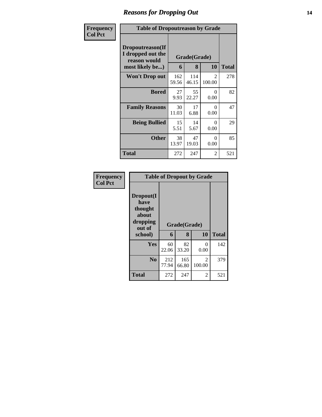### *Reasons for Dropping Out* **14**

| Frequency      | <b>Table of Dropoutreason by Grade</b>                                   |                   |              |                  |     |
|----------------|--------------------------------------------------------------------------|-------------------|--------------|------------------|-----|
| <b>Col Pct</b> | Dropoutreason(If<br>I dropped out the<br>reason would<br>most likely be) | Grade(Grade)<br>6 | <b>Total</b> |                  |     |
|                | Won't Drop out                                                           | 162<br>59.56      | 114<br>46.15 | 2<br>100.00      | 278 |
|                | <b>Bored</b>                                                             | 27<br>9.93        | 55<br>22.27  | $\Omega$<br>0.00 | 82  |
|                | <b>Family Reasons</b>                                                    | 30<br>11.03       | 17<br>6.88   | $\Omega$<br>0.00 | 47  |
|                | <b>Being Bullied</b>                                                     | 15<br>5.51        | 14<br>5.67   | $\Omega$<br>0.00 | 29  |
|                | <b>Other</b>                                                             | 38<br>13.97       | 47<br>19.03  | 0<br>0.00        | 85  |
|                | Total                                                                    | 272               | 247          | 2                | 521 |

| Frequency      |                                                                        |              |                   | <b>Table of Dropout by Grade</b> |              |
|----------------|------------------------------------------------------------------------|--------------|-------------------|----------------------------------|--------------|
| <b>Col Pct</b> | Dropout(I<br>have<br>thought<br>about<br>dropping<br>out of<br>school) | 6            | Grade(Grade)<br>8 | 10                               | <b>Total</b> |
|                | Yes                                                                    | 60<br>22.06  | 82<br>33.20       | 0<br>0.00                        | 142          |
|                | N <sub>0</sub>                                                         | 212<br>77.94 | 165<br>66.80      | $\mathfrak{D}$<br>100.00         | 379          |
|                | <b>Total</b>                                                           | 272          | 247               | 2                                | 521          |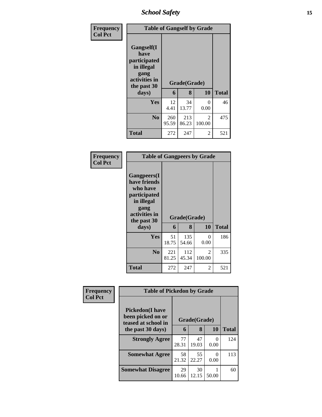*School Safety* **15**

| <b>Frequency</b> | <b>Table of Gangself by Grade</b>                                                                 |                   |              |             |     |  |  |
|------------------|---------------------------------------------------------------------------------------------------|-------------------|--------------|-------------|-----|--|--|
| <b>Col Pct</b>   | Gangself(I<br>have<br>participated<br>in illegal<br>gang<br>activities in<br>the past 30<br>days) | Grade(Grade)<br>6 | <b>Total</b> |             |     |  |  |
|                  |                                                                                                   |                   | 8            | 10          |     |  |  |
|                  | Yes                                                                                               | 12<br>4.41        | 34<br>13.77  | 0<br>0.00   | 46  |  |  |
|                  | N <sub>0</sub>                                                                                    | 260<br>95.59      | 213<br>86.23 | 2<br>100.00 | 475 |  |  |
|                  | <b>Total</b>                                                                                      | 272               | 247          | 2           | 521 |  |  |

### **Frequency Col Pct**

| <b>Table of Gangpeers by Grade</b>                                                                                    |              |              |             |              |  |  |  |  |
|-----------------------------------------------------------------------------------------------------------------------|--------------|--------------|-------------|--------------|--|--|--|--|
| <b>Gangpeers</b> (I<br>have friends<br>who have<br>participated<br>in illegal<br>gang<br>activities in<br>the past 30 |              | Grade(Grade) |             |              |  |  |  |  |
| days)                                                                                                                 | 6            | 8            | 10          | <b>Total</b> |  |  |  |  |
| Yes                                                                                                                   | 51<br>18.75  | 135<br>54.66 | 0<br>0.00   | 186          |  |  |  |  |
| N <sub>0</sub>                                                                                                        | 221<br>81.25 | 112<br>45.34 | 2<br>100.00 | 335          |  |  |  |  |
|                                                                                                                       |              |              |             |              |  |  |  |  |

| Frequency      | <b>Table of Pickedon by Grade</b>                                   |             |              |       |              |
|----------------|---------------------------------------------------------------------|-------------|--------------|-------|--------------|
| <b>Col Pct</b> | <b>Pickedon</b> (I have<br>been picked on or<br>teased at school in |             | Grade(Grade) |       |              |
|                | the past 30 days)                                                   | 6           | 8            | 10    | <b>Total</b> |
|                | <b>Strongly Agree</b>                                               | 77<br>28.31 | 47<br>19.03  | 0.00  | 124          |
|                | <b>Somewhat Agree</b>                                               | 58<br>21.32 | 55<br>22.27  | 0.00  | 113          |
|                | <b>Somewhat Disagree</b>                                            | 29<br>10.66 | 30<br>12.15  | 50.00 | 60           |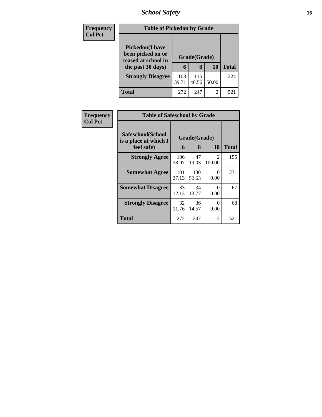## *School Safety* **16**

| <b>Frequency</b> | <b>Table of Pickedon by Grade</b>                                                        |              |                   |           |              |
|------------------|------------------------------------------------------------------------------------------|--------------|-------------------|-----------|--------------|
| <b>Col Pct</b>   | <b>Pickedon</b> (I have<br>been picked on or<br>teased at school in<br>the past 30 days) | 6            | Grade(Grade)<br>8 | <b>10</b> | <b>Total</b> |
|                  | <b>Strongly Disagree</b>                                                                 | 108<br>39.71 | 115<br>46.56      | 50.00     | 224          |
|                  | Total                                                                                    | 272          | 247               | 2         | 521          |

| <b>Frequency</b> | <b>Table of Safeschool by Grade</b>        |              |              |                         |              |  |  |  |  |  |
|------------------|--------------------------------------------|--------------|--------------|-------------------------|--------------|--|--|--|--|--|
| <b>Col Pct</b>   | Safeschool(School<br>is a place at which I |              | Grade(Grade) |                         |              |  |  |  |  |  |
|                  | feel safe)                                 | 6            | 8            | <b>10</b>               | <b>Total</b> |  |  |  |  |  |
|                  | <b>Strongly Agree</b>                      | 106<br>38.97 | 47<br>19.03  | $\mathcal{D}$<br>100.00 | 155          |  |  |  |  |  |
|                  | <b>Somewhat Agree</b>                      | 101<br>37.13 | 130<br>52.63 | 0<br>0.00               | 231          |  |  |  |  |  |
|                  | <b>Somewhat Disagree</b>                   | 33<br>12.13  | 34<br>13.77  | 0<br>0.00               | 67           |  |  |  |  |  |
|                  | <b>Strongly Disagree</b>                   | 32<br>11.76  | 36<br>14.57  | 0<br>0.00               | 68           |  |  |  |  |  |
|                  | <b>Total</b>                               | 272          | 247          | $\overline{c}$          | 521          |  |  |  |  |  |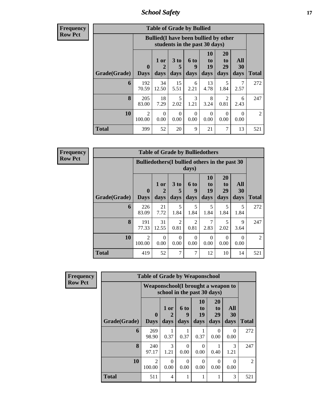*School Safety* **17**

**Frequency Row Pct**

| <b>Table of Grade by Bullied</b> |                          |                                              |                               |                   |                               |                               |                   |       |  |  |
|----------------------------------|--------------------------|----------------------------------------------|-------------------------------|-------------------|-------------------------------|-------------------------------|-------------------|-------|--|--|
|                                  |                          | <b>Bullied</b> (I have been bullied by other | students in the past 30 days) |                   |                               |                               |                   |       |  |  |
| Grade(Grade)                     | 0<br><b>Days</b>         | 1 or<br>2<br>days                            | 3 to<br>5<br>days             | 6 to<br>9<br>days | <b>10</b><br>to<br>19<br>days | <b>20</b><br>to<br>29<br>days | All<br>30<br>days | Total |  |  |
| 6                                | 192<br>70.59             | 34<br>12.50                                  | 15<br>5.51                    | 6<br>2.21         | 13<br>4.78                    | 5<br>1.84                     | 2.57              | 272   |  |  |
| 8                                | 205<br>83.00             | 18<br>7.29                                   | 5<br>2.02                     | 3<br>1.21         | 8<br>3.24                     | 2<br>0.81                     | 6<br>2.43         | 247   |  |  |
| 10                               | $\overline{2}$<br>100.00 | $\Omega$<br>0.00                             | $\Omega$<br>0.00              | $\Omega$<br>0.00  | $\Omega$<br>0.00              | $\Omega$<br>0.00              | 0<br>0.00         | 2     |  |  |
| <b>Total</b>                     | 399                      | 52                                           | 20                            | 9                 | 21                            | 7                             | 13                | 521   |  |  |

**Frequency Row Pct**

 $\blacksquare$ 

| y | <b>Table of Grade by Bulliedothers</b> |                             |                                                         |                   |                        |                        |                        |                                 |                |  |  |
|---|----------------------------------------|-----------------------------|---------------------------------------------------------|-------------------|------------------------|------------------------|------------------------|---------------------------------|----------------|--|--|
|   |                                        |                             | Bulliedothers (I bullied others in the past 30<br>days) |                   |                        |                        |                        |                                 |                |  |  |
|   | Grade(Grade)                           | $\mathbf{0}$<br><b>Days</b> | 1 or<br>days                                            | 3 to<br>5<br>days | 6 to<br>9<br>days      | 10<br>to<br>19<br>days | 20<br>to<br>29<br>days | <b>All</b><br><b>30</b><br>days | <b>Total</b>   |  |  |
|   | 6                                      | 226<br>83.09                | 21<br>7.72                                              | 5<br>1.84         | 5<br>1.84              | 5<br>1.84              | 5<br>1.84              | 5<br>1.84                       | 272            |  |  |
|   | 8                                      | 191<br>77.33                | 31<br>12.55                                             | 2<br>0.81         | $\overline{2}$<br>0.81 | 7<br>2.83              | 5<br>2.02              | 9<br>3.64                       | 247            |  |  |
|   | 10                                     | 2<br>100.00                 | $\Omega$<br>0.00                                        | $\Omega$<br>0.00  | $\Omega$<br>0.00       | $\Omega$<br>0.00       | 0<br>0.00              | $\Omega$<br>0.00                | $\mathfrak{D}$ |  |  |
|   | <b>Total</b>                           | 419                         | 52                                                      | 7                 | 7                      | 12                     | 10                     | 14                              | 521            |  |  |

| Frequency      |              | <b>Table of Grade by Weaponschool</b> |                             |                          |                               |                                           |                   |                |
|----------------|--------------|---------------------------------------|-----------------------------|--------------------------|-------------------------------|-------------------------------------------|-------------------|----------------|
| <b>Row Pct</b> |              | Weaponschool(I brought a weapon to    | school in the past 30 days) |                          |                               |                                           |                   |                |
|                | Grade(Grade) | $\mathbf{0}$<br><b>Days</b>           | 1 or<br>2<br>days           | <b>6 to</b><br>9<br>days | <b>10</b><br>to<br>19<br>days | <b>20</b><br>t <sub>0</sub><br>29<br>days | All<br>30<br>days | <b>Total</b>   |
|                | 6            | 269<br>98.90                          | 0.37                        | 0.37                     | 0.37                          | 0<br>0.00                                 | $\Omega$<br>0.00  | 272            |
|                | 8            | 240<br>97.17                          | 3<br>1.21                   | $\Omega$<br>0.00         | $\Omega$<br>0.00              | 0.40                                      | 3<br>1.21         | 247            |
|                | 10           | 2<br>100.00                           | $\mathbf{0}$<br>0.00        | ∩<br>0.00                | $\Omega$<br>0.00              | 0<br>0.00                                 | $\Omega$<br>0.00  | $\overline{2}$ |
|                | <b>Total</b> | 511                                   | 4                           |                          |                               |                                           | 3                 | 521            |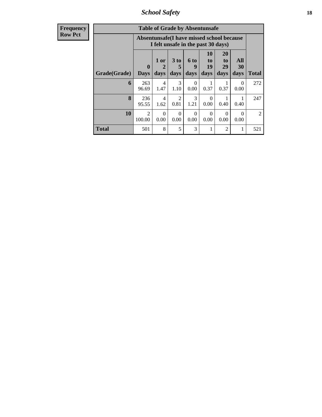*School Safety* **18**

| <b>Frequency</b> |
|------------------|
| Row Pct          |

| <b>Table of Grade by Absentunsafe</b> |                  |                                                                                 |                         |                          |                        |                        |                   |                             |  |  |  |
|---------------------------------------|------------------|---------------------------------------------------------------------------------|-------------------------|--------------------------|------------------------|------------------------|-------------------|-----------------------------|--|--|--|
|                                       |                  | Absentunsafe(I have missed school because<br>I felt unsafe in the past 30 days) |                         |                          |                        |                        |                   |                             |  |  |  |
| Grade(Grade)                          | 0<br><b>Days</b> | 1 or<br>days                                                                    | 3 <sub>to</sub><br>days | <b>6 to</b><br>9<br>days | 10<br>to<br>19<br>days | 20<br>to<br>29<br>days | All<br>30<br>days | <b>Total</b>                |  |  |  |
| 6                                     | 263<br>96.69     | 4<br>1.47                                                                       | 3<br>1.10               | $\Omega$<br>0.00         | 0.37                   | 0.37                   | 0<br>0.00         | 272                         |  |  |  |
| 8                                     | 236<br>95.55     | 4<br>1.62                                                                       | $\mathfrak{D}$<br>0.81  | 3<br>1.21                | $\Omega$<br>0.00       | 1<br>0.40              | 0.40              | 247                         |  |  |  |
| 10                                    | 2<br>100.00      | $\Omega$<br>0.00                                                                | $\Omega$<br>0.00        | $\Omega$<br>0.00         | 0<br>0.00              | 0<br>0.00              | 0<br>0.00         | $\mathcal{D}_{\mathcal{L}}$ |  |  |  |
| <b>Total</b>                          | 501              | 8                                                                               | 5                       | 3                        |                        | $\overline{2}$         |                   | 521                         |  |  |  |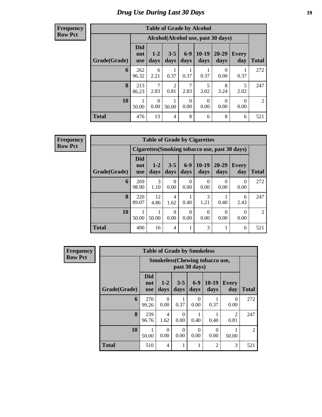## *Drug Use During Last 30 Days* **19**

### **Frequency Row Pct**

| <b>Table of Grade by Alcohol</b> |                          |                  |                        |                  |                  |                                    |                     |       |  |  |  |
|----------------------------------|--------------------------|------------------|------------------------|------------------|------------------|------------------------------------|---------------------|-------|--|--|--|
|                                  |                          |                  |                        |                  |                  | Alcohol(Alcohol use, past 30 days) |                     |       |  |  |  |
| Grade(Grade)                     | <b>Did</b><br>not<br>use | $1 - 2$<br>days  | $3 - 5$<br>days        | $6-9$<br>days    | $10-19$<br>days  | 20-29<br>days                      | <b>Every</b><br>day | Total |  |  |  |
| 6                                | 262<br>96.32             | 6<br>2.21        | 0.37                   | 0.37             | 0.37             | 0<br>0.00                          | 0.37                | 272   |  |  |  |
| 8                                | 213<br>86.23             | 7<br>2.83        | $\mathfrak{D}$<br>0.81 | 7<br>2.83        | 5<br>2.02        | 8<br>3.24                          | 5<br>2.02           | 247   |  |  |  |
| 10                               | 1<br>50.00               | $\Omega$<br>0.00 | 50.00                  | $\Omega$<br>0.00 | $\Omega$<br>0.00 | 0<br>0.00                          | $\Omega$<br>0.00    | 2     |  |  |  |
| <b>Total</b>                     | 476                      | 13               | 4                      | 8                | 6                | 8                                  | 6                   | 521   |  |  |  |

**Frequency Row Pct**

|              | <b>Table of Grade by Cigarettes</b> |                                                |                  |                          |                          |                      |                  |              |  |  |  |  |
|--------------|-------------------------------------|------------------------------------------------|------------------|--------------------------|--------------------------|----------------------|------------------|--------------|--|--|--|--|
|              |                                     | Cigarettes (Smoking tobacco use, past 30 days) |                  |                          |                          |                      |                  |              |  |  |  |  |
| Grade(Grade) | Did<br>not<br><b>use</b>            | $1 - 2$<br>days                                | $3 - 5$<br>days  | $6-9$<br>days            | $10-19$<br>days          | $20 - 29$<br>days    | Every<br>day     | <b>Total</b> |  |  |  |  |
| 6            | 269<br>98.90                        | 3<br>1.10                                      | $\theta$<br>0.00 | $\left( \right)$<br>0.00 | 0.00                     | $\mathbf{0}$<br>0.00 | $\theta$<br>0.00 | 272          |  |  |  |  |
| 8            | 220<br>89.07                        | 12<br>4.86                                     | 4<br>1.62        | 0.40                     | 3<br>1.21                | 0.40                 | 6<br>2.43        | 247          |  |  |  |  |
| 10           | 50.00                               | 50.00                                          | $\theta$<br>0.00 | 0<br>0.00                | $\left( \right)$<br>0.00 | $\theta$<br>0.00     | $\theta$<br>0.00 | 2            |  |  |  |  |
| Total        | 490                                 | 16                                             | $\overline{4}$   |                          | 3                        |                      | 6                | 521          |  |  |  |  |

| Frequency      | <b>Table of Grade by Smokeless</b> |                                 |                  |                 |                  |                                        |                     |                |  |  |  |
|----------------|------------------------------------|---------------------------------|------------------|-----------------|------------------|----------------------------------------|---------------------|----------------|--|--|--|
| <b>Row Pct</b> |                                    |                                 |                  |                 | past 30 days)    | <b>Smokeless</b> (Chewing tobacco use, |                     |                |  |  |  |
|                | Grade(Grade)                       | <b>Did</b><br>not<br><b>use</b> | $1 - 2$<br>days  | $3 - 5$<br>days | $6 - 9$<br>days  | $10-19$<br>days                        | <b>Every</b><br>day | <b>Total</b>   |  |  |  |
|                | 6                                  | 270<br>99.26                    | 0<br>0.00        | 0.37            | $\theta$<br>0.00 | 0.37                                   | 0<br>0.00           | 272            |  |  |  |
|                | 8                                  | 239<br>96.76                    | 4<br>1.62        | 0<br>0.00       | 0.40             | 0.40                                   | 2<br>0.81           | 247            |  |  |  |
|                | 10                                 | 50.00                           | $\Omega$<br>0.00 | 0<br>0.00       | 0<br>0.00        | 0<br>0.00                              | 50.00               | $\overline{2}$ |  |  |  |
|                | <b>Total</b>                       | 510                             | 4                |                 |                  | $\overline{c}$                         | 3                   | 521            |  |  |  |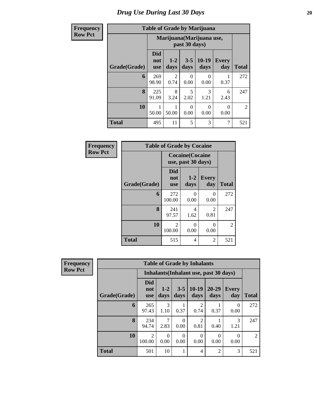## *Drug Use During Last 30 Days* 20

## $Row$

| <b>Frequency</b> |              |                                 |                                            |                 | <b>Table of Grade by Marijuana</b> |                     |                |  |
|------------------|--------------|---------------------------------|--------------------------------------------|-----------------|------------------------------------|---------------------|----------------|--|
| <b>Row Pct</b>   |              |                                 | Marijuana (Marijuana use,<br>past 30 days) |                 |                                    |                     |                |  |
|                  | Grade(Grade) | <b>Did</b><br>not<br><b>use</b> | $1-2$<br>days                              | $3 - 5$<br>days | $10-19$<br>days                    | <b>Every</b><br>day | <b>Total</b>   |  |
|                  | 6            | 269<br>98.90                    | 2<br>0.74                                  | 0<br>0.00       | 0<br>0.00                          | 0.37                | 272            |  |
|                  | 8            | 225<br>91.09                    | 8<br>3.24                                  | 5<br>2.02       | 3<br>1.21                          | 6<br>2.43           | 247            |  |
|                  | 10           | 50.00                           | 50.00                                      | 0<br>0.00       | 0<br>0.00                          | 0<br>0.00           | $\overline{2}$ |  |
|                  | <b>Total</b> | 495                             | 11                                         | 5               | 3                                  | 7                   | 521            |  |

| Frequency      | <b>Table of Grade by Cocaine</b> |                                 |                                               |                           |                |  |  |  |  |  |
|----------------|----------------------------------|---------------------------------|-----------------------------------------------|---------------------------|----------------|--|--|--|--|--|
| <b>Row Pct</b> |                                  |                                 | <b>Cocaine</b> (Cocaine<br>use, past 30 days) |                           |                |  |  |  |  |  |
|                | Grade(Grade)                     | <b>Did</b><br>not<br><b>use</b> | $1 - 2$<br>days                               | <b>Every</b><br>day       | <b>Total</b>   |  |  |  |  |  |
|                | 6                                | 272<br>100.00                   | 0<br>0.00                                     | $\mathbf{\Omega}$<br>0.00 | 272            |  |  |  |  |  |
|                | 8                                | 241<br>97.57                    | 4<br>1.62                                     | $\mathfrak{D}$<br>0.81    | 247            |  |  |  |  |  |
|                | 10                               | $\mathfrak{D}$<br>100.00        | 0<br>0.00                                     | $\mathbf{\Omega}$<br>0.00 | $\overline{2}$ |  |  |  |  |  |
|                | <b>Total</b>                     | 515                             | 4                                             | $\overline{2}$            | 521            |  |  |  |  |  |

| <b>Frequency</b> | <b>Table of Grade by Inhalants</b>     |                                 |                  |           |                        |                   |                     |                |  |  |  |
|------------------|----------------------------------------|---------------------------------|------------------|-----------|------------------------|-------------------|---------------------|----------------|--|--|--|
| <b>Row Pct</b>   | Inhalants (Inhalant use, past 30 days) |                                 |                  |           |                        |                   |                     |                |  |  |  |
|                  | Grade(Grade)                           | <b>Did</b><br>not<br><b>use</b> | $1 - 2$<br>days  | days      | $3-5$   10-19<br>days  | $20 - 29$<br>days | <b>Every</b><br>day | <b>Total</b>   |  |  |  |
|                  | 6                                      | 265<br>97.43                    | 3<br>1.10        | 0.37      | 2<br>0.74              | 0.37              | $\Omega$<br>0.00    | 272            |  |  |  |
|                  | 8                                      | 234<br>94.74                    | 2.83             | 0<br>0.00 | $\overline{c}$<br>0.81 | 0.40              | 3<br>1.21           | 247            |  |  |  |
|                  | 10                                     | 2<br>100.00                     | $\Omega$<br>0.00 | 0<br>0.00 | 0<br>0.00              | $\Omega$<br>0.00  | 0<br>0.00           | $\overline{2}$ |  |  |  |
|                  | <b>Total</b>                           | 501                             | 10               |           | 4                      | $\overline{2}$    | 3                   | 521            |  |  |  |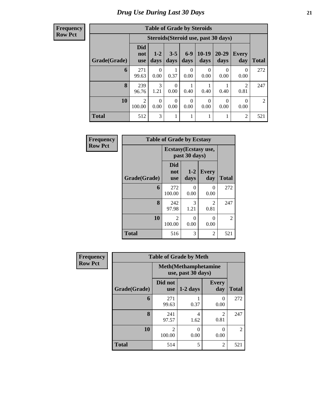| <b>Frequency</b> |
|------------------|
| <b>Row Pct</b>   |

| <b>Table of Grade by Steroids</b> |                          |                                      |                  |                  |                  |                   |                  |              |  |  |
|-----------------------------------|--------------------------|--------------------------------------|------------------|------------------|------------------|-------------------|------------------|--------------|--|--|
|                                   |                          | Steroids (Steroid use, past 30 days) |                  |                  |                  |                   |                  |              |  |  |
| Grade(Grade)                      | Did<br>not<br><b>use</b> | $1 - 2$<br>days                      | $3 - 5$<br>days  | $6-9$<br>days    | $10-19$<br>days  | $20 - 29$<br>days | Every<br>day     | <b>Total</b> |  |  |
| 6                                 | 271<br>99.63             | 0<br>0.00                            | 0.37             | 0<br>0.00        | 0<br>0.00        | 0<br>0.00         | $\theta$<br>0.00 | 272          |  |  |
| 8                                 | 239<br>96.76             | 3<br>1.21                            | $\Omega$<br>0.00 | 0.40             | 0.40             | 0.40              | 2<br>0.81        | 247          |  |  |
| 10                                | $\overline{2}$<br>100.00 | 0<br>0.00                            | $\Omega$<br>0.00 | $\Omega$<br>0.00 | $\theta$<br>0.00 | $\Omega$<br>0.00  | 0<br>0.00        | 2            |  |  |
| <b>Total</b>                      | 512                      | 3                                    |                  |                  | 1                |                   | $\overline{c}$   | 521          |  |  |

| Frequency      | <b>Table of Grade by Ecstasy</b> |                                 |                                       |                     |                |  |  |  |  |
|----------------|----------------------------------|---------------------------------|---------------------------------------|---------------------|----------------|--|--|--|--|
| <b>Row Pct</b> |                                  |                                 | Ecstasy(Ecstasy use,<br>past 30 days) |                     |                |  |  |  |  |
|                | Grade(Grade)                     | <b>Did</b><br>not<br><b>use</b> | $1 - 2$<br>days                       | <b>Every</b><br>day | <b>Total</b>   |  |  |  |  |
|                | 6                                | 272<br>100.00                   | 0<br>0.00                             | 0<br>0.00           | 272            |  |  |  |  |
|                | 8                                | 242<br>97.98                    | 3<br>1.21                             | 2<br>0.81           | 247            |  |  |  |  |
|                | 10                               | $\mathfrak{D}$<br>100.00        | 0<br>0.00                             | $\Omega$<br>0.00    | $\overline{2}$ |  |  |  |  |
|                | <b>Total</b>                     | 516                             | 3                                     | 2                   | 521            |  |  |  |  |

| <b>Frequency</b> | <b>Table of Grade by Meth</b> |                                                    |            |                     |                |  |  |
|------------------|-------------------------------|----------------------------------------------------|------------|---------------------|----------------|--|--|
| <b>Row Pct</b>   |                               | <b>Meth</b> (Methamphetamine<br>use, past 30 days) |            |                     |                |  |  |
|                  | Grade(Grade)                  | Did not<br><b>use</b>                              | $1-2$ days | <b>Every</b><br>day | <b>Total</b>   |  |  |
|                  | 6                             | 271<br>99.63                                       | 0.37       | 0<br>0.00           | 272            |  |  |
|                  | 8                             | 241<br>97.57                                       | 4<br>1.62  | 2<br>0.81           | 247            |  |  |
|                  | 10                            | $\mathfrak{D}$<br>100.00                           | 0<br>0.00  | $\Omega$<br>0.00    | $\overline{2}$ |  |  |
|                  | <b>Total</b>                  | 514                                                | 5          | $\overline{c}$      | 521            |  |  |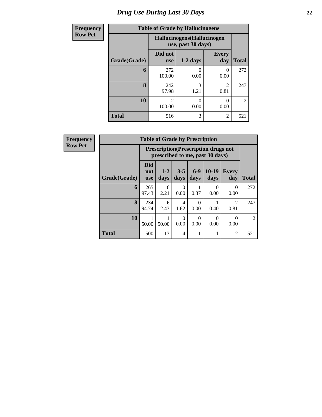## *Drug Use During Last 30 Days* **22**

| <b>Frequency</b> | <b>Table of Grade by Hallucinogens</b> |                       |                                                   |                        |                |  |  |  |
|------------------|----------------------------------------|-----------------------|---------------------------------------------------|------------------------|----------------|--|--|--|
| <b>Row Pct</b>   |                                        |                       | Hallucinogens (Hallucinogen<br>use, past 30 days) |                        |                |  |  |  |
|                  | Grade(Grade)                           | Did not<br><b>use</b> | $1-2$ days                                        | <b>Every</b><br>day    | <b>Total</b>   |  |  |  |
|                  | 6                                      | 272<br>100.00         | 0.00                                              | 0<br>0.00              | 272            |  |  |  |
|                  | 8                                      | 242<br>97.98          | 3<br>1.21                                         | $\mathfrak{D}$<br>0.81 | 247            |  |  |  |
|                  | 10                                     | 2<br>100.00           | 0<br>0.00                                         | 0.00                   | $\overline{2}$ |  |  |  |
|                  | <b>Total</b>                           | 516                   | 3                                                 | $\overline{2}$         | 521            |  |  |  |

| Frequency      | <b>Table of Grade by Prescription</b> |                                 |                                                                                |                 |               |                  |                  |                |  |  |
|----------------|---------------------------------------|---------------------------------|--------------------------------------------------------------------------------|-----------------|---------------|------------------|------------------|----------------|--|--|
| <b>Row Pct</b> |                                       |                                 | <b>Prescription</b> (Prescription drugs not<br>prescribed to me, past 30 days) |                 |               |                  |                  |                |  |  |
|                | Grade(Grade)                          | <b>Did</b><br>not<br><b>use</b> | $1 - 2$<br>days                                                                | $3 - 5$<br>days | $6-9$<br>days | $10-19$<br>days  | Every<br>day     | <b>Total</b>   |  |  |
|                | 6                                     | 265<br>97.43                    | 6<br>2.21                                                                      | 0<br>0.00       | 0.37          | $\theta$<br>0.00 | $\Omega$<br>0.00 | 272            |  |  |
|                | 8                                     | 234<br>94.74                    | 6<br>2.43                                                                      | 4<br>1.62       | 0<br>0.00     | 0.40             | 2<br>0.81        | 247            |  |  |
|                | 10                                    | 50.00                           | 50.00                                                                          | 0<br>0.00       | 0<br>0.00     | $\Omega$<br>0.00 | 0<br>0.00        | $\overline{2}$ |  |  |
|                | <b>Total</b>                          | 500                             | 13                                                                             | 4               |               |                  | $\overline{2}$   | 521            |  |  |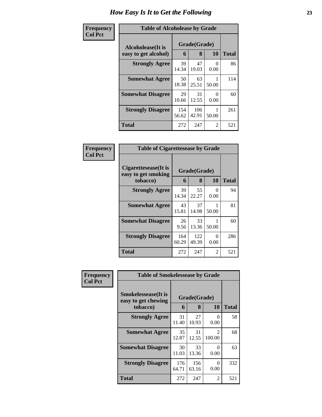### **Frequency Col Pct**

| <b>Table of Alcoholease by Grade</b> |              |              |           |       |  |  |  |
|--------------------------------------|--------------|--------------|-----------|-------|--|--|--|
| Alcoholease(It is                    | Grade(Grade) |              |           |       |  |  |  |
| easy to get alcohol)                 | 6            | 8            | 10        | Total |  |  |  |
| <b>Strongly Agree</b>                | 39<br>14.34  | 47<br>19.03  | 0<br>0.00 | 86    |  |  |  |
| <b>Somewhat Agree</b>                | 50<br>18.38  | 63<br>25.51  | 50.00     | 114   |  |  |  |
| <b>Somewhat Disagree</b>             | 29<br>10.66  | 31<br>12.55  | 0.00      | 60    |  |  |  |
| <b>Strongly Disagree</b>             | 154<br>56.62 | 106<br>42.91 | 50.00     | 261   |  |  |  |
| <b>Total</b>                         | 272          | 247          | 2         | 521   |  |  |  |

#### **Frequency Col Pct Table of Cigarettesease by Grade Cigarettesease(It is easy to get smoking tobacco) Grade(Grade) 6 8 10 Total Strongly Agree** 39 14.34 55 22.27 0 0.00 94 **Somewhat Agree** 43 15.81 37 14.98 1 50.00 81 **Somewhat Disagree** 26 9.56 33 13.36 1 50.00 60 **Strongly Disagree** 164 60.29 122 49.39 0 0.00 286 **Total** 272 247 2 521

| <b>Frequency</b> | <b>Table of Smokelessease by Grade</b>             |              |              |                          |              |
|------------------|----------------------------------------------------|--------------|--------------|--------------------------|--------------|
| <b>Col Pct</b>   | <b>Smokelessease</b> (It is<br>easy to get chewing | Grade(Grade) |              |                          |              |
|                  | tobacco)                                           | 6            | 8            | <b>10</b>                | <b>Total</b> |
|                  | <b>Strongly Agree</b>                              | 31<br>11.40  | 27<br>10.93  | $\Omega$<br>0.00         | 58           |
|                  | <b>Somewhat Agree</b>                              | 35<br>12.87  | 31<br>12.55  | $\mathfrak{D}$<br>100.00 | 68           |
|                  | <b>Somewhat Disagree</b>                           | 30<br>11.03  | 33<br>13.36  | $\Omega$<br>0.00         | 63           |
|                  | <b>Strongly Disagree</b>                           | 176<br>64.71 | 156<br>63.16 | $\Omega$<br>0.00         | 332          |
|                  | Total                                              | 272          | 247          | 2                        | 521          |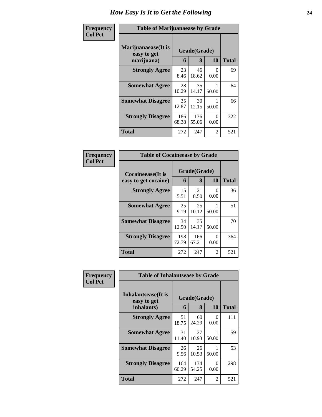### **Frequency Col Pct**

| <b>Table of Marijuanaease by Grade</b>             |              |              |           |              |  |  |  |  |
|----------------------------------------------------|--------------|--------------|-----------|--------------|--|--|--|--|
| Marijuanaease(It is<br>Grade(Grade)<br>easy to get |              |              |           |              |  |  |  |  |
| marijuana)                                         | 6            | 8            | 10        | <b>Total</b> |  |  |  |  |
| <b>Strongly Agree</b>                              | 23<br>8.46   | 46<br>18.62  | 0<br>0.00 | 69           |  |  |  |  |
| <b>Somewhat Agree</b>                              | 28<br>10.29  | 35<br>14.17  | 50.00     | 64           |  |  |  |  |
| <b>Somewhat Disagree</b>                           | 35<br>12.87  | 30<br>12.15  | 50.00     | 66           |  |  |  |  |
| <b>Strongly Disagree</b>                           | 186<br>68.38 | 136<br>55.06 | 0<br>0.00 | 322          |  |  |  |  |
| Total                                              | 272          | 247          | 2         | 521          |  |  |  |  |

### **Frequency Col Pct**

г

| <b>Table of Cocaineease by Grade</b> |                   |              |                |     |  |  |  |  |
|--------------------------------------|-------------------|--------------|----------------|-----|--|--|--|--|
| Cocaineease(It is                    | Grade(Grade)<br>6 | <b>Total</b> |                |     |  |  |  |  |
| easy to get cocaine)                 |                   | 8            | 10             |     |  |  |  |  |
| <b>Strongly Agree</b>                | 15<br>5.51        | 21<br>8.50   | $_{0}$<br>0.00 | 36  |  |  |  |  |
| <b>Somewhat Agree</b>                | 25<br>9.19        | 25<br>10.12  | 50.00          | 51  |  |  |  |  |
| <b>Somewhat Disagree</b>             | 34<br>12.50       | 35<br>14.17  | 50.00          | 70  |  |  |  |  |
| <b>Strongly Disagree</b>             | 198<br>72.79      | 166<br>67.21 | 0<br>0.00      | 364 |  |  |  |  |
| <b>Total</b>                         | 272               | 247          | 2              | 521 |  |  |  |  |

| Frequency      | <b>Table of Inhalantsease by Grade</b>                   |              |                   |           |              |  |  |
|----------------|----------------------------------------------------------|--------------|-------------------|-----------|--------------|--|--|
| <b>Col Pct</b> | <b>Inhalantsease</b> (It is<br>easy to get<br>inhalants) | 6            | Grade(Grade)<br>8 | 10        | <b>Total</b> |  |  |
|                | <b>Strongly Agree</b>                                    | 51<br>18.75  | 60<br>24.29       | 0<br>0.00 | 111          |  |  |
|                | <b>Somewhat Agree</b>                                    | 31<br>11.40  | 27<br>10.93       | 50.00     | 59           |  |  |
|                | <b>Somewhat Disagree</b>                                 | 26<br>9.56   | 26<br>10.53       | 50.00     | 53           |  |  |
|                | <b>Strongly Disagree</b>                                 | 164<br>60.29 | 134<br>54.25      | 0<br>0.00 | 298          |  |  |
|                | <b>Total</b>                                             | 272          | 247               | 2         | 521          |  |  |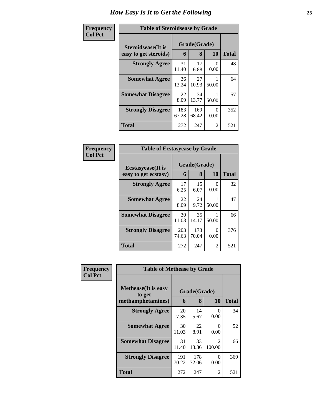### **Frequency Col Pct**

| <b>Table of Steroidsease by Grade</b> |              |              |           |              |  |  |  |  |  |
|---------------------------------------|--------------|--------------|-----------|--------------|--|--|--|--|--|
| Steroidsease(It is                    |              | Grade(Grade) |           |              |  |  |  |  |  |
| easy to get steroids)                 | 6            | 8            | 10        | <b>Total</b> |  |  |  |  |  |
| <b>Strongly Agree</b>                 | 31<br>11.40  | 17<br>6.88   | 0<br>0.00 | 48           |  |  |  |  |  |
| <b>Somewhat Agree</b>                 | 36<br>13.24  | 27<br>10.93  | 50.00     | 64           |  |  |  |  |  |
| <b>Somewhat Disagree</b>              | 22<br>8.09   | 34<br>13.77  | 50.00     | 57           |  |  |  |  |  |
| <b>Strongly Disagree</b>              | 183<br>67.28 | 169<br>68.42 | 0<br>0.00 | 352          |  |  |  |  |  |
| Total                                 | 272          | 247          | 2         | 521          |  |  |  |  |  |

| Frequency      | <b>Table of Ecstasyease by Grade</b>              |                   |              |                           |     |  |  |
|----------------|---------------------------------------------------|-------------------|--------------|---------------------------|-----|--|--|
| <b>Col Pct</b> | <b>Ecstasyease</b> (It is<br>easy to get ecstasy) | Grade(Grade)<br>6 | <b>Total</b> |                           |     |  |  |
|                | <b>Strongly Agree</b>                             | 17<br>6.25        | 15<br>6.07   | $\mathbf{\Omega}$<br>0.00 | 32  |  |  |
|                | <b>Somewhat Agree</b>                             | 22<br>8.09        | 24<br>9.72   | 50.00                     | 47  |  |  |
|                | <b>Somewhat Disagree</b>                          | 30<br>11.03       | 35<br>14.17  | 50.00                     | 66  |  |  |
|                | <b>Strongly Disagree</b>                          | 203<br>74.63      | 173<br>70.04 | 0<br>0.00                 | 376 |  |  |
|                | <b>Total</b>                                      | 272               | 247          | 2                         | 521 |  |  |

| Frequency      | <b>Table of Methease by Grade</b>                          |              |                   |                  |              |
|----------------|------------------------------------------------------------|--------------|-------------------|------------------|--------------|
| <b>Col Pct</b> | <b>Methease</b> (It is easy<br>to get<br>methamphetamines) | 6            | Grade(Grade)<br>8 | <b>10</b>        | <b>Total</b> |
|                | <b>Strongly Agree</b>                                      | 20<br>7.35   | 14<br>5.67        | $\Omega$<br>0.00 | 34           |
|                | <b>Somewhat Agree</b>                                      | 30<br>11.03  | 22<br>8.91        | $\Omega$<br>0.00 | 52           |
|                | <b>Somewhat Disagree</b>                                   | 31<br>11.40  | 33<br>13.36       | 2<br>100.00      | 66           |
|                | <b>Strongly Disagree</b>                                   | 191<br>70.22 | 178<br>72.06      | $\Omega$<br>0.00 | 369          |
|                | <b>Total</b>                                               | 272          | 247               | 2                | 521          |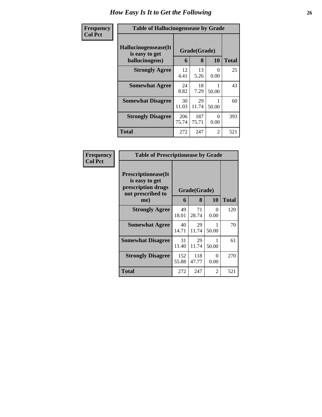| <b>Frequency</b> | <b>Table of Hallucinogensease by Grade</b>               |              |                   |           |              |  |  |  |
|------------------|----------------------------------------------------------|--------------|-------------------|-----------|--------------|--|--|--|
| <b>Col Pct</b>   | Hallucinogensease(It<br>is easy to get<br>hallucinogens) | 6            | Grade(Grade)<br>8 | 10        | <b>Total</b> |  |  |  |
|                  | <b>Strongly Agree</b>                                    | 12<br>4.41   | 13<br>5.26        | 0<br>0.00 | 25           |  |  |  |
|                  | <b>Somewhat Agree</b>                                    | 24<br>8.82   | 18<br>7.29        | 50.00     | 43           |  |  |  |
|                  | <b>Somewhat Disagree</b>                                 | 30<br>11.03  | 29<br>11.74       | 50.00     | 60           |  |  |  |
|                  | <b>Strongly Disagree</b>                                 | 206<br>75.74 | 187<br>75.71      | 0<br>0.00 | 393          |  |  |  |
|                  | Total                                                    | 272          | 247               | 2         | 521          |  |  |  |

| <b>Frequency<br/>Col Pct</b> |
|------------------------------|
|                              |

| <b>Table of Prescriptionease by Grade</b>                                                |              |              |                  |       |  |  |  |  |  |
|------------------------------------------------------------------------------------------|--------------|--------------|------------------|-------|--|--|--|--|--|
| <b>Prescriptionease</b> (It<br>is easy to get<br>prescription drugs<br>not prescribed to |              | Grade(Grade) |                  |       |  |  |  |  |  |
| me)                                                                                      | 6            | 8            | 10               | Total |  |  |  |  |  |
| <b>Strongly Agree</b>                                                                    | 49<br>18.01  | 71<br>28.74  | $\Omega$<br>0.00 | 120   |  |  |  |  |  |
| <b>Somewhat Agree</b>                                                                    | 40<br>14.71  | 29<br>11.74  | 1<br>50.00       | 70    |  |  |  |  |  |
| <b>Somewhat Disagree</b>                                                                 | 31<br>11.40  | 29<br>11.74  | 50.00            | 61    |  |  |  |  |  |
| <b>Strongly Disagree</b>                                                                 | 152<br>55.88 | 118<br>47.77 | 0<br>0.00        | 270   |  |  |  |  |  |
| Total                                                                                    | 272          | 247          | 2                | 521   |  |  |  |  |  |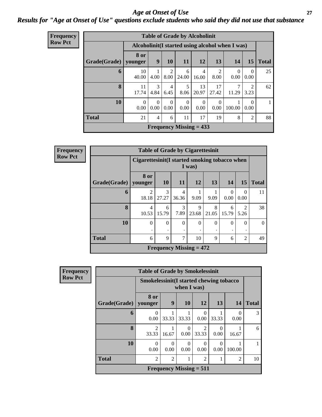### *Age at Onset of Use* **27** *Results for "Age at Onset of Use" questions exclude students who said they did not use that substance*

| <b>Frequency</b> | <b>Table of Grade by Alcoholinit</b> |                  |                                                  |                  |                           |             |                  |                  |                  |              |  |  |
|------------------|--------------------------------------|------------------|--------------------------------------------------|------------------|---------------------------|-------------|------------------|------------------|------------------|--------------|--|--|
| <b>Row Pct</b>   |                                      |                  | Alcoholinit (I started using alcohol when I was) |                  |                           |             |                  |                  |                  |              |  |  |
|                  | Grade(Grade)   younger               | <b>8 or</b>      | 9                                                | <b>10</b>        | <b>11</b>                 | 12          | 13               | 14               | 15               | <b>Total</b> |  |  |
|                  | 6                                    | 10<br>40.00      | 4.00                                             | 2<br>8.00        | 6<br>24.00                | 4<br>16.00  | 2<br>8.00        | $\Omega$<br>0.00 | $\Omega$<br>0.00 | 25           |  |  |
|                  | 8                                    | 11<br>17.74      | 3<br>4.84                                        | 4<br>6.45        | 5<br>8.06                 | 13<br>20.97 | 17<br>27.42      | 11.29            | 2<br>3.23        | 62           |  |  |
|                  | 10                                   | $\theta$<br>0.00 | $\overline{0}$<br>0.00                           | $\theta$<br>0.00 | $\theta$<br>0.00          | 0<br>0.00   | $\Omega$<br>0.00 | 100.00           | $\Omega$<br>0.00 | 1            |  |  |
|                  | <b>Total</b>                         | 21               | $\overline{4}$                                   | 6                | 11                        | 17          | 19               | 8                | $\overline{2}$   | 88           |  |  |
|                  |                                      |                  |                                                  |                  | Frequency Missing $= 433$ |             |                  |                  |                  |              |  |  |

**Frequen Row Pct**

| $\overline{\textbf{cy}}$ | <b>Table of Grade by Cigarettesinit</b> |                         |                                                          |               |               |               |                  |                |              |  |  |  |
|--------------------------|-----------------------------------------|-------------------------|----------------------------------------------------------|---------------|---------------|---------------|------------------|----------------|--------------|--|--|--|
|                          |                                         |                         | Cigarettesinit (I started smoking tobacco when<br>I was) |               |               |               |                  |                |              |  |  |  |
|                          | Grade(Grade)                            | 8 or<br>younger         | 10                                                       | <b>11</b>     | <b>12</b>     | 13            | 14               | 15             | <b>Total</b> |  |  |  |
|                          | 6                                       | $\overline{c}$<br>18.18 | 3<br>27.27                                               | 4<br>36.36    | 9.09          | 9.09          | $\Omega$<br>0.00 | 0<br>0.00      | 11           |  |  |  |
|                          | 8                                       | $\overline{4}$<br>10.53 | 6<br>15.79                                               | 3<br>7.89     | 9<br>23.68    | 8<br>21.05    | 6<br>15.79       | 2<br>5.26      | 38           |  |  |  |
|                          | 10                                      | $\Omega$<br>٠           | $\theta$                                                 | $\Omega$      | $\Omega$<br>٠ | $\Omega$<br>٠ | $\theta$         | $\Omega$<br>٠  | $\Omega$     |  |  |  |
|                          | <b>Total</b>                            | 6                       | 9                                                        | $\mathcal{I}$ | 10            | 9             | 6                | $\overline{2}$ | 49           |  |  |  |
|                          |                                         |                         | Frequency Missing $= 472$                                |               |               |               |                  |                |              |  |  |  |

| Frequency      |              | <b>Table of Grade by Smokelessinit</b>  |                |             |                                             |                  |                  |              |
|----------------|--------------|-----------------------------------------|----------------|-------------|---------------------------------------------|------------------|------------------|--------------|
| <b>Row Pct</b> |              | Smokelessinit(I started chewing tobacco |                | when I was) |                                             |                  |                  |              |
|                | Grade(Grade) | 8 or<br>younger                         | 9              | <b>10</b>   | <b>12</b>                                   | 13               | 14               | <b>Total</b> |
|                | 6            | 0<br>0.00                               | 33.33          | 33.33       | $\mathcal{L}$<br>0.00                       | 33.33            | $\Omega$<br>0.00 | 3            |
|                | 8            | $\mathfrak{D}$<br>33.33                 | 16.67          | 0<br>0.00   | $\mathfrak{D}$<br>33.33                     | 0.00             | 16.67            | 6            |
|                | 10           | $\Omega$<br>0.00                        | 0<br>0.00      | 0<br>0.00   | 0.00                                        | $\Omega$<br>0.00 | 100.00           |              |
|                | <b>Total</b> | $\mathfrak{D}$                          | $\mathfrak{D}$ |             | $\mathfrak{D}$                              |                  | $\overline{2}$   | 10           |
|                |              |                                         |                |             | <b>Frequency Missing <math>= 511</math></b> |                  |                  |              |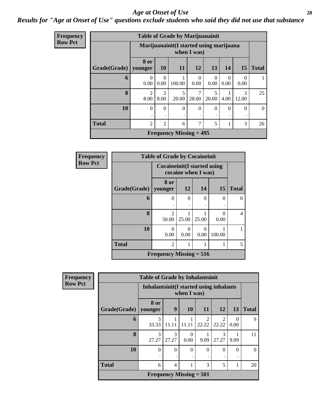### *Age at Onset of Use* **28**

### *Results for "Age at Onset of Use" questions exclude students who said they did not use that substance*

| Frequency      | <b>Table of Grade by Marijuanainit</b> |                        |                        |                                          |                  |                  |                  |            |              |  |  |  |
|----------------|----------------------------------------|------------------------|------------------------|------------------------------------------|------------------|------------------|------------------|------------|--------------|--|--|--|
| <b>Row Pct</b> |                                        |                        |                        | Marijuanainit (I started using marijuana | when I was)      |                  |                  |            |              |  |  |  |
|                | Grade(Grade)   younger                 | 8 or                   | 10                     | <b>11</b>                                | 12               | 13               | 14               | 15         | <b>Total</b> |  |  |  |
|                | 6                                      | 0<br>0.00              | $\Omega$<br>0.00       | 100.00                                   | $\theta$<br>0.00 | $\Omega$<br>0.00 | $\Omega$<br>0.00 | 0.00       | 1            |  |  |  |
|                | 8                                      | $\overline{2}$<br>8.00 | $\overline{2}$<br>8.00 | 5<br>20.00                               | 7<br>28.00       | 5<br>20.00       | 4.00             | 3<br>12.00 | 25           |  |  |  |
|                | 10                                     | $\Omega$               | $\Omega$               | $\Omega$                                 | $\Omega$         | $\Omega$         | $\Omega$         | $\Omega$   | $\Omega$     |  |  |  |
|                | <b>Total</b>                           | $\overline{2}$         | $\overline{2}$         | 6                                        | 7                | 5                |                  | 3          | 26           |  |  |  |
|                |                                        |                        |                        | <b>Frequency Missing = 495</b>           |                  |                  |                  |            |              |  |  |  |

| <b>Frequency</b> | <b>Table of Grade by Cocaineinit</b> |                                     |                     |       |           |              |  |  |  |  |
|------------------|--------------------------------------|-------------------------------------|---------------------|-------|-----------|--------------|--|--|--|--|
| <b>Row Pct</b>   |                                      | <b>Cocaineinit</b> (I started using | cocaine when I was) |       |           |              |  |  |  |  |
|                  | Grade(Grade)   younger               | 8 or                                | 12                  | 14    | <b>15</b> | <b>Total</b> |  |  |  |  |
|                  | 6                                    | $\Omega$                            | 0                   | 0     | 0         | $\Omega$     |  |  |  |  |
|                  | 8                                    | $\mathfrak{D}$<br>50.00             | 25.00               | 25.00 | 0.00      | 4            |  |  |  |  |
|                  | 10                                   | 0<br>0.00                           | 0.00                | 0.00  | 100.00    |              |  |  |  |  |
|                  | <b>Total</b>                         | $\mathfrak{D}$                      |                     |       |           | 5            |  |  |  |  |
|                  |                                      | Frequency Missing $= 516$           |                     |       |           |              |  |  |  |  |

| Frequency      | <b>Table of Grade by Inhalantsinit</b> |                                          |                           |             |                         |                         |                  |              |  |  |  |
|----------------|----------------------------------------|------------------------------------------|---------------------------|-------------|-------------------------|-------------------------|------------------|--------------|--|--|--|
| <b>Row Pct</b> |                                        | Inhalantsinit (I started using inhalants |                           | when I was) |                         |                         |                  |              |  |  |  |
|                | Grade(Grade)                           | 8 or<br>younger                          | 9                         | 10          | 11                      | 12                      | 13               | <b>Total</b> |  |  |  |
|                | 6                                      | 3<br>33.33                               | 11.11                     | 11.11       | $\mathfrak{D}$<br>22.22 | $\mathfrak{D}$<br>22.22 | $\Omega$<br>0.00 | $\mathbf Q$  |  |  |  |
|                | 8                                      | 3<br>27.27                               | 3<br>27.27                | 0<br>0.00   | 9.09                    | 3<br>27.27              | 9.09             | 11           |  |  |  |
|                | 10                                     | $\Omega$<br>٠                            | $\Omega$<br>٠             | $\Omega$    | $\theta$                | $\Omega$                | $\Omega$<br>٠    | $\theta$     |  |  |  |
|                | <b>Total</b>                           | 6                                        | $\overline{4}$            |             | 3                       | 5                       |                  | 20           |  |  |  |
|                |                                        |                                          | Frequency Missing $= 501$ |             |                         |                         |                  |              |  |  |  |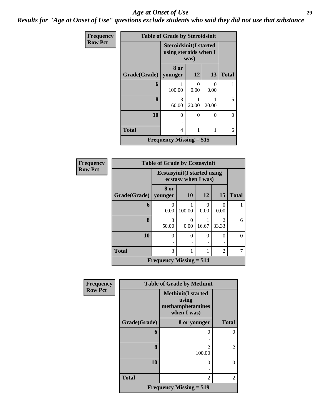### *Age at Onset of Use* **29**

*Results for "Age at Onset of Use" questions exclude students who said they did not use that substance*

| <b>Frequency</b> | <b>Table of Grade by Steroidsinit</b> |                                                                |           |                           |              |  |  |
|------------------|---------------------------------------|----------------------------------------------------------------|-----------|---------------------------|--------------|--|--|
| <b>Row Pct</b>   |                                       | <b>Steroidsinit(I started</b><br>using steroids when I<br>was) |           |                           |              |  |  |
|                  | Grade(Grade)   younger                | 8 or                                                           | <b>12</b> | 13                        | <b>Total</b> |  |  |
|                  | 6                                     | 100.00                                                         | 0<br>0.00 | $\mathbf{\Omega}$<br>0.00 |              |  |  |
|                  | 8                                     | 3<br>60.00                                                     | 20.00     | 20.00                     | 5            |  |  |
|                  | 10                                    | 0                                                              | 0         | $\theta$<br>٠             | $\theta$     |  |  |
|                  | <b>Total</b>                          | 4                                                              | 1         | 1                         | 6            |  |  |
|                  |                                       | Frequency Missing $= 515$                                      |           |                           |              |  |  |

| <b>Frequency</b> | <b>Table of Grade by Ecstasyinit</b> |                                                            |           |           |                                      |              |  |
|------------------|--------------------------------------|------------------------------------------------------------|-----------|-----------|--------------------------------------|--------------|--|
| <b>Row Pct</b>   |                                      | <b>Ecstasyinit</b> (I started using<br>ecstasy when I was) |           |           |                                      |              |  |
|                  | Grade(Grade)   younger               | 8 or                                                       | <b>10</b> | 12        | 15                                   | <b>Total</b> |  |
|                  | 6                                    | 0<br>0.00                                                  | 100.00    | 0<br>0.00 | 0<br>0.00                            |              |  |
|                  | 8                                    | 3<br>50.00                                                 | 0.00      | 16.67     | $\mathcal{D}_{\mathcal{A}}$<br>33.33 | 6            |  |
|                  | 10                                   | 0                                                          | 0         | $\theta$  | 0                                    | 0            |  |
|                  | <b>Total</b>                         | 3                                                          |           |           |                                      |              |  |
|                  |                                      | <b>Frequency Missing <math>= 514</math></b>                |           |           |                                      |              |  |

| Frequency      | <b>Table of Grade by Methinit</b> |                           |                |  |  |  |
|----------------|-----------------------------------|---------------------------|----------------|--|--|--|
| <b>Row Pct</b> |                                   |                           |                |  |  |  |
|                | Grade(Grade)                      | 8 or younger              | <b>Total</b>   |  |  |  |
|                | 6                                 | 0                         | $\theta$       |  |  |  |
|                | 8                                 | $\mathfrak{D}$<br>100.00  | $\overline{2}$ |  |  |  |
|                | 10                                | 0                         | $\theta$       |  |  |  |
|                | <b>Total</b>                      | 2                         | 2              |  |  |  |
|                |                                   | Frequency Missing $= 519$ |                |  |  |  |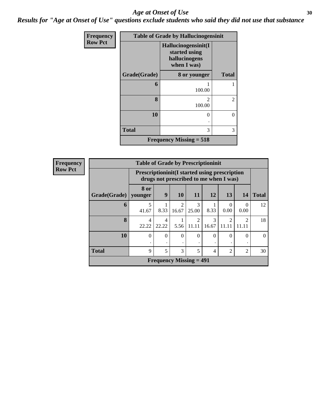### Age at Onset of Use **30**

*Results for "Age at Onset of Use" questions exclude students who said they did not use that substance*

| Frequency      | <b>Table of Grade by Hallucinogensinit</b> |                                                                      |                |  |  |  |
|----------------|--------------------------------------------|----------------------------------------------------------------------|----------------|--|--|--|
| <b>Row Pct</b> |                                            | Hallucinogensinit(I<br>started using<br>hallucinogens<br>when I was) |                |  |  |  |
|                | Grade(Grade)                               | 8 or younger                                                         | <b>Total</b>   |  |  |  |
|                | 6                                          | 100.00                                                               |                |  |  |  |
|                | 8                                          | $\mathfrak{D}$<br>100.00                                             | $\overline{c}$ |  |  |  |
|                | 10                                         | 0                                                                    | $\theta$       |  |  |  |
|                | <b>Total</b>                               | 3                                                                    | 3              |  |  |  |
|                |                                            | Frequency Missing $= 518$                                            |                |  |  |  |

| <b>Frequency</b> | <b>Table of Grade by Prescriptioninit</b> |                 |                                                                                                 |                         |                         |            |            |                         |              |
|------------------|-------------------------------------------|-----------------|-------------------------------------------------------------------------------------------------|-------------------------|-------------------------|------------|------------|-------------------------|--------------|
| <b>Row Pct</b>   |                                           |                 | <b>Prescriptioninit (I started using prescription</b><br>drugs not prescribed to me when I was) |                         |                         |            |            |                         |              |
|                  | Grade(Grade)                              | 8 or<br>younger | 9                                                                                               | <b>10</b>               | <b>11</b>               | <b>12</b>  | 13         | 14                      | <b>Total</b> |
|                  | 6                                         | 5<br>41.67      | 8.33                                                                                            | $\overline{c}$<br>16.67 | 3<br>25.00              | 8.33       | 0.00       | $\Omega$<br>0.00        | 12           |
|                  | 8                                         | 4<br>22.22      | 4<br>22.22                                                                                      | 5.56                    | $\overline{2}$<br>11.11 | 3<br>16.67 | 2<br>11.11 | $\mathfrak{D}$<br>11.11 | 18           |
|                  | 10                                        | $\Omega$        | $\Omega$                                                                                        | $\theta$                | $\theta$                | $\Omega$   | 0          | $\Omega$                |              |
|                  | <b>Total</b>                              | 9               | 5                                                                                               | 3                       | 5                       | 4          | 2          | $\overline{2}$          | 30           |
|                  |                                           |                 | <b>Frequency Missing = 491</b>                                                                  |                         |                         |            |            |                         |              |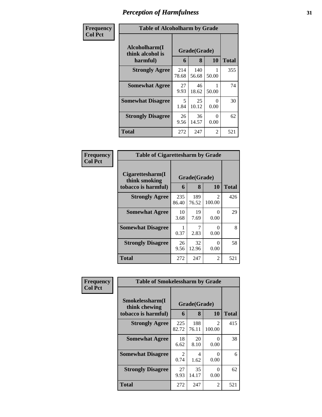| Frequency      | <b>Table of Alcoholharm by Grade</b>          |              |                   |                  |              |
|----------------|-----------------------------------------------|--------------|-------------------|------------------|--------------|
| <b>Col Pct</b> | Alcoholharm(I<br>think alcohol is<br>harmful) | 6            | Grade(Grade)<br>8 | 10               | <b>Total</b> |
|                | <b>Strongly Agree</b>                         | 214<br>78.68 | 140<br>56.68      | 50.00            | 355          |
|                | <b>Somewhat Agree</b>                         | 27<br>9.93   | 46<br>18.62       | 50.00            | 74           |
|                | <b>Somewhat Disagree</b>                      | 5<br>1.84    | 25<br>10.12       | $\Omega$<br>0.00 | 30           |
|                | <b>Strongly Disagree</b>                      | 26<br>9.56   | 36<br>14.57       | $\Omega$<br>0.00 | 62           |
|                | Total                                         | 272          | 247               | 2                | 521          |

### **Frequency Col Pct**

| <b>Table of Cigarettesharm by Grade</b>                  |                   |              |             |     |  |  |  |
|----------------------------------------------------------|-------------------|--------------|-------------|-----|--|--|--|
| Cigarettesharm(I<br>think smoking<br>tobacco is harmful) | Grade(Grade)<br>6 | <b>Total</b> |             |     |  |  |  |
| <b>Strongly Agree</b>                                    | 235<br>86.40      | 189<br>76.52 | 2<br>100.00 | 426 |  |  |  |
| <b>Somewhat Agree</b>                                    | 10<br>3.68        | 19<br>7.69   | 0<br>0.00   | 29  |  |  |  |
| <b>Somewhat Disagree</b>                                 | 0.37              | 7<br>2.83    | ∩<br>0.00   | 8   |  |  |  |
| <b>Strongly Disagree</b>                                 | 26<br>9.56        | 32<br>12.96  | 0<br>0.00   | 58  |  |  |  |
| Total                                                    | 272               | 247          | 2           | 521 |  |  |  |

| Frequency      | <b>Table of Smokelessharm by Grade</b>                                                  |                        |              |                          |              |  |
|----------------|-----------------------------------------------------------------------------------------|------------------------|--------------|--------------------------|--------------|--|
| <b>Col Pct</b> | Smokelessharm(I<br>Grade(Grade)<br>think chewing<br>10<br>8<br>tobacco is harmful)<br>6 |                        |              |                          | <b>Total</b> |  |
|                | <b>Strongly Agree</b>                                                                   | 225<br>82.72           | 188<br>76.11 | $\mathfrak{D}$<br>100.00 | 415          |  |
|                | <b>Somewhat Agree</b>                                                                   | 18<br>6.62             | 20<br>8.10   | 0<br>0.00                | 38           |  |
|                | <b>Somewhat Disagree</b>                                                                | $\mathfrak{D}$<br>0.74 | 4<br>1.62    | 0<br>0.00                | 6            |  |
|                | <b>Strongly Disagree</b>                                                                | 27<br>9.93             | 35<br>14.17  | $\Omega$<br>0.00         | 62           |  |
|                | <b>Total</b>                                                                            | 272                    | 247          | 2                        | 521          |  |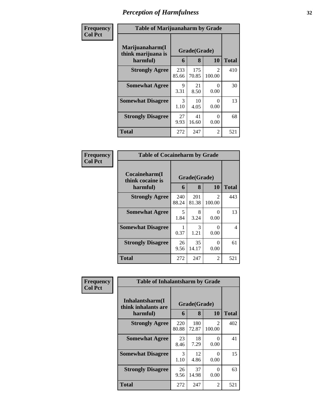| Frequency      | <b>Table of Marijuanaharm by Grade</b> |                       |              |                         |              |  |
|----------------|----------------------------------------|-----------------------|--------------|-------------------------|--------------|--|
| <b>Col Pct</b> | Marijuanaharm(I<br>think marijuana is  | Grade(Grade)          |              |                         |              |  |
|                | harmful)                               | 6                     | 8            | 10                      | <b>Total</b> |  |
|                | <b>Strongly Agree</b>                  | 233<br>85.66          | 175<br>70.85 | $\mathcal{L}$<br>100.00 | 410          |  |
|                | <b>Somewhat Agree</b>                  | 9<br>3.31             | 21<br>8.50   | 0<br>0.00               | 30           |  |
|                | <b>Somewhat Disagree</b>               | $\mathcal{E}$<br>1.10 | 10<br>4.05   | 0<br>0.00               | 13           |  |
|                | <b>Strongly Disagree</b>               | 27<br>9.93            | 41<br>16.60  | 0<br>0.00               | 68           |  |
|                | <b>Total</b>                           | 272                   | 247          | 2                       | 521          |  |

| <b>Frequency</b><br>Col Pct |
|-----------------------------|
|                             |

| <b>Table of Cocaineharm by Grade</b>          |                   |              |                          |     |  |  |  |
|-----------------------------------------------|-------------------|--------------|--------------------------|-----|--|--|--|
| Cocaineharm(I<br>think cocaine is<br>harmful) | Grade(Grade)<br>6 | <b>Total</b> |                          |     |  |  |  |
| <b>Strongly Agree</b>                         | 240<br>88.24      | 201<br>81.38 | $\mathfrak{D}$<br>100.00 | 443 |  |  |  |
| <b>Somewhat Agree</b>                         | 5<br>1.84         | 8<br>3.24    | 0<br>0.00                | 13  |  |  |  |
| <b>Somewhat Disagree</b>                      | 0.37              | 3<br>1.21    | 0<br>0.00                | 4   |  |  |  |
| <b>Strongly Disagree</b>                      | 26<br>9.56        | 35<br>14.17  | 0<br>0.00                | 61  |  |  |  |
| <b>Total</b>                                  | 272               | 247          | 2                        | 521 |  |  |  |

| Frequency      | <b>Table of Inhalantsharm by Grade</b>  |              |              |                                       |              |  |  |
|----------------|-----------------------------------------|--------------|--------------|---------------------------------------|--------------|--|--|
| <b>Col Pct</b> | Inhalantsharm(I)<br>think inhalants are | Grade(Grade) |              |                                       |              |  |  |
|                | harmful)                                | 6            | 8            | 10                                    | <b>Total</b> |  |  |
|                | <b>Strongly Agree</b>                   | 220<br>80.88 | 180<br>72.87 | $\mathcal{D}_{\mathcal{L}}$<br>100.00 | 402          |  |  |
|                | <b>Somewhat Agree</b>                   | 23<br>8.46   | 18<br>7.29   | 0<br>0.00                             | 41           |  |  |
|                | <b>Somewhat Disagree</b>                | 3<br>1.10    | 12<br>4.86   | 0<br>0.00                             | 15           |  |  |
|                | <b>Strongly Disagree</b>                | 26<br>9.56   | 37<br>14.98  | 0<br>0.00                             | 63           |  |  |
|                | <b>Total</b>                            | 272          | 247          | 2                                     | 521          |  |  |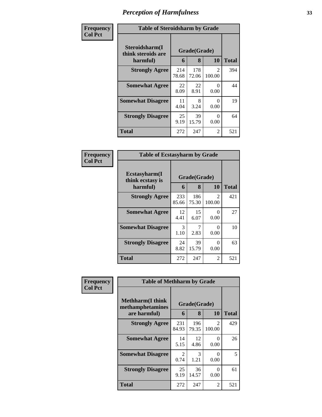| Frequency      | <b>Table of Steroidsharm by Grade</b>            |              |                   |                         |              |  |  |
|----------------|--------------------------------------------------|--------------|-------------------|-------------------------|--------------|--|--|
| <b>Col Pct</b> | Steroidsharm(I<br>think steroids are<br>harmful) | 6            | Grade(Grade)<br>8 | 10                      | <b>Total</b> |  |  |
|                | <b>Strongly Agree</b>                            | 214<br>78.68 | 178<br>72.06      | $\mathcal{L}$<br>100.00 | 394          |  |  |
|                | <b>Somewhat Agree</b>                            | 22<br>8.09   | 22<br>8.91        | 0<br>0.00               | 44           |  |  |
|                | <b>Somewhat Disagree</b>                         | 11<br>4.04   | 8<br>3.24         | 0<br>0.00               | 19           |  |  |
|                | <b>Strongly Disagree</b>                         | 25<br>9.19   | 39<br>15.79       | 0<br>0.00               | 64           |  |  |
|                | <b>Total</b>                                     | 272          | 247               | 2                       | 521          |  |  |

| Frequency<br>Col Pct |
|----------------------|
|                      |

| <b>Table of Ecstasyharm by Grade</b>          |                   |              |             |     |  |  |  |
|-----------------------------------------------|-------------------|--------------|-------------|-----|--|--|--|
| Ecstasyharm(I<br>think ecstasy is<br>harmful) | Grade(Grade)<br>6 | <b>Total</b> |             |     |  |  |  |
| <b>Strongly Agree</b>                         | 233<br>85.66      | 186<br>75.30 | 2<br>100.00 | 421 |  |  |  |
| <b>Somewhat Agree</b>                         | 12<br>4.41        | 15<br>6.07   | 0<br>0.00   | 27  |  |  |  |
| <b>Somewhat Disagree</b>                      | 3<br>1.10         | 7<br>2.83    | 0<br>0.00   | 10  |  |  |  |
| <b>Strongly Disagree</b>                      | 24<br>8.82        | 39<br>15.79  | 0<br>0.00   | 63  |  |  |  |
| <b>Total</b>                                  | 272               | 247          | 2           | 521 |  |  |  |

| Frequency      | <b>Table of Methharm by Grade</b>            |                        |              |                          |              |  |  |  |
|----------------|----------------------------------------------|------------------------|--------------|--------------------------|--------------|--|--|--|
| <b>Col Pct</b> | <b>Methharm</b> (I think<br>methamphetamines |                        | Grade(Grade) |                          |              |  |  |  |
|                | are harmful)                                 | 6                      | 8            | <b>10</b>                | <b>Total</b> |  |  |  |
|                | <b>Strongly Agree</b>                        | 231<br>84.93           | 196<br>79.35 | $\mathfrak{D}$<br>100.00 | 429          |  |  |  |
|                | <b>Somewhat Agree</b>                        | 14<br>5.15             | 12<br>4.86   | ∩<br>0.00                | 26           |  |  |  |
|                | <b>Somewhat Disagree</b>                     | $\mathfrak{D}$<br>0.74 | 3<br>1.21    | ∩<br>0.00                | 5            |  |  |  |
|                | <b>Strongly Disagree</b>                     | 25<br>9.19             | 36<br>14.57  | ∩<br>0.00                | 61           |  |  |  |
|                | <b>Total</b>                                 | 272                    | 247          | 2                        | 521          |  |  |  |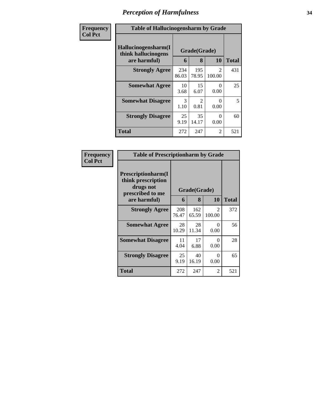| Frequency      | <b>Table of Hallucinogensharm by Grade</b>                 |              |                       |                          |              |  |
|----------------|------------------------------------------------------------|--------------|-----------------------|--------------------------|--------------|--|
| <b>Col Pct</b> | Hallucinogensharm(I<br>think hallucinogens<br>are harmful) | 6            | Grade(Grade)<br>8     | 10                       | <b>Total</b> |  |
|                | <b>Strongly Agree</b>                                      | 234<br>86.03 | 195<br>78.95          | $\mathfrak{D}$<br>100.00 | 431          |  |
|                | <b>Somewhat Agree</b>                                      | 10<br>3.68   | 15<br>6.07            | 0<br>0.00                | 25           |  |
|                | <b>Somewhat Disagree</b>                                   | 3<br>1.10    | $\mathcal{D}$<br>0.81 | $\Omega$<br>0.00         | 5            |  |
|                | <b>Strongly Disagree</b>                                   | 25<br>9.19   | 35<br>14.17           | $\Omega$<br>0.00         | 60           |  |
|                | <b>Total</b>                                               | 272          | 247                   | $\overline{2}$           | 521          |  |

| Frequency      | <b>Table of Prescriptionharm by Grade</b>                                                 |              |                   |                         |              |
|----------------|-------------------------------------------------------------------------------------------|--------------|-------------------|-------------------------|--------------|
| <b>Col Pct</b> | Prescriptionharm(I<br>think prescription<br>drugs not<br>prescribed to me<br>are harmful) | 6            | Grade(Grade)<br>8 | 10                      | <b>Total</b> |
|                | <b>Strongly Agree</b>                                                                     | 208<br>76.47 | 162<br>65.59      | $\mathcal{L}$<br>100.00 | 372          |
|                | <b>Somewhat Agree</b>                                                                     | 28<br>10.29  | 28<br>11.34       | 0<br>0.00               | 56           |
|                | <b>Somewhat Disagree</b>                                                                  | 11<br>4.04   | 17<br>6.88        | 0<br>0.00               | 28           |
|                | <b>Strongly Disagree</b>                                                                  | 25<br>9.19   | 40<br>16.19       | 0<br>0.00               | 65           |
|                | Total                                                                                     | 272          | 247               | 2                       | 521          |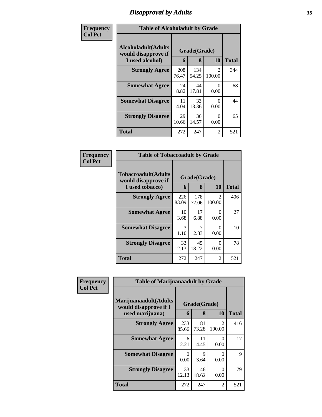## *Disapproval by Adults* **35**

| Frequency      | <b>Table of Alcoholadult by Grade</b>                                 |              |                   |                          |              |  |
|----------------|-----------------------------------------------------------------------|--------------|-------------------|--------------------------|--------------|--|
| <b>Col Pct</b> | <b>Alcoholadult</b> (Adults<br>would disapprove if<br>I used alcohol) | 6            | Grade(Grade)<br>8 | 10                       | <b>Total</b> |  |
|                | <b>Strongly Agree</b>                                                 | 208<br>76.47 | 134<br>54.25      | $\mathfrak{D}$<br>100.00 | 344          |  |
|                | <b>Somewhat Agree</b>                                                 | 24<br>8.82   | 44<br>17.81       | 0<br>0.00                | 68           |  |
|                | <b>Somewhat Disagree</b>                                              | 11<br>4.04   | 33<br>13.36       | $\Omega$<br>0.00         | 44           |  |
|                | <b>Strongly Disagree</b>                                              | 29<br>10.66  | 36<br>14.57       | $\Omega$<br>0.00         | 65           |  |
|                | <b>Total</b>                                                          | 272          | 247               | $\overline{2}$           | 521          |  |

| Frequency      | <b>Table of Tobaccoadult by Grade</b>                         |              |                   |                          |              |
|----------------|---------------------------------------------------------------|--------------|-------------------|--------------------------|--------------|
| <b>Col Pct</b> | Tobaccoadult(Adults<br>would disapprove if<br>I used tobacco) | 6            | Grade(Grade)<br>8 | 10                       | <b>Total</b> |
|                | <b>Strongly Agree</b>                                         | 226<br>83.09 | 178<br>72.06      | $\mathfrak{D}$<br>100.00 | 406          |
|                | <b>Somewhat Agree</b>                                         | 10<br>3.68   | 17<br>6.88        | 0<br>0.00                | 27           |
|                | <b>Somewhat Disagree</b>                                      | 3<br>1.10    | 2.83              | 0<br>0.00                | 10           |
|                | <b>Strongly Disagree</b>                                      | 33<br>12.13  | 45<br>18.22       | 0<br>0.00                | 78           |
|                | <b>Total</b>                                                  | 272          | 247               | 2                        | 521          |

| Frequency      | <b>Table of Marijuanaadult by Grade</b>        |              |                     |                          |              |  |
|----------------|------------------------------------------------|--------------|---------------------|--------------------------|--------------|--|
| <b>Col Pct</b> | Marijuanaadult(Adults<br>would disapprove if I |              | Grade(Grade)        |                          |              |  |
|                | used marijuana)                                | 6            | 8                   | 10                       | <b>Total</b> |  |
|                | <b>Strongly Agree</b>                          | 233<br>85.66 | 181<br>73.28        | $\mathfrak{D}$<br>100.00 | 416          |  |
|                | <b>Somewhat Agree</b>                          | 6<br>2.21    | 11<br>4.45          | 0<br>0.00                | 17           |  |
|                | <b>Somewhat Disagree</b>                       | 0<br>0.00    | $\mathbf Q$<br>3.64 | 0<br>0.00                | $\mathbf Q$  |  |
|                | <b>Strongly Disagree</b>                       | 33<br>12.13  | 46<br>18.62         | 0<br>0.00                | 79           |  |
|                | <b>Total</b>                                   | 272          | 247                 | 2                        | 521          |  |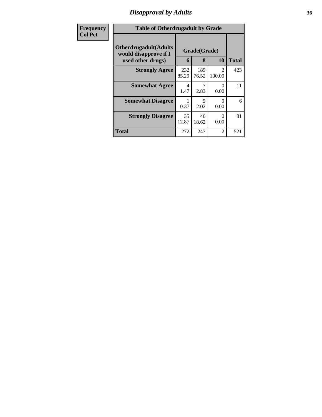## *Disapproval by Adults* **36**

| Frequency      | <b>Table of Otherdrugadult by Grade</b>                                     |              |                   |                           |              |
|----------------|-----------------------------------------------------------------------------|--------------|-------------------|---------------------------|--------------|
| <b>Col Pct</b> | <b>Otherdrugadult</b> (Adults<br>would disapprove if I<br>used other drugs) | 6            | Grade(Grade)<br>8 | 10                        | <b>Total</b> |
|                | <b>Strongly Agree</b>                                                       | 232<br>85.29 | 189<br>76.52      | 2<br>100.00               | 423          |
|                | <b>Somewhat Agree</b>                                                       | 4<br>1.47    | 2.83              | 0<br>0.00                 | 11           |
|                | <b>Somewhat Disagree</b>                                                    | 0.37         | 5<br>2.02         | $\mathbf{\Omega}$<br>0.00 | 6            |
|                | <b>Strongly Disagree</b>                                                    | 35<br>12.87  | 46<br>18.62       | 0<br>0.00                 | 81           |
|                | <b>Total</b>                                                                | 272          | 247               | 2                         | 521          |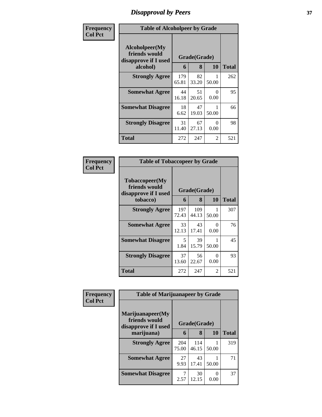### *Disapproval by Peers* **37**

| Frequency      | <b>Table of Alcoholpeer by Grade</b>                    |              |              |                  |              |  |
|----------------|---------------------------------------------------------|--------------|--------------|------------------|--------------|--|
| <b>Col Pct</b> | Alcoholpeer(My<br>friends would<br>disapprove if I used |              | Grade(Grade) |                  |              |  |
|                | alcohol)                                                | 6            | 8            | 10               | <b>Total</b> |  |
|                | <b>Strongly Agree</b>                                   | 179<br>65.81 | 82<br>33.20  | 50.00            | 262          |  |
|                | <b>Somewhat Agree</b>                                   | 44<br>16.18  | 51<br>20.65  | 0<br>0.00        | 95           |  |
|                | <b>Somewhat Disagree</b>                                | 18<br>6.62   | 47<br>19.03  | 50.00            | 66           |  |
|                | <b>Strongly Disagree</b>                                | 31<br>11.40  | 67<br>27.13  | $\theta$<br>0.00 | 98           |  |
|                | Total                                                   | 272          | 247          | 2                | 521          |  |

| Frequency      | <b>Table of Tobaccopeer by Grade</b>                    |              |              |           |              |  |  |
|----------------|---------------------------------------------------------|--------------|--------------|-----------|--------------|--|--|
| <b>Col Pct</b> | Tobaccopeer(My<br>friends would<br>disapprove if I used |              | Grade(Grade) |           |              |  |  |
|                | tobacco)                                                | 6            | 8            | 10        | <b>Total</b> |  |  |
|                | <b>Strongly Agree</b>                                   | 197<br>72.43 | 109<br>44.13 | 50.00     | 307          |  |  |
|                | <b>Somewhat Agree</b>                                   | 33<br>12.13  | 43<br>17.41  | 0<br>0.00 | 76           |  |  |
|                | <b>Somewhat Disagree</b>                                | 5<br>1.84    | 39<br>15.79  | 50.00     | 45           |  |  |
|                | <b>Strongly Disagree</b>                                | 37<br>13.60  | 56<br>22.67  | 0<br>0.00 | 93           |  |  |
|                | Total                                                   | 272          | 247          | 2         | 521          |  |  |

| <b>Frequency</b> | <b>Table of Marijuanapeer by Grade</b>                    |              |              |           |              |
|------------------|-----------------------------------------------------------|--------------|--------------|-----------|--------------|
| <b>Col Pct</b>   | Marijuanapeer(My<br>friends would<br>disapprove if I used |              | Grade(Grade) |           |              |
|                  | marijuana)                                                | 6            | 8            | <b>10</b> | <b>Total</b> |
|                  | <b>Strongly Agree</b>                                     | 204<br>75.00 | 114<br>46.15 | 50.00     | 319          |
|                  | <b>Somewhat Agree</b>                                     | 27<br>9.93   | 43<br>17.41  | 50.00     | 71           |
|                  | <b>Somewhat Disagree</b>                                  | 7<br>2.57    | 30<br>12.15  | 0.00      | 37           |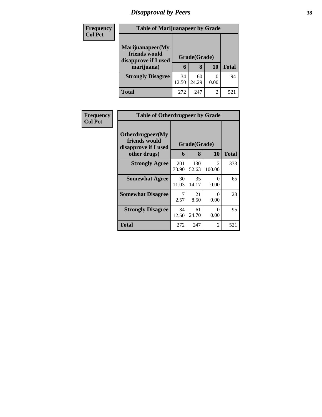# *Disapproval by Peers* **38**

| <b>Frequency</b> | <b>Table of Marijuanapeer by Grade</b>                                  |                              |             |      |              |
|------------------|-------------------------------------------------------------------------|------------------------------|-------------|------|--------------|
| <b>Col Pct</b>   | Marijuanapeer(My<br>friends would<br>disapprove if I used<br>marijuana) | Grade(Grade)<br>8<br>10<br>6 |             |      | <b>Total</b> |
|                  | <b>Strongly Disagree</b>                                                | 34<br>12.50                  | 60<br>24.29 | 0.00 | 94           |
|                  | Total                                                                   | 272                          | 247         | 2    | $52^\circ$   |

| <b>Frequency</b> | <b>Table of Otherdrugpeer by Grade</b>                                    |                              |              |                          |              |  |  |
|------------------|---------------------------------------------------------------------------|------------------------------|--------------|--------------------------|--------------|--|--|
| <b>Col Pct</b>   | Otherdrugpeer(My<br>friends would<br>disapprove if I used<br>other drugs) | Grade(Grade)<br>8<br>10<br>6 |              |                          | <b>Total</b> |  |  |
|                  | <b>Strongly Agree</b>                                                     | 201<br>73.90                 | 130<br>52.63 | $\overline{c}$<br>100.00 | 333          |  |  |
|                  | <b>Somewhat Agree</b>                                                     | 30<br>11.03                  | 35<br>14.17  | 0<br>0.00                | 65           |  |  |
|                  | <b>Somewhat Disagree</b>                                                  | 7<br>2.57                    | 21<br>8.50   | ∩<br>0.00                | 28           |  |  |
|                  | <b>Strongly Disagree</b>                                                  | 34<br>12.50                  | 61<br>24.70  | 0<br>0.00                | 95           |  |  |
|                  | Total                                                                     | 272                          | 247          | $\overline{c}$           | 521          |  |  |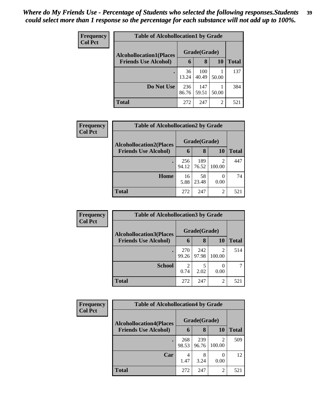| <b>Frequency</b> | <b>Table of Alcohollocation1 by Grade</b> |              |              |                |              |  |
|------------------|-------------------------------------------|--------------|--------------|----------------|--------------|--|
| <b>Col Pct</b>   | <b>Alcohollocation1(Places</b>            |              | Grade(Grade) |                |              |  |
|                  | <b>Friends Use Alcohol)</b>               | 6            | 8            | 10             | <b>Total</b> |  |
|                  |                                           | 36<br>13.24  | 100<br>40.49 | 50.00          | 137          |  |
|                  | Do Not Use                                | 236<br>86.76 | 147<br>59.51 | 50.00          | 384          |  |
|                  | <b>Total</b>                              | 272          | 247          | $\overline{2}$ | 521          |  |

| Frequency      | <b>Table of Alcohollocation2 by Grade</b> |              |              |             |              |  |
|----------------|-------------------------------------------|--------------|--------------|-------------|--------------|--|
| <b>Col Pct</b> | <b>Alcohollocation2(Places</b>            |              | Grade(Grade) |             |              |  |
|                | <b>Friends Use Alcohol)</b>               | 6            | 8            | 10          | <b>Total</b> |  |
|                |                                           | 256<br>94.12 | 189<br>76.52 | 2<br>100.00 | 447          |  |
|                | Home                                      | 16<br>5.88   | 58<br>23.48  | 0.00        | 74           |  |
|                | <b>Total</b>                              | 272          | 247          | 2           | 521          |  |

| Frequency<br><b>Col Pct</b> | <b>Table of Alcohollocation3 by Grade</b> |              |              |                          |              |  |
|-----------------------------|-------------------------------------------|--------------|--------------|--------------------------|--------------|--|
|                             | <b>Alcohollocation3(Places</b>            |              | Grade(Grade) |                          |              |  |
|                             | <b>Friends Use Alcohol)</b>               | 6            | 8            | 10                       | <b>Total</b> |  |
|                             |                                           | 270<br>99.26 | 242<br>97.98 | $\mathfrak{D}$<br>100.00 | 514          |  |
|                             | <b>School</b>                             | 2<br>0.74    | 2.02         | 0.00                     |              |  |
|                             | <b>Total</b>                              | 272          | 247          | 2                        | 521          |  |

| Frequency      | <b>Table of Alcohollocation4 by Grade</b> |              |              |                |              |  |  |
|----------------|-------------------------------------------|--------------|--------------|----------------|--------------|--|--|
| <b>Col Pct</b> | <b>Alcohollocation4(Places</b>            |              | Grade(Grade) |                |              |  |  |
|                | <b>Friends Use Alcohol)</b>               | 6            | 8            | <b>10</b>      | <b>Total</b> |  |  |
|                |                                           | 268<br>98.53 | 239<br>96.76 | 2<br>100.00    | 509          |  |  |
|                | Car                                       | 4<br>1.47    | 8<br>3.24    | 0.00           | 12           |  |  |
|                | <b>Total</b>                              | 272          | 247          | $\overline{2}$ | 521          |  |  |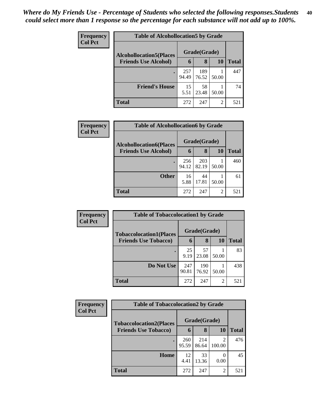| <b>Frequency</b> | <b>Table of Alcohollocation5 by Grade</b> |              |              |       |              |  |  |
|------------------|-------------------------------------------|--------------|--------------|-------|--------------|--|--|
| <b>Col Pct</b>   | <b>Alcohollocation5</b> (Places           |              | Grade(Grade) |       |              |  |  |
|                  | <b>Friends Use Alcohol)</b>               | 6            | 8            | 10    | <b>Total</b> |  |  |
|                  |                                           | 257<br>94.49 | 189<br>76.52 | 50.00 | 447          |  |  |
|                  | <b>Friend's House</b>                     | 15<br>5.51   | 58<br>23.48  | 50.00 | 74           |  |  |
|                  | <b>Total</b>                              | 272          | 247          | 2     | 521          |  |  |

| Frequency      | <b>Table of Alcohollocation6 by Grade</b> |              |              |                |              |  |
|----------------|-------------------------------------------|--------------|--------------|----------------|--------------|--|
| <b>Col Pct</b> | <b>Alcohollocation6(Places</b>            |              | Grade(Grade) |                |              |  |
|                | <b>Friends Use Alcohol)</b>               | 6            | 8            | 10             | <b>Total</b> |  |
|                |                                           | 256<br>94.12 | 203<br>82.19 | 50.00          | 460          |  |
|                | <b>Other</b>                              | 16<br>5.88   | 44<br>17.81  | 50.00          | 61           |  |
|                | <b>Total</b>                              | 272          | 247          | $\overline{2}$ | 521          |  |

| <b>Frequency</b> | <b>Table of Tobaccolocation1 by Grade</b> |              |              |                |              |  |
|------------------|-------------------------------------------|--------------|--------------|----------------|--------------|--|
| <b>Col Pct</b>   | <b>Tobaccolocation1(Places</b>            |              | Grade(Grade) |                |              |  |
|                  | <b>Friends Use Tobacco)</b>               | 6            | 8            | 10             | <b>Total</b> |  |
|                  |                                           | 25<br>9.19   | 57<br>23.08  | 50.00          | 83           |  |
|                  | Do Not Use                                | 247<br>90.81 | 190<br>76.92 | 50.00          | 438          |  |
|                  | <b>Total</b>                              | 272          | 247          | $\overline{2}$ | 521          |  |

| <b>Frequency</b>            | <b>Table of Tobaccolocation2 by Grade</b> |              |              |              |     |
|-----------------------------|-------------------------------------------|--------------|--------------|--------------|-----|
| <b>Col Pct</b>              | <b>Tobaccolocation2(Places</b>            | Grade(Grade) |              |              |     |
| <b>Friends Use Tobacco)</b> | 6                                         | 8            | 10           | <b>Total</b> |     |
|                             |                                           | 260<br>95.59 | 214<br>86.64 | 100.00       | 476 |
|                             | Home                                      | 12<br>4.41   | 33<br>13.36  | 0.00         | 45  |
|                             | <b>Total</b>                              | 272          | 247          | 2            | 521 |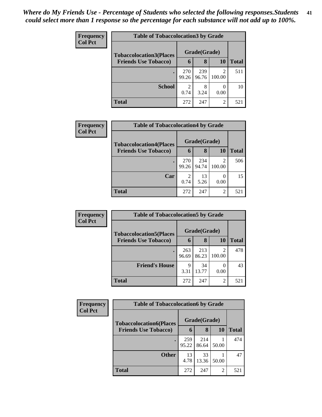| <b>Frequency</b> | <b>Table of Tobaccolocation 3 by Grade</b>                    |                        |              |        |       |  |
|------------------|---------------------------------------------------------------|------------------------|--------------|--------|-------|--|
| <b>Col Pct</b>   | <b>Tobaccolocation3(Places</b><br><b>Friends Use Tobacco)</b> |                        | Grade(Grade) |        |       |  |
|                  |                                                               | 6                      | 8            | 10     | Total |  |
|                  |                                                               | 270<br>99.26           | 239<br>96.76 | 100.00 | 511   |  |
|                  | <b>School</b>                                                 | $\mathfrak{D}$<br>0.74 | 8<br>3.24    | 0.00   | 10    |  |
|                  | <b>Total</b>                                                  | 272                    | 247          | 2      | 521   |  |

| <b>Frequency</b> | <b>Table of Tobaccolocation4 by Grade</b>                     |                |       |           |       |  |  |
|------------------|---------------------------------------------------------------|----------------|-------|-----------|-------|--|--|
| <b>Col Pct</b>   | <b>Tobaccolocation4(Places</b><br><b>Friends Use Tobacco)</b> | Grade(Grade)   |       |           |       |  |  |
|                  |                                                               | 6              | 8     | <b>10</b> | Total |  |  |
|                  | $\bullet$                                                     | 270            | 234   | 2         | 506   |  |  |
|                  |                                                               | 99.26          | 94.74 | 100.00    |       |  |  |
|                  | Car                                                           | $\mathfrak{D}$ | 13    |           | 15    |  |  |
|                  |                                                               | 0.74           | 5.26  | 0.00      |       |  |  |
|                  | <b>Total</b>                                                  | 272            | 247   | 2         | 521   |  |  |

| <b>Frequency</b> | <b>Table of Tobaccolocation5 by Grade</b>                     |              |              |             |              |
|------------------|---------------------------------------------------------------|--------------|--------------|-------------|--------------|
| <b>Col Pct</b>   | <b>Tobaccolocation5(Places</b><br><b>Friends Use Tobacco)</b> |              | Grade(Grade) |             |              |
|                  |                                                               | 6            | 8            | 10          | <b>Total</b> |
|                  |                                                               | 263<br>96.69 | 213<br>86.23 | ◠<br>100.00 | 478          |
|                  | <b>Friend's House</b>                                         | 9<br>3.31    | 34<br>13.77  | 0.00        | 43           |
|                  | <b>Total</b>                                                  | 272          | 247          | ↑           | 521          |

| Frequency      | <b>Table of Tobaccolocation6 by Grade</b> |              |              |                |              |  |  |  |
|----------------|-------------------------------------------|--------------|--------------|----------------|--------------|--|--|--|
| <b>Col Pct</b> | <b>Tobaccolocation6(Places</b>            |              | Grade(Grade) |                |              |  |  |  |
|                | <b>Friends Use Tobacco)</b>               | 6            | 8            | 10             | <b>Total</b> |  |  |  |
|                |                                           | 259<br>95.22 | 214<br>86.64 | 50.00          | 474          |  |  |  |
|                | <b>Other</b>                              | 13<br>4.78   | 33<br>13.36  | 50.00          | 47           |  |  |  |
|                | <b>Total</b>                              | 272          | 247          | $\overline{2}$ | 521          |  |  |  |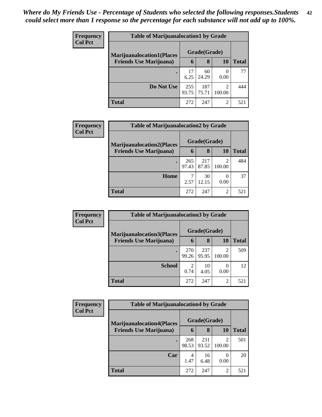| <b>Frequency</b>               | <b>Table of Marijuanalocation1 by Grade</b> |              |              |                          |     |  |  |
|--------------------------------|---------------------------------------------|--------------|--------------|--------------------------|-----|--|--|
| <b>Col Pct</b>                 | <b>Marijuanalocation1(Places</b>            | Grade(Grade) |              |                          |     |  |  |
| <b>Friends Use Marijuana</b> ) | 6                                           | 8            | 10           | <b>Total</b>             |     |  |  |
|                                |                                             | 17<br>6.25   | 60<br>24.29  | 0.00                     | 77  |  |  |
|                                | Do Not Use                                  | 255<br>93.75 | 187<br>75.71 | $\overline{2}$<br>100.00 | 444 |  |  |
|                                | <b>Total</b>                                | 272          | 247          | 2                        | 521 |  |  |

| <b>Frequency</b>               | <b>Table of Marijuanalocation2 by Grade</b> |              |              |              |     |  |
|--------------------------------|---------------------------------------------|--------------|--------------|--------------|-----|--|
| <b>Col Pct</b>                 | <b>Marijuanalocation2(Places</b>            |              | Grade(Grade) |              |     |  |
| <b>Friends Use Marijuana</b> ) | 6                                           | 8            | 10           | <b>Total</b> |     |  |
|                                |                                             | 265<br>97.43 | 217<br>87.85 | 2<br>100.00  | 484 |  |
|                                | Home                                        | 2.57         | 30<br>12.15  | 0.00         | 37  |  |
|                                | <b>Total</b>                                | 272          | 247          | 2            | 521 |  |

| Frequency                      | <b>Table of Marijuanalocation3 by Grade</b> |                        |              |              |     |  |  |  |
|--------------------------------|---------------------------------------------|------------------------|--------------|--------------|-----|--|--|--|
| <b>Col Pct</b>                 | <b>Marijuanalocation3</b> (Places           |                        | Grade(Grade) |              |     |  |  |  |
| <b>Friends Use Marijuana</b> ) | 6                                           | 8                      | 10           | <b>Total</b> |     |  |  |  |
|                                |                                             | 270<br>99.26           | 237<br>95.95 | 2<br>100.00  | 509 |  |  |  |
|                                | <b>School</b>                               | $\overline{c}$<br>0.74 | 10<br>4.05   | 0<br>0.00    | 12  |  |  |  |
|                                | <b>Total</b>                                | 272                    | 247          | 2            | 521 |  |  |  |

| <b>Frequency</b> | <b>Table of Marijuanalocation4 by Grade</b> |              |              |        |              |  |  |
|------------------|---------------------------------------------|--------------|--------------|--------|--------------|--|--|
| <b>Col Pct</b>   | <b>Marijuanalocation4(Places</b>            |              | Grade(Grade) |        |              |  |  |
|                  | <b>Friends Use Marijuana</b> )              | 6            | 8            | 10     | <b>Total</b> |  |  |
|                  |                                             | 268<br>98.53 | 231<br>93.52 | 100.00 | 501          |  |  |
|                  | Car                                         | 4<br>1.47    | 16<br>6.48   | 0.00   | 20           |  |  |
|                  | Total                                       | 272          | 247          | 2      | 521          |  |  |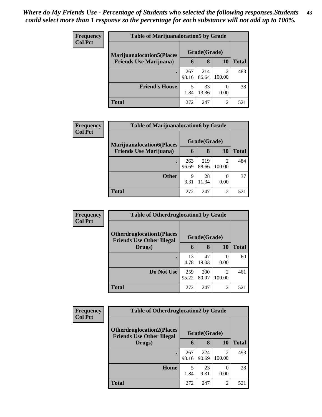| <b>Frequency</b> | <b>Table of Marijuanalocation5 by Grade</b> |              |              |        |       |
|------------------|---------------------------------------------|--------------|--------------|--------|-------|
| <b>Col Pct</b>   | <b>Marijuanalocation5</b> (Places           |              | Grade(Grade) |        |       |
|                  | <b>Friends Use Marijuana</b> )              | 6            | 8            | 10     | Total |
|                  |                                             | 267<br>98.16 | 214<br>86.64 | 100.00 | 483   |
|                  | <b>Friend's House</b>                       | 1.84         | 33<br>13.36  | 0.00   | 38    |
|                  | Total                                       | 272          | 247          | 2      | 521   |

| Frequency                                                                            | <b>Table of Marijuanalocation6 by Grade</b> |              |              |                          |              |  |  |  |
|--------------------------------------------------------------------------------------|---------------------------------------------|--------------|--------------|--------------------------|--------------|--|--|--|
| <b>Col Pct</b><br><b>Marijuanalocation6(Places</b><br><b>Friends Use Marijuana</b> ) | Grade(Grade)                                |              |              |                          |              |  |  |  |
|                                                                                      |                                             | 6            | 8            | 10                       | <b>Total</b> |  |  |  |
|                                                                                      |                                             | 263<br>96.69 | 219<br>88.66 | $\overline{2}$<br>100.00 | 484          |  |  |  |
|                                                                                      | <b>Other</b>                                | 9<br>3.31    | 28<br>11.34  | 0<br>0.00                | 37           |  |  |  |
|                                                                                      | <b>Total</b>                                | 272          | 247          | 2                        | 521          |  |  |  |

| Frequency      | <b>Table of Otherdruglocation1 by Grade</b>                          |              |              |                  |              |  |
|----------------|----------------------------------------------------------------------|--------------|--------------|------------------|--------------|--|
| <b>Col Pct</b> | <b>Otherdruglocation1(Places</b><br><b>Friends Use Other Illegal</b> |              | Grade(Grade) |                  |              |  |
|                | Drugs)                                                               | 6            | 8            | 10               | <b>Total</b> |  |
|                |                                                                      | 13<br>4.78   | 47<br>19.03  | $\Omega$<br>0.00 | 60           |  |
|                | Do Not Use                                                           | 259<br>95.22 | 200<br>80.97 | っ<br>100.00      | 461          |  |
|                | <b>Total</b>                                                         | 272          | 247          | $\overline{2}$   | 521          |  |

| Frequency      | <b>Table of Otherdruglocation2 by Grade</b>                          |              |              |             |              |
|----------------|----------------------------------------------------------------------|--------------|--------------|-------------|--------------|
| <b>Col Pct</b> | <b>Otherdruglocation2(Places</b><br><b>Friends Use Other Illegal</b> |              | Grade(Grade) |             |              |
|                | Drugs)                                                               | 6            | 8            | 10          | <b>Total</b> |
|                | ٠                                                                    | 267<br>98.16 | 224<br>90.69 | ∍<br>100.00 | 493          |
|                | Home                                                                 | 5<br>1.84    | 23<br>9.31   | 0.00        | 28           |
|                | Total                                                                | 272          | 247          | 2           | 521          |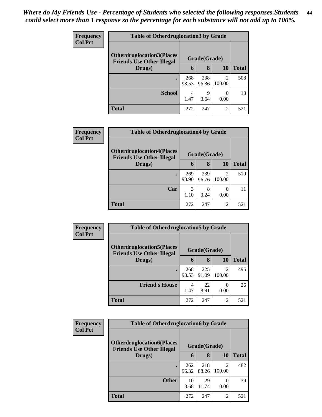| <b>Frequency</b> | <b>Table of Otherdruglocation 3 by Grade</b>                          |              |              |                          |              |  |
|------------------|-----------------------------------------------------------------------|--------------|--------------|--------------------------|--------------|--|
| <b>Col Pct</b>   | <b>Otherdruglocation3(Places)</b><br><b>Friends Use Other Illegal</b> |              | Grade(Grade) |                          |              |  |
|                  | Drugs)                                                                | 6            | 8            | 10                       | <b>Total</b> |  |
|                  | $\bullet$                                                             | 268<br>98.53 | 238<br>96.36 | $\mathfrak{D}$<br>100.00 | 508          |  |
|                  | <b>School</b>                                                         | 4<br>1.47    | Q<br>3.64    | 0<br>0.00                | 13           |  |
|                  | <b>Total</b>                                                          | 272          | 247          | $\overline{2}$           | 521          |  |

| <b>Frequency</b><br><b>Col Pct</b> | <b>Table of Otherdruglocation4 by Grade</b>                           |              |              |                          |              |  |  |
|------------------------------------|-----------------------------------------------------------------------|--------------|--------------|--------------------------|--------------|--|--|
|                                    | <b>Otherdruglocation4(Places)</b><br><b>Friends Use Other Illegal</b> |              | Grade(Grade) |                          |              |  |  |
|                                    | Drugs)                                                                | 6            | 8            | 10                       | <b>Total</b> |  |  |
|                                    |                                                                       | 269<br>98.90 | 239<br>96.76 | $\mathfrak{D}$<br>100.00 | 510          |  |  |
|                                    | Car                                                                   | 3<br>1.10    | 8<br>3.24    | 0.00                     | 11           |  |  |
|                                    | <b>Total</b>                                                          | 272          | 247          | $\overline{2}$           | 521          |  |  |

| Frequency      | <b>Table of Otherdruglocation5 by Grade</b>                           |              |              |                |              |
|----------------|-----------------------------------------------------------------------|--------------|--------------|----------------|--------------|
| <b>Col Pct</b> | <b>Otherdruglocation5</b> (Places<br><b>Friends Use Other Illegal</b> |              | Grade(Grade) |                |              |
|                | Drugs)                                                                | 6            | 8            | 10             | <b>Total</b> |
|                |                                                                       | 268<br>98.53 | 225<br>91.09 | っ<br>100.00    | 495          |
|                | <b>Friend's House</b>                                                 | 4<br>1.47    | 22<br>8.91   | 0.00           | 26           |
|                | Total                                                                 | 272          | 247          | $\overline{c}$ | 521          |

| Frequency      | <b>Table of Otherdruglocation6 by Grade</b>                          |              |              |                             |              |  |
|----------------|----------------------------------------------------------------------|--------------|--------------|-----------------------------|--------------|--|
| <b>Col Pct</b> | <b>Otherdruglocation6(Places</b><br><b>Friends Use Other Illegal</b> |              | Grade(Grade) |                             |              |  |
|                | Drugs)                                                               | 6            | 8            | 10                          | <b>Total</b> |  |
|                |                                                                      | 262<br>96.32 | 218<br>88.26 | ി<br>100.00                 | 482          |  |
|                | <b>Other</b>                                                         | 10<br>3.68   | 29<br>11.74  | 0.00                        | 39           |  |
|                | <b>Total</b>                                                         | 272          | 247          | $\mathcal{D}_{\mathcal{L}}$ | 521          |  |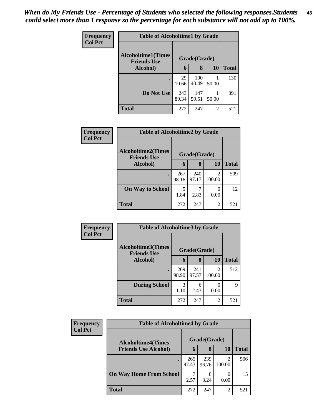| <b>Frequency</b> | <b>Table of Alcoholtime1 by Grade</b>           |              |              |       |              |
|------------------|-------------------------------------------------|--------------|--------------|-------|--------------|
| <b>Col Pct</b>   | <b>Alcoholtime1(Times</b><br><b>Friends Use</b> | Grade(Grade) |              |       |              |
|                  | Alcohol)                                        | 6            | 8            | 10    | <b>Total</b> |
|                  |                                                 | 29<br>10.66  | 100<br>40.49 | 50.00 | 130          |
|                  | Do Not Use                                      | 243<br>89.34 | 147<br>59.51 | 50.00 | 391          |
|                  | <b>Total</b>                                    | 272          | 247          | 2     | 521          |

| <b>Frequency</b> | <b>Table of Alcoholtime2 by Grade</b>           |              |              |                          |              |  |  |  |  |
|------------------|-------------------------------------------------|--------------|--------------|--------------------------|--------------|--|--|--|--|
| <b>Col Pct</b>   | <b>Alcoholtime2(Times</b><br><b>Friends Use</b> | Grade(Grade) |              |                          |              |  |  |  |  |
|                  | Alcohol)                                        | 6            | 8            | 10                       | <b>Total</b> |  |  |  |  |
|                  |                                                 | 267<br>98.16 | 240<br>97.17 | $\mathfrak{D}$<br>100.00 | 509          |  |  |  |  |
|                  | <b>On Way to School</b>                         | 5<br>1.84    | 2.83         | $\Omega$<br>0.00         | 12           |  |  |  |  |
|                  | <b>Total</b>                                    | 272          | 247          | 2                        | 521          |  |  |  |  |

| <b>Frequency</b><br><b>Col Pct</b> | <b>Table of Alcoholtime3 by Grade</b>           |              |              |             |              |
|------------------------------------|-------------------------------------------------|--------------|--------------|-------------|--------------|
|                                    | <b>Alcoholtime3(Times</b><br><b>Friends Use</b> |              | Grade(Grade) |             |              |
|                                    | Alcohol)                                        | 6            | 8            | 10          | <b>Total</b> |
|                                    | ٠                                               | 269<br>98.90 | 241<br>97.57 | 2<br>100.00 | 512          |
|                                    | <b>During School</b>                            | 3<br>1.10    | 6<br>2.43    | 0.00        | 9            |
|                                    | <b>Total</b>                                    | 272          | 247          | 2           | 521          |

| Frequency      | <b>Table of Alcoholtime4 by Grade</b> |              |              |                |              |
|----------------|---------------------------------------|--------------|--------------|----------------|--------------|
| <b>Col Pct</b> | <b>Alcoholtime4(Times</b>             |              | Grade(Grade) |                |              |
|                | <b>Friends Use Alcohol)</b>           | 6            | 8            | 10             | <b>Total</b> |
|                |                                       | 265<br>97.43 | 239<br>96.76 | 100.00         | 506          |
|                | <b>On Way Home From School</b>        | 7<br>2.57    | 8<br>3.24    | 0.00           | 15           |
|                | <b>Total</b>                          | 272          | 247          | $\mathfrak{D}$ | 521          |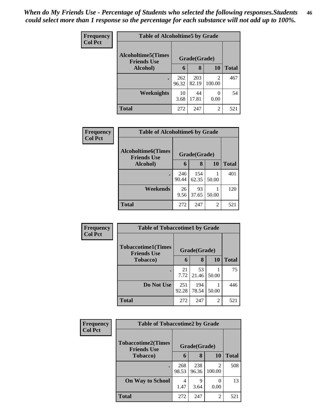| Frequency      | <b>Table of Alcoholtime5 by Grade</b>           |              |              |                |              |  |
|----------------|-------------------------------------------------|--------------|--------------|----------------|--------------|--|
| <b>Col Pct</b> | <b>Alcoholtime5(Times</b><br><b>Friends Use</b> | Grade(Grade) |              |                |              |  |
|                | Alcohol)                                        | 6            | 8            | 10             | <b>Total</b> |  |
|                | $\bullet$                                       | 262<br>96.32 | 203<br>82.19 | 2<br>100.00    | 467          |  |
|                | <b>Weeknights</b>                               | 10<br>3.68   | 44<br>17.81  | 0.00           | 54           |  |
|                | <b>Total</b>                                    | 272          | 247          | $\overline{c}$ | 521          |  |

| Frequency      |                                                 | <b>Table of Alcoholtime6 by Grade</b> |              |       |              |  |  |
|----------------|-------------------------------------------------|---------------------------------------|--------------|-------|--------------|--|--|
| <b>Col Pct</b> | <b>Alcoholtime6(Times</b><br><b>Friends Use</b> | Grade(Grade)                          |              |       |              |  |  |
|                | Alcohol)                                        | 6                                     | 8            | 10    | <b>Total</b> |  |  |
|                |                                                 | 246<br>90.44                          | 154<br>62.35 | 50.00 | 401          |  |  |
|                | Weekends                                        | 26<br>9.56                            | 93<br>37.65  | 50.00 | 120          |  |  |
|                | <b>Total</b>                                    | 272                                   | 247          | 2     | 521          |  |  |

| <b>Frequency</b> | <b>Table of Tobaccotime1 by Grade</b>           |              |              |                |              |
|------------------|-------------------------------------------------|--------------|--------------|----------------|--------------|
| <b>Col Pct</b>   | <b>Tobaccotime1(Times</b><br><b>Friends Use</b> |              | Grade(Grade) |                |              |
|                  | <b>Tobacco</b> )                                | 6            | 8            | 10             | <b>Total</b> |
|                  |                                                 | 21<br>7.72   | 53<br>21.46  | 50.00          | 75           |
|                  | Do Not Use                                      | 251<br>92.28 | 194<br>78.54 | 50.00          | 446          |
|                  | <b>Total</b>                                    | 272          | 247          | $\overline{2}$ | 521          |

| Frequency      | <b>Table of Tobaccotime2 by Grade</b>           |              |              |                          |              |
|----------------|-------------------------------------------------|--------------|--------------|--------------------------|--------------|
| <b>Col Pct</b> | <b>Tobaccotime2(Times</b><br><b>Friends Use</b> |              | Grade(Grade) |                          |              |
|                | <b>Tobacco</b> )                                | 6            | 8            | <b>10</b>                | <b>Total</b> |
|                | $\bullet$                                       | 268<br>98.53 | 238<br>96.36 | $\mathfrak{D}$<br>100.00 | 508          |
|                | <b>On Way to School</b>                         | 4<br>1.47    | 3.64         | 0.00                     | 13           |
|                | <b>Total</b>                                    | 272          | 247          | $\overline{2}$           | 521          |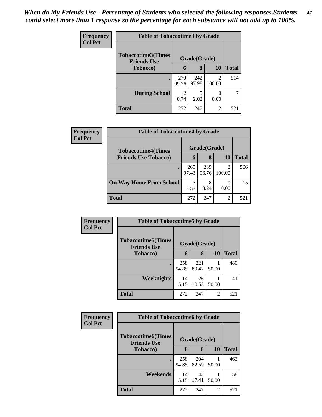| <b>Frequency</b> |                                                 | <b>Table of Tobaccotime3 by Grade</b> |              |                          |              |  |  |
|------------------|-------------------------------------------------|---------------------------------------|--------------|--------------------------|--------------|--|--|
| <b>Col Pct</b>   | <b>Tobaccotime3(Times</b><br><b>Friends Use</b> |                                       | Grade(Grade) |                          |              |  |  |
|                  | <b>Tobacco</b> )                                | 6                                     | 8            | 10                       | <b>Total</b> |  |  |
|                  |                                                 | 270<br>99.26                          | 242<br>97.98 | $\overline{2}$<br>100.00 | 514          |  |  |
|                  | <b>During School</b>                            | $\overline{2}$<br>0.74                | 5<br>2.02    | 0.00                     |              |  |  |
|                  | <b>Total</b>                                    | 272                                   | 247          | $\mathfrak{D}$           | 521          |  |  |

| <b>Frequency</b> | <b>Table of Tobaccotime4 by Grade</b> |              |              |                          |              |
|------------------|---------------------------------------|--------------|--------------|--------------------------|--------------|
| <b>Col Pct</b>   | <b>Tobaccotime4(Times</b>             |              | Grade(Grade) |                          |              |
|                  | <b>Friends Use Tobacco)</b>           | 6            | 8            | 10                       | <b>Total</b> |
|                  |                                       | 265<br>97.43 | 239<br>96.76 | $\mathfrak{D}$<br>100.00 | 506          |
|                  | <b>On Way Home From School</b>        | 2.57         | 8<br>3.24    | 0.00                     | 15           |
|                  | <b>Total</b>                          | 272          | 247          | 2                        | 521          |

| <b>Frequency</b> | <b>Table of Tobaccotime5 by Grade</b>            |              |              |       |              |
|------------------|--------------------------------------------------|--------------|--------------|-------|--------------|
| <b>Col Pct</b>   | <b>Tobaccotime5</b> (Times<br><b>Friends Use</b> |              | Grade(Grade) |       |              |
|                  | <b>Tobacco</b> )                                 | 6            | 8            | 10    | <b>Total</b> |
|                  |                                                  | 258<br>94.85 | 221<br>89.47 | 50.00 | 480          |
|                  | Weeknights                                       | 14<br>5.15   | 26<br>10.53  | 50.00 | 41           |
|                  | <b>Total</b>                                     | 272          | 247          | 2     | 521          |

| <b>Frequency</b> | <b>Table of Tobaccotime6 by Grade</b>           |              |              |           |              |  |
|------------------|-------------------------------------------------|--------------|--------------|-----------|--------------|--|
| <b>Col Pct</b>   | <b>Tobaccotime6(Times</b><br><b>Friends Use</b> |              | Grade(Grade) |           |              |  |
|                  | <b>Tobacco</b> )                                | 6            | 8            | <b>10</b> | <b>Total</b> |  |
|                  |                                                 | 258<br>94.85 | 204<br>82.59 | 50.00     | 463          |  |
|                  | Weekends                                        | 14<br>5.15   | 43<br>17.41  | 50.00     | 58           |  |
|                  | <b>Total</b>                                    | 272          | 247          | 2         | 521          |  |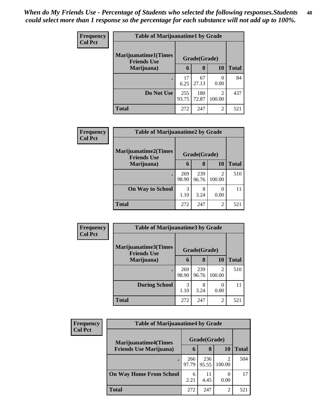| <b>Frequency</b> | <b>Table of Marijuanatime1 by Grade</b>           |              |              |                                       |              |
|------------------|---------------------------------------------------|--------------|--------------|---------------------------------------|--------------|
| <b>Col Pct</b>   | <b>Marijuanatime1(Times</b><br><b>Friends Use</b> |              | Grade(Grade) |                                       |              |
|                  | Marijuana)                                        | 6            | 8            | 10                                    | <b>Total</b> |
|                  |                                                   | 17<br>6.25   | 67<br>27.13  | 0.00                                  | 84           |
|                  | Do Not Use                                        | 255<br>93.75 | 180<br>72.87 | $\mathcal{D}_{\mathcal{L}}$<br>100.00 | 437          |
|                  | <b>Total</b>                                      | 272          | 247          | $\overline{2}$                        | 521          |

| Frequency      | <b>Table of Marijuanatime2 by Grade</b>            |              |              |                |              |
|----------------|----------------------------------------------------|--------------|--------------|----------------|--------------|
| <b>Col Pct</b> | <b>Marijuanatime2</b> (Times<br><b>Friends Use</b> |              | Grade(Grade) |                |              |
|                | Marijuana)                                         | 6            | 8            | 10             | <b>Total</b> |
|                |                                                    | 269<br>98.90 | 239<br>96.76 | っ<br>100.00    | 510          |
|                | <b>On Way to School</b>                            | 3<br>1.10    | 8<br>3.24    | 0.00           | 11           |
|                | <b>Total</b>                                       | 272          | 247          | $\mathfrak{D}$ | 521          |

| Frequency      | <b>Table of Marijuanatime3 by Grade</b>            |              |              |                          |              |
|----------------|----------------------------------------------------|--------------|--------------|--------------------------|--------------|
| <b>Col Pct</b> | <b>Marijuanatime3</b> (Times<br><b>Friends Use</b> |              | Grade(Grade) |                          |              |
|                | Marijuana)                                         | 6            | 8            | 10                       | <b>Total</b> |
|                |                                                    | 269<br>98.90 | 239<br>96.76 | $\mathfrak{D}$<br>100.00 | 510          |
|                | <b>During School</b>                               | 3<br>1.10    | 8<br>3.24    | 0.00                     | 11           |
|                | <b>Total</b>                                       | 272          | 247          | $\overline{c}$           | 521          |

| Frequency      | <b>Table of Marijuanatime4 by Grade</b> |              |              |                |              |
|----------------|-----------------------------------------|--------------|--------------|----------------|--------------|
| <b>Col Pct</b> | <b>Marijuanatime4(Times</b>             |              | Grade(Grade) |                |              |
|                | <b>Friends Use Marijuana</b> )          | 6            | 8            | 10             | <b>Total</b> |
|                |                                         | 266<br>97.79 | 236<br>95.55 | 100.00         | 504          |
|                | <b>On Way Home From School</b>          | 6<br>2.21    | 4.45         | 0.00           | 17           |
|                | <b>Total</b>                            | 272          | 247          | $\overline{2}$ | 521          |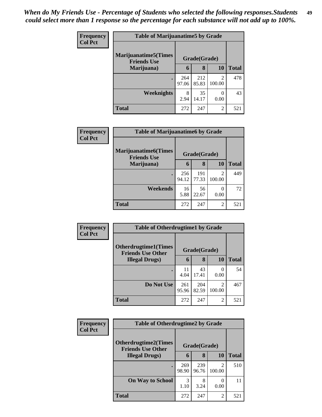| <b>Frequency</b> | <b>Table of Marijuanatime5 by Grade</b>            |              |              |                                       |              |
|------------------|----------------------------------------------------|--------------|--------------|---------------------------------------|--------------|
| <b>Col Pct</b>   | <b>Marijuanatime5</b> (Times<br><b>Friends Use</b> |              | Grade(Grade) |                                       |              |
|                  | Marijuana)                                         | 6            | 8            | 10                                    | <b>Total</b> |
|                  |                                                    | 264<br>97.06 | 212<br>85.83 | $\mathcal{D}_{\mathcal{L}}$<br>100.00 | 478          |
|                  | <b>Weeknights</b>                                  | 8<br>2.94    | 35<br>14.17  | 0.00                                  | 43           |
|                  | <b>Total</b>                                       | 272          | 247          | $\mathfrak{D}$                        | 521          |

| Frequency      | <b>Table of Marijuanatime6 by Grade</b>           |              |              |                          |              |
|----------------|---------------------------------------------------|--------------|--------------|--------------------------|--------------|
| <b>Col Pct</b> | <b>Marijuanatime6(Times</b><br><b>Friends Use</b> |              | Grade(Grade) |                          |              |
|                | Marijuana)                                        | 6            | 8            | 10                       | <b>Total</b> |
|                |                                                   | 256<br>94.12 | 191<br>77.33 | $\mathfrak{D}$<br>100.00 | 449          |
|                | Weekends                                          | 16<br>5.88   | 56<br>22.67  | 0.00                     | 72           |
|                | <b>Total</b>                                      | 272          | 247          | 2                        | 521          |

| <b>Frequency</b> | <b>Table of Otherdrugtime1 by Grade</b>                  |              |              |                          |              |
|------------------|----------------------------------------------------------|--------------|--------------|--------------------------|--------------|
| <b>Col Pct</b>   | <b>Otherdrugtime1</b> (Times<br><b>Friends Use Other</b> |              | Grade(Grade) |                          |              |
|                  | <b>Illegal Drugs</b> )                                   | 6            | 8            | <b>10</b>                | <b>Total</b> |
|                  |                                                          | 11<br>4.04   | 43<br>17.41  | $\left( \right)$<br>0.00 | 54           |
|                  | Do Not Use                                               | 261<br>95.96 | 204<br>82.59 | $\mathfrak{D}$<br>100.00 | 467          |
|                  | <b>Total</b>                                             | 272          | 247          | $\overline{2}$           | 521          |

| <b>Frequency</b> | <b>Table of Otherdrugtime2 by Grade</b>                 |              |              |                |              |
|------------------|---------------------------------------------------------|--------------|--------------|----------------|--------------|
| <b>Col Pct</b>   | <b>Otherdrugtime2(Times</b><br><b>Friends Use Other</b> | Grade(Grade) |              |                |              |
|                  | <b>Illegal Drugs</b> )                                  | 6            | 8            | 10             | <b>Total</b> |
|                  |                                                         | 269<br>98.90 | 239<br>96.76 | 2<br>100.00    | 510          |
|                  | <b>On Way to School</b>                                 | 3<br>1.10    | 8<br>3.24    | 0<br>0.00      | 11           |
|                  | <b>Total</b>                                            | 272          | 247          | $\overline{c}$ | 521          |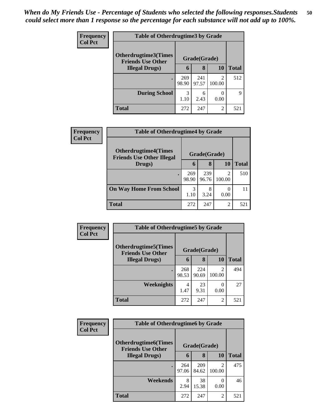| <b>Frequency</b> | <b>Table of Otherdrugtime3 by Grade</b>          |              |              |                          |              |
|------------------|--------------------------------------------------|--------------|--------------|--------------------------|--------------|
| <b>Col Pct</b>   | Otherdrugtime3(Times<br><b>Friends Use Other</b> | Grade(Grade) |              |                          |              |
|                  | <b>Illegal Drugs</b> )                           | 6            | 8            | 10                       | <b>Total</b> |
|                  |                                                  | 269<br>98.90 | 241<br>97.57 | $\mathfrak{D}$<br>100.00 | 512          |
|                  | <b>During School</b>                             | 3<br>1.10    | 6<br>2.43    | 0.00                     | 9            |
|                  | <b>Total</b>                                     | 272          | 247          | $\mathfrak{D}$           | 521          |

| Frequency      | <b>Table of Otherdrugtime4 by Grade</b>                         |              |              |                          |              |
|----------------|-----------------------------------------------------------------|--------------|--------------|--------------------------|--------------|
| <b>Col Pct</b> | <b>Otherdrugtime4(Times</b><br><b>Friends Use Other Illegal</b> |              | Grade(Grade) |                          |              |
|                | Drugs)                                                          | $\mathbf b$  | 8            | 10                       | <b>Total</b> |
|                | $\bullet$                                                       | 269<br>98.90 | 239<br>96.76 | $\mathfrak{D}$<br>100.00 | 510          |
|                | <b>On Way Home From School</b>                                  | 3<br>1.10    | 8<br>3.24    | 0.00                     | 11           |
|                | <b>Total</b>                                                    | 272          | 247          | 2                        | 521          |

| Frequency<br><b>Col Pct</b> | <b>Table of Otherdrugtime5 by Grade</b>                  |              |              |                          |              |
|-----------------------------|----------------------------------------------------------|--------------|--------------|--------------------------|--------------|
|                             | <b>Otherdrugtime5</b> (Times<br><b>Friends Use Other</b> |              | Grade(Grade) |                          |              |
|                             | <b>Illegal Drugs</b> )                                   | 6            | 8            | 10                       | <b>Total</b> |
|                             |                                                          | 268<br>98.53 | 224<br>90.69 | $\overline{2}$<br>100.00 | 494          |
|                             | Weeknights                                               | 4<br>1.47    | 23<br>9.31   | 0<br>0.00                | 27           |
|                             | <b>Total</b>                                             | 272          | 247          | $\overline{2}$           | 521          |

| <b>Frequency</b> | <b>Table of Otherdrugtime6 by Grade</b>                  |              |              |                          |              |
|------------------|----------------------------------------------------------|--------------|--------------|--------------------------|--------------|
| <b>Col Pct</b>   | <b>Otherdrugtime6</b> (Times<br><b>Friends Use Other</b> |              | Grade(Grade) |                          |              |
|                  | <b>Illegal Drugs</b> )                                   | 6            | 8            | 10                       | <b>Total</b> |
|                  |                                                          | 264<br>97.06 | 209<br>84.62 | $\mathfrak{D}$<br>100.00 | 475          |
|                  | Weekends                                                 | 8<br>2.94    | 38<br>15.38  | 0<br>0.00                | 46           |
|                  | <b>Total</b>                                             | 272          | 247          | $\overline{2}$           | 521          |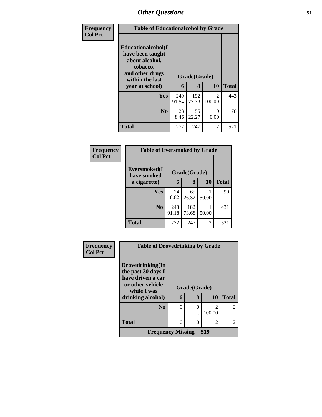| Frequency      | <b>Table of Educationalcohol by Grade</b>                                                                          |              |              |             |              |
|----------------|--------------------------------------------------------------------------------------------------------------------|--------------|--------------|-------------|--------------|
| <b>Col Pct</b> | <b>Educationalcohol</b> (I<br>have been taught<br>about alcohol,<br>tobacco,<br>and other drugs<br>within the last |              | Grade(Grade) |             |              |
|                | year at school)                                                                                                    | 6            | 8            | 10          | <b>Total</b> |
|                | Yes                                                                                                                | 249<br>91.54 | 192<br>77.73 | 2<br>100.00 | 443          |
|                | N <sub>0</sub>                                                                                                     | 23<br>8.46   | 55<br>22.27  | 0<br>0.00   | 78           |
|                | <b>Total</b>                                                                                                       | 272          | 247          | 2           | 521          |

| Frequency<br><b>Col Pct</b> | <b>Table of Eversmoked by Grade</b> |              |              |           |              |
|-----------------------------|-------------------------------------|--------------|--------------|-----------|--------------|
|                             | Eversmoked(I)<br>have smoked        | Grade(Grade) |              |           |              |
|                             | a cigarette)                        | 6            | 8            | <b>10</b> | <b>Total</b> |
|                             | <b>Yes</b>                          | 24<br>8.82   | 65<br>26.32  | 50.00     | 90           |
|                             | N <sub>0</sub>                      | 248<br>91.18 | 182<br>73.68 | 50.00     | 431          |
|                             | <b>Total</b>                        | 272          | 247          | 2         | 521          |

| Frequency      | <b>Table of Drovedrinking by Grade</b>  |          |               |                |                |
|----------------|-----------------------------------------|----------|---------------|----------------|----------------|
| <b>Col Pct</b> |                                         |          |               |                |                |
|                | Drovedrinking(In                        |          |               |                |                |
|                | the past 30 days I<br>have driven a car |          |               |                |                |
|                | or other vehicle<br>while I was         |          | Grade(Grade)  |                |                |
|                | drinking alcohol)                       | 6        | 8             | 10             | <b>Total</b>   |
|                | N <sub>0</sub>                          | $\theta$ | $\Omega$      | $\mathfrak{D}$ | $\mathfrak{D}$ |
|                |                                         |          |               | 100.00         |                |
|                | <b>Total</b>                            | 0        | $\mathcal{O}$ | 2              | $\overline{2}$ |
|                | Frequency Missing $= 519$               |          |               |                |                |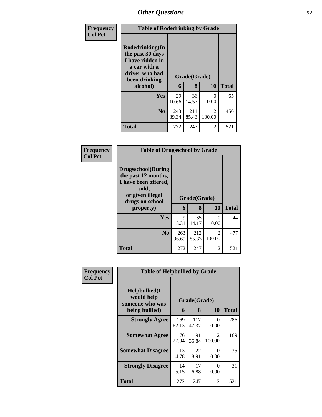| Frequency      | <b>Table of Rodedrinking by Grade</b>                                                                                  |              |                   |                         |              |
|----------------|------------------------------------------------------------------------------------------------------------------------|--------------|-------------------|-------------------------|--------------|
| <b>Col Pct</b> | Rodedrinking(In<br>the past 30 days<br>I have ridden in<br>a car with a<br>driver who had<br>been drinking<br>alcohol) | 6            | Grade(Grade)<br>8 | 10                      | <b>Total</b> |
|                | <b>Yes</b>                                                                                                             | 29<br>10.66  | 36<br>14.57       | $\Omega$<br>0.00        | 65           |
|                | N <sub>o</sub>                                                                                                         | 243<br>89.34 | 211<br>85.43      | $\mathcal{L}$<br>100.00 | 456          |
|                | <b>Total</b>                                                                                                           | 272          | 247               | 2                       | 521          |

| Frequency      | <b>Table of Drugsschool by Grade</b>                                                                                                   |              |                   |             |              |
|----------------|----------------------------------------------------------------------------------------------------------------------------------------|--------------|-------------------|-------------|--------------|
| <b>Col Pct</b> | <b>Drugsschool</b> (During<br>the past 12 months,<br>I have been offered,<br>sold,<br>or given illegal<br>drugs on school<br>property) | 6            | Grade(Grade)<br>8 | 10          | <b>Total</b> |
|                | <b>Yes</b>                                                                                                                             | 9<br>3.31    | 35<br>14.17       | 0<br>0.00   | 44           |
|                | N <sub>0</sub>                                                                                                                         | 263<br>96.69 | 212<br>85.83      | 2<br>100.00 | 477          |
|                | <b>Total</b>                                                                                                                           | 272          | 247               | 2           | 521          |

| Frequency      | <b>Table of Helpbullied by Grade</b>                                   |              |                   |                  |              |
|----------------|------------------------------------------------------------------------|--------------|-------------------|------------------|--------------|
| <b>Col Pct</b> | $Helpb$ ullied $(I$<br>would help<br>someone who was<br>being bullied) | 6            | Grade(Grade)<br>8 | 10               | <b>Total</b> |
|                | <b>Strongly Agree</b>                                                  | 169<br>62.13 | 117<br>47.37      | $\Omega$<br>0.00 | 286          |
|                | <b>Somewhat Agree</b>                                                  | 76<br>27.94  | 91<br>36.84       | 2<br>100.00      | 169          |
|                | <b>Somewhat Disagree</b>                                               | 13<br>4.78   | 22<br>8.91        | 0<br>0.00        | 35           |
|                | <b>Strongly Disagree</b>                                               | 14<br>5.15   | 17<br>6.88        | 0<br>0.00        | 31           |
|                | <b>Total</b>                                                           | 272          | 247               | 2                | 521          |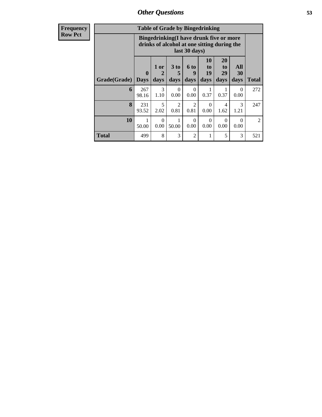| <b>Frequency</b><br>Row Pct |
|-----------------------------|

| <b>Table of Grade by Bingedrinking</b> |                             |                                                                                                         |                              |                   |                        |                        |                   |                |
|----------------------------------------|-----------------------------|---------------------------------------------------------------------------------------------------------|------------------------------|-------------------|------------------------|------------------------|-------------------|----------------|
|                                        |                             | Bingedrinking(I have drunk five or more<br>drinks of alcohol at one sitting during the<br>last 30 days) |                              |                   |                        |                        |                   |                |
| Grade(Grade)                           | $\mathbf{0}$<br><b>Days</b> | 1 or<br>2<br>days                                                                                       | 3 <sub>to</sub><br>5<br>days | 6 to<br>9<br>days | 10<br>to<br>19<br>days | 20<br>to<br>29<br>days | All<br>30<br>days | Total          |
| 6                                      | 267<br>98.16                | 3<br>1.10                                                                                               | $\Omega$<br>0.00             | 0<br>0.00         | 0.37                   | 0.37                   | $\theta$<br>0.00  | 272            |
| 8                                      | 231<br>93.52                | 5<br>2.02                                                                                               | $\mathfrak{D}$<br>0.81       | 2<br>0.81         | 0<br>0.00              | 4<br>1.62              | 3<br>1.21         | 247            |
| 10                                     | 50.00                       | $\Omega$<br>0.00                                                                                        | 50.00                        | $\Omega$<br>0.00  | 0<br>0.00              | $\Omega$<br>0.00       | 0<br>0.00         | $\mathfrak{D}$ |
| <b>Total</b>                           | 499                         | 8                                                                                                       | 3                            | $\overline{2}$    | 1                      | 5                      | 3                 | 521            |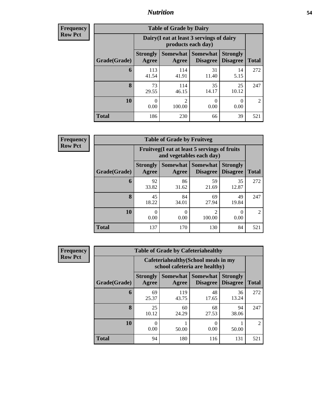### *Nutrition* **54**

**Frequency Row Pct**

| <b>Table of Grade by Dairy</b> |                          |                                                                 |                                    |                                    |              |  |
|--------------------------------|--------------------------|-----------------------------------------------------------------|------------------------------------|------------------------------------|--------------|--|
|                                |                          | Dairy (I eat at least 3 servings of dairy<br>products each day) |                                    |                                    |              |  |
| Grade(Grade)                   | <b>Strongly</b><br>Agree | <b>Somewhat</b><br>Agree                                        | <b>Somewhat</b><br><b>Disagree</b> | <b>Strongly</b><br><b>Disagree</b> | <b>Total</b> |  |
| 6                              | 113<br>41.54             | 114<br>41.91                                                    | 31<br>11.40                        | 14<br>5.15                         | 272          |  |
| 8                              | 73<br>29.55              | 114<br>46.15                                                    | 35<br>14.17                        | 25<br>10.12                        | 247          |  |
| 10                             | 0<br>0.00                | $\mathfrak{D}$<br>100.00                                        | 0<br>0.00                          | 0<br>0.00                          | 2            |  |
| <b>Total</b>                   | 186                      | 230                                                             | 66                                 | 39                                 | 521          |  |

**Frequency Row Pct**

| $\overline{7}$ | <b>Table of Grade by Fruitveg</b> |                          |                                                                          |                                        |                                    |                |  |  |
|----------------|-----------------------------------|--------------------------|--------------------------------------------------------------------------|----------------------------------------|------------------------------------|----------------|--|--|
|                |                                   |                          | Fruitveg(I eat at least 5 servings of fruits<br>and vegetables each day) |                                        |                                    |                |  |  |
|                | Grade(Grade)                      | <b>Strongly</b><br>Agree | Agree                                                                    | Somewhat   Somewhat<br><b>Disagree</b> | <b>Strongly</b><br><b>Disagree</b> | <b>Total</b>   |  |  |
|                | 6                                 | 92<br>33.82              | 86<br>31.62                                                              | 59<br>21.69                            | 35<br>12.87                        | 272            |  |  |
|                | 8                                 | 45<br>18.22              | 84<br>34.01                                                              | 69<br>27.94                            | 49<br>19.84                        | 247            |  |  |
|                | 10                                | 0.00                     | 0.00                                                                     | $\overline{2}$<br>100.00               | 0.00                               | $\overline{2}$ |  |  |
|                | <b>Total</b>                      | 137                      | 170                                                                      | 130                                    | 84                                 | 521            |  |  |

**Frequency Row Pct**

| <b>Table of Grade by Cafeteriahealthy</b> |                          |                                                                       |                                    |                                    |              |  |  |
|-------------------------------------------|--------------------------|-----------------------------------------------------------------------|------------------------------------|------------------------------------|--------------|--|--|
|                                           |                          | Cafeteriahealthy (School meals in my<br>school cafeteria are healthy) |                                    |                                    |              |  |  |
| Grade(Grade)                              | <b>Strongly</b><br>Agree | <b>Somewhat</b><br>Agree                                              | <b>Somewhat</b><br><b>Disagree</b> | <b>Strongly</b><br><b>Disagree</b> | <b>Total</b> |  |  |
| 6                                         | 69<br>25.37              | 119<br>43.75                                                          | 48<br>17.65                        | 36<br>13.24                        | 272          |  |  |
| 8                                         | 25<br>10.12              | 60<br>24.29                                                           | 68<br>27.53                        | 94<br>38.06                        | 247          |  |  |
| 10                                        | 0<br>0.00                | 50.00                                                                 | 0<br>0.00                          | 50.00                              | 2            |  |  |
| <b>Total</b>                              | 94                       | 180                                                                   | 116                                | 131                                | 521          |  |  |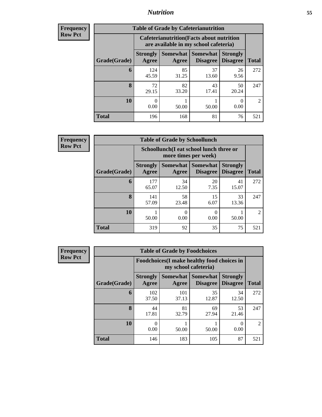### *Nutrition* **55**

| <b>Frequency</b> |
|------------------|
| Row Pct          |

| <b>Table of Grade by Cafeterianutrition</b> |                          |                                                                                           |                                    |                                    |                |  |  |
|---------------------------------------------|--------------------------|-------------------------------------------------------------------------------------------|------------------------------------|------------------------------------|----------------|--|--|
|                                             |                          | <b>Cafeterianutrition</b> (Facts about nutrition<br>are available in my school cafeteria) |                                    |                                    |                |  |  |
| Grade(Grade)                                | <b>Strongly</b><br>Agree | Somewhat  <br>Agree                                                                       | <b>Somewhat</b><br><b>Disagree</b> | <b>Strongly</b><br><b>Disagree</b> | <b>Total</b>   |  |  |
| 6                                           | 124<br>45.59             | 85<br>31.25                                                                               | 37<br>13.60                        | 26<br>9.56                         | 272            |  |  |
| 8                                           | 72<br>29.15              | 82<br>33.20                                                                               | 43<br>17.41                        | 50<br>20.24                        | 247            |  |  |
| 10                                          | 0<br>0.00                | 50.00                                                                                     | 50.00                              | 0<br>0.00                          | $\mathfrak{D}$ |  |  |
| <b>Total</b>                                | 196                      | 168                                                                                       | 81                                 | 76                                 | 521            |  |  |

**Frequency Row Pct**

| <b>Table of Grade by Schoollunch</b> |                          |                                                                 |                                 |                                    |                |  |  |
|--------------------------------------|--------------------------|-----------------------------------------------------------------|---------------------------------|------------------------------------|----------------|--|--|
|                                      |                          | Schoollunch(I eat school lunch three or<br>more times per week) |                                 |                                    |                |  |  |
| Grade(Grade)                         | <b>Strongly</b><br>Agree | Agree                                                           | Somewhat   Somewhat<br>Disagree | <b>Strongly</b><br><b>Disagree</b> | <b>Total</b>   |  |  |
| 6                                    | 177<br>65.07             | 34<br>12.50                                                     | 20<br>7.35                      | 41<br>15.07                        | 272            |  |  |
| 8                                    | 141<br>57.09             | 58<br>23.48                                                     | 15<br>6.07                      | 33<br>13.36                        | 247            |  |  |
| 10                                   | 50.00                    | ∩<br>0.00                                                       | 0.00                            | 50.00                              | $\overline{2}$ |  |  |
| <b>Total</b>                         | 319                      | 92                                                              | 35                              | 75                                 | 521            |  |  |

| <b>Frequency</b> |
|------------------|
| <b>Row Pct</b>   |

| <b>Table of Grade by Foodchoices</b> |                          |                                                                     |                                    |                                    |                             |  |  |
|--------------------------------------|--------------------------|---------------------------------------------------------------------|------------------------------------|------------------------------------|-----------------------------|--|--|
|                                      |                          | Foodchoices (I make healthy food choices in<br>my school cafeteria) |                                    |                                    |                             |  |  |
| Grade(Grade)                         | <b>Strongly</b><br>Agree | Somewhat  <br>Agree                                                 | <b>Somewhat</b><br><b>Disagree</b> | <b>Strongly</b><br><b>Disagree</b> | <b>Total</b>                |  |  |
| 6                                    | 102<br>37.50             | 101<br>37.13                                                        | 35<br>12.87                        | 34<br>12.50                        | 272                         |  |  |
| 8                                    | 44<br>17.81              | 81<br>32.79                                                         | 69<br>27.94                        | 53<br>21.46                        | 247                         |  |  |
| 10                                   | 0<br>0.00                | 50.00                                                               | 50.00                              | 0<br>0.00                          | $\mathcal{D}_{\mathcal{L}}$ |  |  |
| <b>Total</b>                         | 146                      | 183                                                                 | 105                                | 87                                 | 521                         |  |  |

٦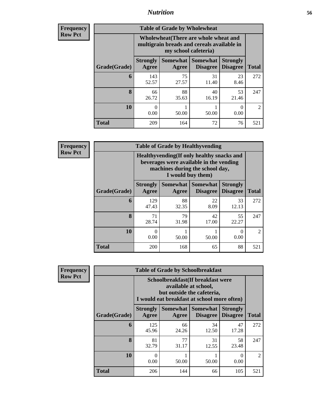### *Nutrition* **56**

| <b>Frequency</b><br>Row Pct |
|-----------------------------|
|                             |

| <b>Table of Grade by Wholewheat</b> |                                                                                                             |             |                                        |                                    |                |  |  |
|-------------------------------------|-------------------------------------------------------------------------------------------------------------|-------------|----------------------------------------|------------------------------------|----------------|--|--|
|                                     | Wholewheat (There are whole wheat and<br>multigrain breads and cereals available in<br>my school cafeteria) |             |                                        |                                    |                |  |  |
| Grade(Grade)                        | <b>Strongly</b><br>Agree                                                                                    | Agree       | Somewhat   Somewhat<br><b>Disagree</b> | <b>Strongly</b><br><b>Disagree</b> | <b>Total</b>   |  |  |
| 6                                   | 143<br>52.57                                                                                                | 75<br>27.57 | 31<br>11.40                            | 23<br>8.46                         | 272            |  |  |
| 8                                   | 66<br>26.72                                                                                                 | 88<br>35.63 | 40<br>16.19                            | 53<br>21.46                        | 247            |  |  |
| 10                                  | $\mathbf{0}$<br>0.00                                                                                        | 50.00       | 50.00                                  | 0<br>0.00                          | $\overline{2}$ |  |  |
| <b>Total</b>                        | 209                                                                                                         | 164         | 72                                     | 76                                 | 521            |  |  |

**Frequency Row Pct**

| <b>Table of Grade by Healthyvending</b>                                                                                                       |                          |             |                                          |                                    |               |  |
|-----------------------------------------------------------------------------------------------------------------------------------------------|--------------------------|-------------|------------------------------------------|------------------------------------|---------------|--|
| Healthyvending (If only healthy snacks and<br>beverages were available in the vending<br>machines during the school day,<br>I would buy them) |                          |             |                                          |                                    |               |  |
| Grade(Grade)                                                                                                                                  | <b>Strongly</b><br>Agree | Agree       | Somewhat   Somewhat  <br><b>Disagree</b> | <b>Strongly</b><br><b>Disagree</b> | <b>Total</b>  |  |
| 6                                                                                                                                             | 129<br>47.43             | 88<br>32.35 | 22<br>8.09                               | 33<br>12.13                        | 272           |  |
| 8                                                                                                                                             | 71<br>28.74              | 79<br>31.98 | 42<br>17.00                              | 55<br>22.27                        | 247           |  |
| 10                                                                                                                                            | $\mathcal{O}$<br>0.00    | 50.00       | 50.00                                    | 0<br>0.00                          | $\mathcal{D}$ |  |
| <b>Total</b>                                                                                                                                  | 200                      | 168         | 65                                       | 88                                 | 521           |  |

**Frequency Row Pct**

| <b>Table of Grade by Schoolbreakfast</b> |                          |                                                                                                                                         |             |             |                |  |  |  |
|------------------------------------------|--------------------------|-----------------------------------------------------------------------------------------------------------------------------------------|-------------|-------------|----------------|--|--|--|
|                                          |                          | Schoolbreakfast (If breakfast were<br>available at school,<br>but outside the cafeteria,<br>I would eat breakfast at school more often) |             |             |                |  |  |  |
| Grade(Grade)                             | <b>Strongly</b><br>Agree | Somewhat<br>Somewhat  <br><b>Strongly</b><br><b>Disagree</b><br><b>Total</b><br><b>Disagree</b><br>Agree                                |             |             |                |  |  |  |
| 6                                        | 125<br>45.96             | 66<br>24.26                                                                                                                             | 34<br>12.50 | 47<br>17.28 | 272            |  |  |  |
| 8                                        | 81<br>32.79              | 77<br>31.17                                                                                                                             | 31<br>12.55 | 58<br>23.48 | 247            |  |  |  |
| 10                                       | 0<br>0.00                | 50.00                                                                                                                                   | 50.00       | 0<br>0.00   | $\mathfrak{D}$ |  |  |  |
| <b>Total</b>                             | 206                      | 144                                                                                                                                     | 66          | 105         | 521            |  |  |  |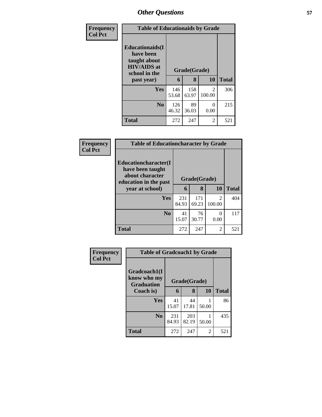| Frequency      | <b>Table of Educationaids by Grade</b>                                                                    |              |                   |                          |              |
|----------------|-----------------------------------------------------------------------------------------------------------|--------------|-------------------|--------------------------|--------------|
| <b>Col Pct</b> | <b>Educationaids</b> (I<br>have been<br>taught about<br><b>HIV/AIDS</b> at<br>school in the<br>past year) | 6            | Grade(Grade)<br>8 | 10                       | <b>Total</b> |
|                | Yes                                                                                                       | 146<br>53.68 | 158<br>63.97      | $\mathfrak{D}$<br>100.00 | 306          |
|                | N <sub>0</sub>                                                                                            | 126<br>46.32 | 89<br>36.03       | $\Omega$<br>0.00         | 215          |
|                | <b>Total</b>                                                                                              | 272          | 247               | $\overline{2}$           | 521          |

| <b>Frequency</b> | <b>Table of Educationcharacter by Grade</b>                                          |              |              |                          |              |  |
|------------------|--------------------------------------------------------------------------------------|--------------|--------------|--------------------------|--------------|--|
| <b>Col Pct</b>   | Educationcharacter(I<br>have been taught<br>about character<br>education in the past | Grade(Grade) |              |                          |              |  |
|                  | year at school)                                                                      | 6            | 8            | 10                       | <b>Total</b> |  |
|                  | <b>Yes</b>                                                                           | 231<br>84.93 | 171<br>69.23 | $\mathfrak{D}$<br>100.00 | 404          |  |
|                  | N <sub>0</sub>                                                                       | 41<br>15.07  | 76<br>30.77  | 0<br>0.00                | 117          |  |
|                  | <b>Total</b>                                                                         | 272          | 247          | $\overline{c}$           | 521          |  |

| Frequency      | <b>Table of Gradcoach1 by Grade</b>              |              |              |                |              |
|----------------|--------------------------------------------------|--------------|--------------|----------------|--------------|
| <b>Col Pct</b> | Gradcoach1(I<br>know who my<br><b>Graduation</b> | Grade(Grade) |              |                |              |
|                | Coach is)                                        | 6            | 8            | 10             | <b>Total</b> |
|                | Yes                                              | 41<br>15.07  | 44<br>17.81  | 50.00          | 86           |
|                | N <sub>0</sub>                                   | 231<br>84.93 | 203<br>82.19 | 50.00          | 435          |
|                | <b>Total</b>                                     | 272          | 247          | $\overline{2}$ | 521          |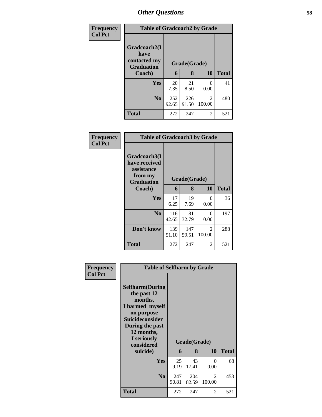| <b>Frequency</b> | <b>Table of Gradcoach2 by Grade</b>                       |              |              |             |              |
|------------------|-----------------------------------------------------------|--------------|--------------|-------------|--------------|
| <b>Col Pct</b>   | Gradcoach2(I<br>have<br>contacted my<br><b>Graduation</b> | Grade(Grade) |              |             |              |
|                  | Coach)                                                    | 6            | 8            | 10          | <b>Total</b> |
|                  | Yes                                                       | 20<br>7.35   | 21<br>8.50   | 0.00        | 41           |
|                  | N <sub>0</sub>                                            | 252<br>92.65 | 226<br>91.50 | 2<br>100.00 | 480          |
|                  | Total                                                     | 272          | 247          | 2           | 521          |

| Frequency<br><b>Col Pct</b> | <b>Table of Gradcoach3 by Grade</b>                                         |              |              |                          |              |
|-----------------------------|-----------------------------------------------------------------------------|--------------|--------------|--------------------------|--------------|
|                             | Gradcoach3(I<br>have received<br>assistance<br>from my<br><b>Graduation</b> |              | Grade(Grade) |                          |              |
|                             | Coach)                                                                      | 6            | 8            | 10                       | <b>Total</b> |
|                             | Yes                                                                         | 17<br>6.25   | 19<br>7.69   | 0<br>0.00                | 36           |
|                             | N <sub>0</sub>                                                              | 116<br>42.65 | 81<br>32.79  | 0<br>0.00                | 197          |
|                             | Don't know                                                                  | 139<br>51.10 | 147<br>59.51 | $\mathfrak{D}$<br>100.00 | 288          |
|                             | Total                                                                       | 272          | 247          | 2                        | 521          |

| Frequency<br><b>Col Pct</b> | <b>Table of Selfharm by Grade</b>                                                                                                                                          |              |              |             |              |
|-----------------------------|----------------------------------------------------------------------------------------------------------------------------------------------------------------------------|--------------|--------------|-------------|--------------|
|                             | <b>Selfharm</b> (During<br>the past 12<br>months,<br>I harmed myself<br>on purpose<br><b>Suicideconsider</b><br>During the past<br>12 months,<br>I seriously<br>considered |              | Grade(Grade) |             |              |
|                             | suicide)                                                                                                                                                                   | 6            | 8            | 10          | <b>Total</b> |
|                             | Yes                                                                                                                                                                        | 25<br>9.19   | 43<br>17.41  | 0<br>0.00   | 68           |
|                             | N <sub>0</sub>                                                                                                                                                             | 247<br>90.81 | 204<br>82.59 | 2<br>100.00 | 453          |
|                             | Total                                                                                                                                                                      | 272          | 247          | 2           | 521          |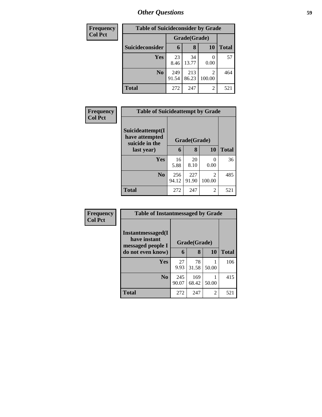| <b>Frequency</b> | <b>Table of Suicideconsider by Grade</b> |              |              |           |              |
|------------------|------------------------------------------|--------------|--------------|-----------|--------------|
| <b>Col Pct</b>   |                                          | Grade(Grade) |              |           |              |
|                  | Suicideconsider                          | 6            | 8            | <b>10</b> | <b>Total</b> |
|                  | Yes                                      | 23<br>8.46   | 34<br>13.77  | 0.00      | 57           |
|                  | N <sub>0</sub>                           | 249<br>91.54 | 213<br>86.23 | 100.00    | 464          |
|                  | <b>Total</b>                             | 272          | 247          | 2         | 521          |

| Frequency      | <b>Table of Suicideattempt by Grade</b>              |              |              |                          |              |
|----------------|------------------------------------------------------|--------------|--------------|--------------------------|--------------|
| <b>Col Pct</b> | Suicideattempt(I<br>have attempted<br>suicide in the | Grade(Grade) |              |                          |              |
|                | last year)                                           | 6            | 8            | <b>10</b>                | <b>Total</b> |
|                | Yes                                                  | 16<br>5.88   | 20<br>8.10   | 0<br>0.00                | 36           |
|                | N <sub>0</sub>                                       | 256<br>94.12 | 227<br>91.90 | $\mathfrak{D}$<br>100.00 | 485          |
|                | <b>Total</b>                                         | 272          | 247          | 2                        | 521          |

| <b>Frequency</b> |
|------------------|
| <b>Col Pct</b>   |

| <b>Table of Instantmessaged by Grade</b>               |              |              |       |              |  |  |  |
|--------------------------------------------------------|--------------|--------------|-------|--------------|--|--|--|
| Instantmessaged(I<br>have instant<br>messaged people I | Grade(Grade) |              |       |              |  |  |  |
| do not even know)                                      | 6            | 8            | 10    | <b>Total</b> |  |  |  |
| Yes                                                    | 27<br>9.93   | 78<br>31.58  | 50.00 | 106          |  |  |  |
| $\bf No$                                               | 245<br>90.07 | 169<br>68.42 | 50.00 | 415          |  |  |  |
| <b>Total</b>                                           | 272          | 247          | 2     | 521          |  |  |  |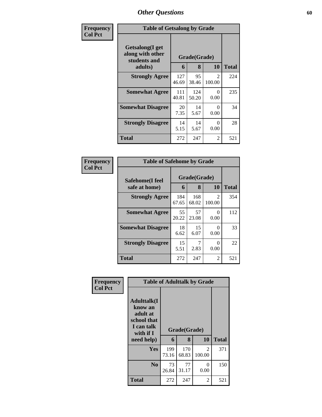| Frequency      | <b>Table of Getsalong by Grade</b>                             |              |                   |                         |              |
|----------------|----------------------------------------------------------------|--------------|-------------------|-------------------------|--------------|
| <b>Col Pct</b> | Getsalong(I get<br>along with other<br>students and<br>adults) | 6            | Grade(Grade)<br>8 | 10                      | <b>Total</b> |
|                | <b>Strongly Agree</b>                                          | 127<br>46.69 | 95<br>38.46       | $\mathcal{L}$<br>100.00 | 224          |
|                | <b>Somewhat Agree</b>                                          | 111<br>40.81 | 124<br>50.20      | 0<br>0.00               | 235          |
|                | <b>Somewhat Disagree</b>                                       | 20<br>7.35   | 14<br>5.67        | $\Omega$<br>0.00        | 34           |
|                | <b>Strongly Disagree</b>                                       | 14<br>5.15   | 14<br>5.67        | 0<br>0.00               | 28           |
|                | Total                                                          | 272          | 247               | 2                       | 521          |

| Frequency      | <b>Table of Safehome by Grade</b> |              |                   |                          |              |  |
|----------------|-----------------------------------|--------------|-------------------|--------------------------|--------------|--|
| <b>Col Pct</b> | Safehome(I feel<br>safe at home)  | 6            | Grade(Grade)<br>8 | <b>10</b>                | <b>Total</b> |  |
|                |                                   |              |                   |                          |              |  |
|                | <b>Strongly Agree</b>             | 184<br>67.65 | 168<br>68.02      | $\mathfrak{D}$<br>100.00 | 354          |  |
|                | <b>Somewhat Agree</b>             | 55<br>20.22  | 57<br>23.08       | 0<br>0.00                | 112          |  |
|                | <b>Somewhat Disagree</b>          | 18<br>6.62   | 15<br>6.07        | 0<br>0.00                | 33           |  |
|                | <b>Strongly Disagree</b>          | 15<br>5.51   | 2.83              | 0<br>0.00                | 22           |  |
|                | <b>Total</b>                      | 272          | 247               | $\overline{2}$           | 521          |  |

| Frequency      | <b>Table of Adulttalk by Grade</b>                                                                |              |                   |                          |              |  |
|----------------|---------------------------------------------------------------------------------------------------|--------------|-------------------|--------------------------|--------------|--|
| <b>Col Pct</b> | <b>Adulttalk(I</b><br>know an<br>adult at<br>school that<br>I can talk<br>with if I<br>need help) | 6            | Grade(Grade)<br>8 | 10                       | <b>Total</b> |  |
|                | <b>Yes</b>                                                                                        | 199<br>73.16 | 170<br>68.83      | $\mathfrak{D}$<br>100.00 | 371          |  |
|                | N <sub>0</sub>                                                                                    | 73<br>26.84  | 77<br>31.17       | 0<br>0.00                | 150          |  |
|                | <b>Total</b>                                                                                      | 272          | 247               | 2                        | 521          |  |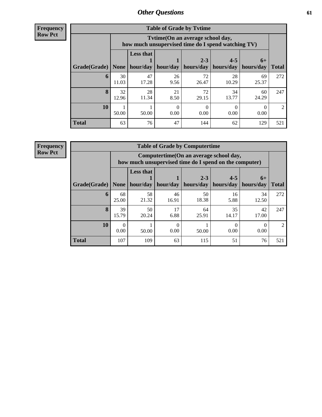**Frequency Row Pct**

| <b>Table of Grade by Tytime</b> |             |                                                                                        |            |                      |                      |                   |                |
|---------------------------------|-------------|----------------------------------------------------------------------------------------|------------|----------------------|----------------------|-------------------|----------------|
|                                 |             | Tytime(On an average school day,<br>how much unsupervised time do I spend watching TV) |            |                      |                      |                   |                |
| Grade(Grade)                    | None        | <b>Less that</b><br>hour/day                                                           | hour/day   | $2 - 3$<br>hours/day | $4 - 5$<br>hours/day | $6+$<br>hours/day | <b>Total</b>   |
| 6                               | 30<br>11.03 | 47<br>17.28                                                                            | 26<br>9.56 | 72<br>26.47          | 28<br>10.29          | 69<br>25.37       | 272            |
| 8                               | 32<br>12.96 | 28<br>11.34                                                                            | 21<br>8.50 | 72<br>29.15          | 34<br>13.77          | 60<br>24.29       | 247            |
| 10                              | 50.00       | 50.00                                                                                  | 0<br>0.00  | 0.00                 | 0.00                 | 0.00              | $\mathfrak{D}$ |
| <b>Total</b>                    | 63          | 76                                                                                     | 47         | 144                  | 62                   | 129               | 521            |

**Frequency**

**Row Pct**

| <b>Table of Grade by Computertime</b> |             |                                                                                                   |             |                      |                      |                   |                |
|---------------------------------------|-------------|---------------------------------------------------------------------------------------------------|-------------|----------------------|----------------------|-------------------|----------------|
|                                       |             | Computertime (On an average school day,<br>how much unsupervised time do I spend on the computer) |             |                      |                      |                   |                |
| Grade(Grade)                          | None        | <b>Less that</b><br>hour/day                                                                      | hour/day    | $2 - 3$<br>hours/day | $4 - 5$<br>hours/day | $6+$<br>hours/day | <b>Total</b>   |
| 6                                     | 68<br>25.00 | 58<br>21.32                                                                                       | 46<br>16.91 | 50<br>18.38          | 16<br>5.88           | 34<br>12.50       | 272            |
| 8                                     | 39<br>15.79 | 50<br>20.24                                                                                       | 17<br>6.88  | 64<br>25.91          | 35<br>14.17          | 42<br>17.00       | 247            |
| 10                                    | 0.00        | 50.00                                                                                             | 0<br>0.00   | 50.00                | 0.00                 | 0.00              | $\mathfrak{D}$ |
| <b>Total</b>                          | 107         | 109                                                                                               | 63          | 115                  | 51                   | 76                | 521            |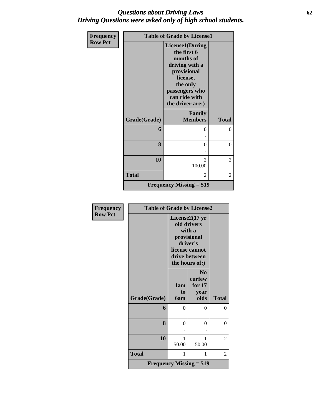### *Questions about Driving Laws* **62** *Driving Questions were asked only of high school students.*

| Frequency      | <b>Table of Grade by License1</b> |                                                                                                                                                                    |                |  |
|----------------|-----------------------------------|--------------------------------------------------------------------------------------------------------------------------------------------------------------------|----------------|--|
| <b>Row Pct</b> |                                   | <b>License1(During</b><br>the first 6<br>months of<br>driving with a<br>provisional<br>license,<br>the only<br>passengers who<br>can ride with<br>the driver are:) |                |  |
|                | Grade(Grade)                      | Family<br><b>Members</b>                                                                                                                                           | <b>Total</b>   |  |
|                | 6                                 | 0                                                                                                                                                                  | $\Omega$       |  |
|                | 8                                 | 0                                                                                                                                                                  | $\overline{0}$ |  |
|                | 10                                | $\mathfrak{D}$<br>100.00                                                                                                                                           | 2              |  |
|                | <b>Total</b>                      | $\mathfrak{D}$                                                                                                                                                     | 2              |  |
|                |                                   | <b>Frequency Missing <math>= 519</math></b>                                                                                                                        |                |  |

| Frequency      | <b>Table of Grade by License2</b> |                         |                                                                                                                         |              |
|----------------|-----------------------------------|-------------------------|-------------------------------------------------------------------------------------------------------------------------|--------------|
| <b>Row Pct</b> |                                   |                         | License2(17 yr<br>old drivers<br>with a<br>provisional<br>driver's<br>license cannot<br>drive between<br>the hours of:) |              |
|                | Grade(Grade)                      | 1am<br>to<br><b>6am</b> | N <sub>0</sub><br>curfew<br>for $17$<br>year<br>olds                                                                    | <b>Total</b> |
|                | 6                                 | 0                       | 0                                                                                                                       | $\theta$     |
|                | 8                                 | 0                       | 0                                                                                                                       | $\theta$     |
|                | 10                                | 1<br>50.00              | 1<br>50.00                                                                                                              | 2            |
|                | <b>Total</b>                      | 1                       | 1                                                                                                                       | 2            |
|                |                                   |                         | <b>Frequency Missing <math>= 519</math></b>                                                                             |              |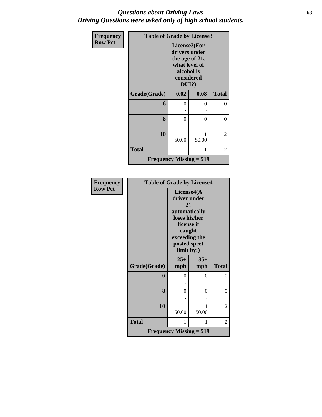### *Questions about Driving Laws* **63** *Driving Questions were asked only of high school students.*

| <b>Frequency</b> | <b>Table of Grade by License3</b> |                                                                                                          |       |              |
|------------------|-----------------------------------|----------------------------------------------------------------------------------------------------------|-------|--------------|
| <b>Row Pct</b>   |                                   | License3(For<br>drivers under<br>the age of 21,<br>what level of<br>alcohol is<br>considered<br>$DUI$ ?) |       |              |
|                  | Grade(Grade)                      | 0.02                                                                                                     | 0.08  | <b>Total</b> |
|                  | 6                                 | $\theta$                                                                                                 | 0     | 0            |
|                  |                                   |                                                                                                          |       |              |
|                  | 8                                 | 0                                                                                                        | 0     | 0            |
|                  |                                   |                                                                                                          |       |              |
|                  | 10                                | 1<br>50.00                                                                                               | 50.00 | 2            |
|                  | <b>Total</b>                      | 1                                                                                                        | 1     | 2            |
|                  | Frequency Missing $= 519$         |                                                                                                          |       |              |

| <b>Frequency</b> | <b>Table of Grade by License4</b> |                                                                                                                                           |              |                |
|------------------|-----------------------------------|-------------------------------------------------------------------------------------------------------------------------------------------|--------------|----------------|
| <b>Row Pct</b>   |                                   | License4(A<br>driver under<br>21<br>automatically<br>loses his/her<br>license if<br>caught<br>exceeding the<br>posted speet<br>limit by:) |              |                |
|                  | Grade(Grade)                      | $25+$<br>mph                                                                                                                              | $35+$<br>mph | <b>Total</b>   |
|                  | 6                                 | $\theta$                                                                                                                                  | $\Omega$     | $\theta$       |
|                  | 8                                 | 0                                                                                                                                         | 0            | $\theta$       |
|                  | 10                                | 1<br>50.00                                                                                                                                | 1<br>50.00   | 2              |
|                  | <b>Total</b>                      | 1                                                                                                                                         | 1            | $\overline{2}$ |
|                  |                                   | Frequency Missing $= 519$                                                                                                                 |              |                |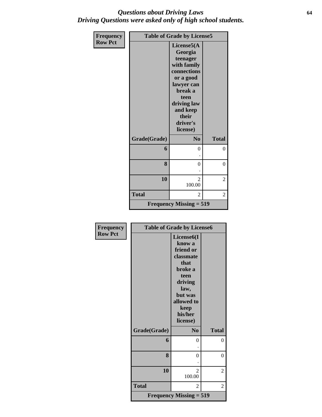### *Questions about Driving Laws* **64** *Driving Questions were asked only of high school students.*

| <b>Frequency</b> |              | <b>Table of Grade by License5</b>                                                                                                                                         |              |
|------------------|--------------|---------------------------------------------------------------------------------------------------------------------------------------------------------------------------|--------------|
| <b>Row Pct</b>   |              | License5(A<br>Georgia<br>teenager<br>with family<br>connections<br>or a good<br>lawyer can<br>break a<br>teen<br>driving law<br>and keep<br>their<br>driver's<br>license) |              |
|                  | Grade(Grade) | N <sub>0</sub>                                                                                                                                                            | <b>Total</b> |
|                  | 6            | $\theta$                                                                                                                                                                  | 0            |
|                  | 8            | $\theta$                                                                                                                                                                  | $\theta$     |
|                  | 10           | $\overline{2}$<br>100.00                                                                                                                                                  | 2            |
|                  | <b>Total</b> | 2                                                                                                                                                                         | 2            |
|                  |              | <b>Frequency Missing = 519</b>                                                                                                                                            |              |

| <b>Frequency</b> |              | <b>Table of Grade by License6</b>                                                                                                  |                |
|------------------|--------------|------------------------------------------------------------------------------------------------------------------------------------|----------------|
| <b>Row Pct</b>   |              | License <sub>6</sub> (I<br>know a<br>friend or<br>classmate<br>that<br>broke a<br>teen<br>driving<br>law,<br>but was<br>allowed to |                |
|                  |              | keep<br>his/her<br>license)                                                                                                        |                |
|                  | Grade(Grade) | N <sub>0</sub>                                                                                                                     | <b>Total</b>   |
|                  | 6            | 0                                                                                                                                  | 0              |
|                  | 8            | $\theta$                                                                                                                           | $\theta$       |
|                  | 10           | 2<br>100.00                                                                                                                        | $\overline{c}$ |
|                  | <b>Total</b> | 2                                                                                                                                  | 2              |
|                  |              | <b>Frequency Missing = 519</b>                                                                                                     |                |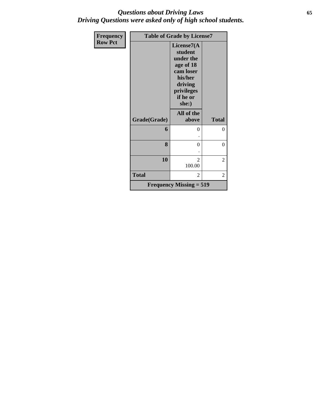### *Questions about Driving Laws* **65** *Driving Questions were asked only of high school students.*

| <b>Frequency</b> |                           | <b>Table of Grade by License7</b>                                                                                     |                  |  |  |
|------------------|---------------------------|-----------------------------------------------------------------------------------------------------------------------|------------------|--|--|
| <b>Row Pct</b>   |                           | License7(A<br>student<br>under the<br>age of 18<br>cam loser<br>his/her<br>driving<br>privileges<br>if he or<br>she:) |                  |  |  |
|                  | Grade(Grade)              | All of the<br>above                                                                                                   | <b>Total</b>     |  |  |
|                  | 6                         | 0                                                                                                                     | $\theta$         |  |  |
|                  | 8                         | 0                                                                                                                     | $\boldsymbol{0}$ |  |  |
|                  | 10                        | $\overline{\mathcal{L}}$<br>100.00                                                                                    | $\overline{c}$   |  |  |
|                  | <b>Total</b>              | $\overline{2}$                                                                                                        | 2                |  |  |
|                  | Frequency Missing $= 519$ |                                                                                                                       |                  |  |  |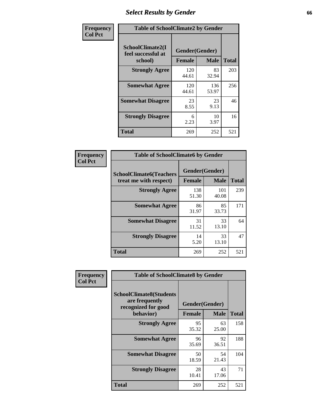# *Select Results by Gender* **66**

| Frequency      | <b>Table of SchoolClimate2 by Gender</b>          |                                 |              |              |  |
|----------------|---------------------------------------------------|---------------------------------|--------------|--------------|--|
| <b>Col Pct</b> | SchoolClimate2(I<br>feel successful at<br>school) | Gender(Gender)<br><b>Female</b> | <b>Male</b>  | <b>Total</b> |  |
|                | <b>Strongly Agree</b>                             | 120<br>44.61                    | 83<br>32.94  | 203          |  |
|                | <b>Somewhat Agree</b>                             | 120<br>44.61                    | 136<br>53.97 | 256          |  |
|                | <b>Somewhat Disagree</b>                          | 23<br>8.55                      | 23<br>9.13   | 46           |  |
|                | <b>Strongly Disagree</b>                          | 6<br>2.23                       | 10<br>3.97   | 16           |  |
|                | <b>Total</b>                                      | 269                             | 252          | 521          |  |

| Frequency      | <b>Table of SchoolClimate6 by Gender</b>                 |                                 |              |              |  |
|----------------|----------------------------------------------------------|---------------------------------|--------------|--------------|--|
| <b>Col Pct</b> | <b>SchoolClimate6(Teachers</b><br>treat me with respect) | Gender(Gender)<br><b>Female</b> | <b>Male</b>  | <b>Total</b> |  |
|                | <b>Strongly Agree</b>                                    | 138<br>51.30                    | 101<br>40.08 | 239          |  |
|                | <b>Somewhat Agree</b>                                    | 86<br>31.97                     | 85<br>33.73  | 171          |  |
|                | <b>Somewhat Disagree</b>                                 | 31<br>11.52                     | 33<br>13.10  | 64           |  |
|                | <b>Strongly Disagree</b>                                 | 14<br>5.20                      | 33<br>13.10  | 47           |  |
|                | Total                                                    | 269                             | 252          | 521          |  |

| <b>Frequency</b> | <b>Table of SchoolClimate8 by Gender</b>                                             |               |                               |              |
|------------------|--------------------------------------------------------------------------------------|---------------|-------------------------------|--------------|
| <b>Col Pct</b>   | <b>SchoolClimate8(Students</b><br>are frequently<br>recognized for good<br>behavior) | <b>Female</b> | Gender(Gender)<br><b>Male</b> | <b>Total</b> |
|                  | <b>Strongly Agree</b>                                                                | 95<br>35.32   | 63<br>25.00                   | 158          |
|                  | <b>Somewhat Agree</b>                                                                | 96<br>35.69   | 92<br>36.51                   | 188          |
|                  | <b>Somewhat Disagree</b>                                                             | 50<br>18.59   | 54<br>21.43                   | 104          |
|                  | <b>Strongly Disagree</b>                                                             | 28<br>10.41   | 43<br>17.06                   | 71           |
|                  | Total                                                                                | 269           | 252                           | 521          |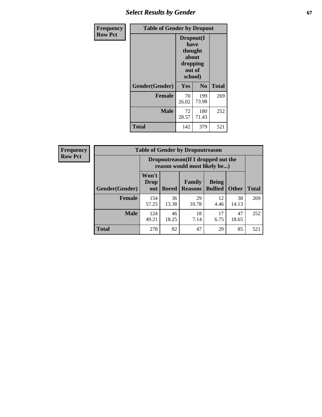## **Select Results by Gender 67**

| Frequency      | <b>Table of Gender by Dropout</b> |                                                                        |                |              |
|----------------|-----------------------------------|------------------------------------------------------------------------|----------------|--------------|
| <b>Row Pct</b> |                                   | Dropout(I<br>have<br>thought<br>about<br>dropping<br>out of<br>school) |                |              |
|                | Gender(Gender)                    | Yes                                                                    | N <sub>0</sub> | <b>Total</b> |
|                | <b>Female</b>                     | 70<br>26.02                                                            | 199<br>73.98   | 269          |
|                | <b>Male</b>                       | 72<br>28.57                                                            | 180<br>71.43   | 252          |
|                | <b>Total</b>                      | 142                                                                    | 379            | 521          |

| Frequency      | <b>Table of Gender by Dropoutreason</b> |                             |                                                                    |                          |                           |              |              |
|----------------|-----------------------------------------|-----------------------------|--------------------------------------------------------------------|--------------------------|---------------------------|--------------|--------------|
| <b>Row Pct</b> |                                         |                             | Dropoutreason(If I dropped out the<br>reason would most likely be) |                          |                           |              |              |
|                | <b>Gender</b> (Gender)                  | Won't<br><b>Drop</b><br>out | <b>Bored</b>                                                       | Family<br><b>Reasons</b> | <b>Being</b><br>  Bullied | <b>Other</b> | <b>Total</b> |
|                | <b>Female</b>                           | 154<br>57.25                | 36<br>13.38                                                        | 29<br>10.78              | 12<br>4.46                | 38<br>14.13  | 269          |
|                | <b>Male</b>                             | 124<br>49.21                | 46<br>18.25                                                        | 18<br>7.14               | 17<br>6.75                | 47<br>18.65  | 252          |
|                | <b>Total</b>                            | 278                         | 82                                                                 | 47                       | 29                        | 85           | 521          |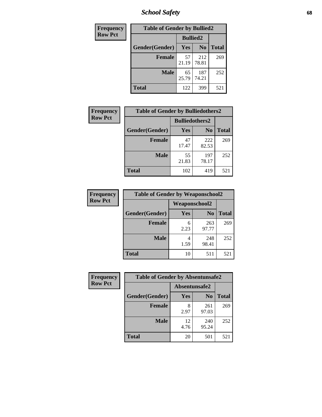*School Safety* **68**

| Frequency      | <b>Table of Gender by Bullied2</b> |                 |                |              |
|----------------|------------------------------------|-----------------|----------------|--------------|
| <b>Row Pct</b> |                                    | <b>Bullied2</b> |                |              |
|                | Gender(Gender)                     | <b>Yes</b>      | N <sub>0</sub> | <b>Total</b> |
|                | <b>Female</b>                      | 57<br>21.19     | 212<br>78.81   | 269          |
|                | <b>Male</b>                        | 65<br>25.79     | 187<br>74.21   | 252          |
|                | Total                              | 122             | 399            | 521          |

| Frequency      | <b>Table of Gender by Bulliedothers2</b> |                       |                |              |
|----------------|------------------------------------------|-----------------------|----------------|--------------|
| <b>Row Pct</b> |                                          | <b>Bulliedothers2</b> |                |              |
|                | Gender(Gender)                           | Yes                   | N <sub>0</sub> | <b>Total</b> |
|                | <b>Female</b>                            | 47<br>17.47           | 222<br>82.53   | 269          |
|                | <b>Male</b>                              | 55<br>21.83           | 197<br>78.17   | 252          |
|                | <b>Total</b>                             | 102                   | 419            | 521          |

| <b>Frequency</b> | <b>Table of Gender by Weaponschool2</b> |                      |                |              |
|------------------|-----------------------------------------|----------------------|----------------|--------------|
| <b>Row Pct</b>   |                                         | <b>Weaponschool2</b> |                |              |
|                  | Gender(Gender)                          | Yes                  | N <sub>0</sub> | <b>Total</b> |
|                  | <b>Female</b>                           | 6<br>2.23            | 263<br>97.77   | 269          |
|                  | <b>Male</b>                             | 4<br>1.59            | 248<br>98.41   | 252          |
|                  | <b>Total</b>                            | 10                   | 511            | 521          |

| Frequency      | <b>Table of Gender by Absentunsafe2</b> |               |                |              |
|----------------|-----------------------------------------|---------------|----------------|--------------|
| <b>Row Pct</b> |                                         | Absentunsafe2 |                |              |
|                | Gender(Gender)                          | Yes           | N <sub>0</sub> | <b>Total</b> |
|                | <b>Female</b>                           | 2.97          | 261<br>97.03   | 269          |
|                | <b>Male</b>                             | 12<br>4.76    | 240<br>95.24   | 252          |
|                | <b>Total</b>                            | 20            | 501            | 521          |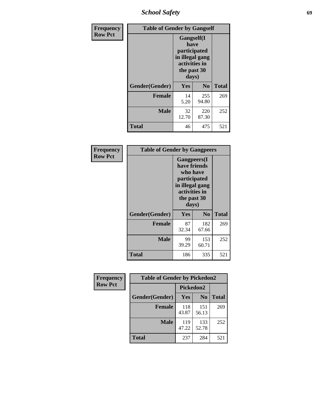*School Safety* **69**

| Frequency      | <b>Table of Gender by Gangself</b> |                                                                                                |                |              |
|----------------|------------------------------------|------------------------------------------------------------------------------------------------|----------------|--------------|
| <b>Row Pct</b> |                                    | Gangself(I<br>have<br>participated<br>in illegal gang<br>activities in<br>the past 30<br>days) |                |              |
|                | Gender(Gender)                     | Yes                                                                                            | N <sub>0</sub> | <b>Total</b> |
|                | <b>Female</b>                      | 14<br>5.20                                                                                     | 255<br>94.80   | 269          |
|                | <b>Male</b>                        | 32<br>12.70                                                                                    | 220<br>87.30   | 252          |
|                | <b>Total</b>                       | 46                                                                                             | 475            | 521          |

| Frequency      | <b>Table of Gender by Gangpeers</b> |             |                                                                                                                             |              |  |
|----------------|-------------------------------------|-------------|-----------------------------------------------------------------------------------------------------------------------------|--------------|--|
| <b>Row Pct</b> |                                     |             | <b>Gangpeers</b> (I<br>have friends<br>who have<br>participated<br>in illegal gang<br>activities in<br>the past 30<br>days) |              |  |
|                | Gender(Gender)                      | Yes         | N <sub>0</sub>                                                                                                              | <b>Total</b> |  |
|                | <b>Female</b>                       | 87<br>32.34 | 182<br>67.66                                                                                                                | 269          |  |
|                | <b>Male</b>                         | 99<br>39.29 | 153<br>60.71                                                                                                                | 252          |  |
|                | <b>Total</b>                        | 186         | 335                                                                                                                         | 521          |  |

| Frequency      | <b>Table of Gender by Pickedon2</b> |                  |                |              |
|----------------|-------------------------------------|------------------|----------------|--------------|
| <b>Row Pct</b> |                                     | <b>Pickedon2</b> |                |              |
|                | Gender(Gender)                      | Yes              | N <sub>0</sub> | <b>Total</b> |
|                | <b>Female</b>                       | 118<br>43.87     | 151<br>56.13   | 269          |
|                | <b>Male</b>                         | 119<br>47.22     | 133<br>52.78   | 252          |
|                | <b>Total</b>                        | 237              | 284            | 521          |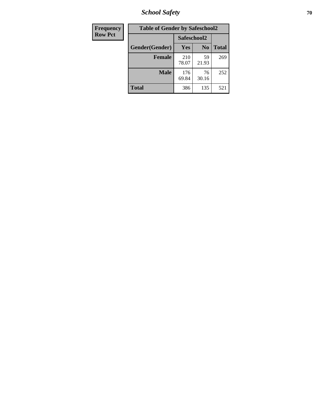*School Safety* **70**

| Frequency      | <b>Table of Gender by Safeschool2</b> |              |                |              |
|----------------|---------------------------------------|--------------|----------------|--------------|
| <b>Row Pct</b> |                                       | Safeschool2  |                |              |
|                | Gender(Gender)                        | Yes          | N <sub>0</sub> | <b>Total</b> |
|                | <b>Female</b>                         | 210<br>78.07 | 59<br>21.93    | 269          |
|                | <b>Male</b>                           | 176<br>69.84 | 76<br>30.16    | 252          |
|                | <b>Total</b>                          | 386          | 135            | 521          |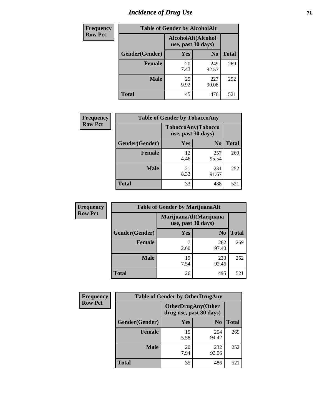# *Incidence of Drug Use* <sup>71</sup>

| <b>Frequency</b> | <b>Table of Gender by AlcoholAlt</b> |                                          |                |              |
|------------------|--------------------------------------|------------------------------------------|----------------|--------------|
| <b>Row Pct</b>   |                                      | AlcoholAlt(Alcohol<br>use, past 30 days) |                |              |
|                  | Gender(Gender)                       | <b>Yes</b>                               | N <sub>0</sub> | <b>Total</b> |
|                  | <b>Female</b>                        | 20<br>7.43                               | 249<br>92.57   | 269          |
|                  | <b>Male</b>                          | 25<br>9.92                               | 227<br>90.08   | 252          |
|                  | <b>Total</b>                         | 45                                       | 476            | 521          |

| <b>Frequency</b> | <b>Table of Gender by TobaccoAny</b> |                                          |                |              |
|------------------|--------------------------------------|------------------------------------------|----------------|--------------|
| <b>Row Pct</b>   |                                      | TobaccoAny(Tobacco<br>use, past 30 days) |                |              |
|                  | Gender(Gender)                       | Yes                                      | N <sub>0</sub> | <b>Total</b> |
|                  | Female                               | 12<br>4.46                               | 257<br>95.54   | 269          |
|                  | <b>Male</b>                          | 21<br>8.33                               | 231<br>91.67   | 252          |
|                  | <b>Total</b>                         | 33                                       | 488            | 521          |

| <b>Frequency</b> | <b>Table of Gender by MarijuanaAlt</b>       |            |                |              |
|------------------|----------------------------------------------|------------|----------------|--------------|
| <b>Row Pct</b>   | MarijuanaAlt(Marijuana<br>use, past 30 days) |            |                |              |
|                  | Gender(Gender)                               | <b>Yes</b> | N <sub>0</sub> | <b>Total</b> |
|                  | <b>Female</b>                                | 7<br>2.60  | 262<br>97.40   | 269          |
|                  | <b>Male</b>                                  | 19<br>7.54 | 233<br>92.46   | 252          |
|                  | <b>Total</b>                                 | 26         | 495            | 521          |

| <b>Frequency</b> | <b>Table of Gender by OtherDrugAny</b> |                                                      |                |              |
|------------------|----------------------------------------|------------------------------------------------------|----------------|--------------|
| <b>Row Pct</b>   |                                        | <b>OtherDrugAny(Other</b><br>drug use, past 30 days) |                |              |
|                  | Gender(Gender)                         | <b>Yes</b>                                           | N <sub>0</sub> | <b>Total</b> |
|                  | <b>Female</b>                          | 15<br>5.58                                           | 254<br>94.42   | 269          |
|                  | <b>Male</b>                            | 20<br>7.94                                           | 232<br>92.06   | 252          |
|                  | <b>Total</b>                           | 35                                                   | 486            | 521          |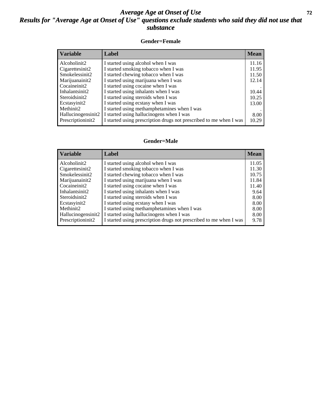### *Average Age at Onset of Use* **72** *Results for "Average Age at Onset of Use" questions exclude students who said they did not use that substance*

#### **Gender=Female**

| <b>Variable</b>                 | <b>Label</b>                                                       | <b>Mean</b> |
|---------------------------------|--------------------------------------------------------------------|-------------|
| Alcoholinit2                    | I started using alcohol when I was                                 | 11.16       |
| Cigarettesinit2                 | I started smoking tobacco when I was                               | 11.95       |
| Smokelessinit2                  | I started chewing tobacco when I was                               | 11.50       |
| Marijuanainit2                  | I started using marijuana when I was                               | 12.14       |
| Cocaineinit2                    | I started using cocaine when I was                                 |             |
| Inhalantsinit2                  | I started using inhalants when I was                               | 10.44       |
| Steroidsinit2                   | I started using steroids when I was                                | 10.25       |
| Ecstasyinit2                    | I started using ecstasy when I was                                 | 13.00       |
| Methinit2                       | I started using methamphetamines when I was                        |             |
| Hallucinogensinit2              | I started using hallucinogens when I was                           | 8.00        |
| Prescription in it <sub>2</sub> | I started using prescription drugs not prescribed to me when I was | 10.29       |

#### **Gender=Male**

| <b>Variable</b>                 | Label                                                              | <b>Mean</b> |
|---------------------------------|--------------------------------------------------------------------|-------------|
| Alcoholinit2                    | I started using alcohol when I was                                 | 11.05       |
| Cigarettesinit2                 | I started smoking tobacco when I was                               | 11.30       |
| Smokelessinit2                  | I started chewing tobacco when I was                               | 10.75       |
| Marijuanainit2                  | I started using marijuana when I was                               | 11.84       |
| Cocaineinit2                    | I started using cocaine when I was                                 | 11.40       |
| Inhalantsinit2                  | I started using inhalants when I was                               | 9.64        |
| Steroidsinit2                   | I started using steroids when I was                                | 8.00        |
| Ecstasyinit2                    | I started using ecstasy when I was                                 | 8.00        |
| Methinit2                       | I started using methamphetamines when I was                        | 8.00        |
| Hallucinogensinit2              | I started using hallucinogens when I was                           | 8.00        |
| Prescription in it <sub>2</sub> | I started using prescription drugs not prescribed to me when I was | 9.78        |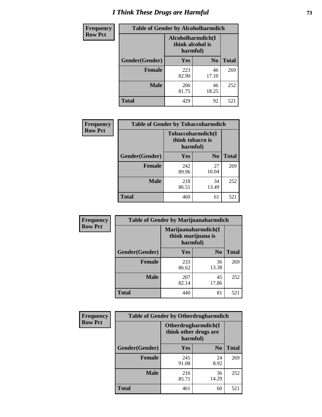# *I Think These Drugs are Harmful* **73**

| Frequency      | <b>Table of Gender by Alcoholharmdich</b> |                                                   |                |              |
|----------------|-------------------------------------------|---------------------------------------------------|----------------|--------------|
| <b>Row Pct</b> |                                           | Alcoholharmdich(I<br>think alcohol is<br>harmful) |                |              |
|                | Gender(Gender)                            | Yes                                               | N <sub>0</sub> | <b>Total</b> |
|                | <b>Female</b>                             | 223<br>82.90                                      | 46<br>17.10    | 269          |
|                | <b>Male</b>                               | 206<br>81.75                                      | 46<br>18.25    | 252          |
|                | Total                                     | 429                                               | 92             | 521          |

| Frequency      | <b>Table of Gender by Tobaccoharmdich</b> |                                                   |                |              |
|----------------|-------------------------------------------|---------------------------------------------------|----------------|--------------|
| <b>Row Pct</b> |                                           | Tobaccoharmdich(I<br>think tobacco is<br>harmful) |                |              |
|                | Gender(Gender)                            | <b>Yes</b>                                        | N <sub>0</sub> | <b>Total</b> |
|                | <b>Female</b>                             | 242<br>89.96                                      | 27<br>10.04    | 269          |
|                | <b>Male</b>                               | 218<br>86.51                                      | 34<br>13.49    | 252          |
|                | <b>Total</b>                              | 460                                               | 61             | 521          |

| Frequency      | <b>Table of Gender by Marijuanaharmdich</b> |                                                       |                |              |  |
|----------------|---------------------------------------------|-------------------------------------------------------|----------------|--------------|--|
| <b>Row Pct</b> |                                             | Marijuanaharmdich(I<br>think marijuana is<br>harmful) |                |              |  |
|                | Gender(Gender)                              | <b>Yes</b>                                            | N <sub>0</sub> | <b>Total</b> |  |
|                | <b>Female</b>                               | 233<br>86.62                                          | 36<br>13.38    | 269          |  |
|                | <b>Male</b>                                 | 207<br>82.14                                          | 45<br>17.86    | 252          |  |
|                | <b>Total</b>                                | 440                                                   | 81             | 521          |  |

| Frequency      | <b>Table of Gender by Otherdrugharmdich</b> |                                                          |                |              |
|----------------|---------------------------------------------|----------------------------------------------------------|----------------|--------------|
| <b>Row Pct</b> |                                             | Otherdrugharmdich(I<br>think other drugs are<br>harmful) |                |              |
|                | Gender(Gender)                              | <b>Yes</b>                                               | N <sub>0</sub> | <b>Total</b> |
|                | <b>Female</b>                               | 245<br>91.08                                             | 24<br>8.92     | 269          |
|                | <b>Male</b>                                 | 216<br>85.71                                             | 36<br>14.29    | 252          |
|                | <b>Total</b>                                | 461                                                      | 60             | 521          |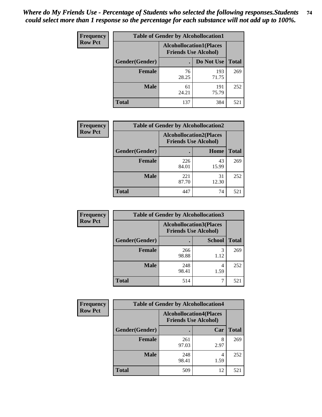| <b>Frequency</b> | <b>Table of Gender by Alcohollocation1</b> |                                                               |              |              |  |
|------------------|--------------------------------------------|---------------------------------------------------------------|--------------|--------------|--|
| <b>Row Pct</b>   |                                            | <b>Alcohollocation1(Places</b><br><b>Friends Use Alcohol)</b> |              |              |  |
|                  | Gender(Gender)                             |                                                               | Do Not Use   | <b>Total</b> |  |
|                  | <b>Female</b>                              | 76<br>28.25                                                   | 193<br>71.75 | 269          |  |
|                  | <b>Male</b>                                | 61<br>24.21                                                   | 191<br>75.79 | 252          |  |
|                  | Total                                      | 137                                                           | 384          | 521          |  |

| <b>Frequency</b> | <b>Table of Gender by Alcohollocation2</b> |              |                                                               |              |
|------------------|--------------------------------------------|--------------|---------------------------------------------------------------|--------------|
| <b>Row Pct</b>   |                                            |              | <b>Alcohollocation2(Places</b><br><b>Friends Use Alcohol)</b> |              |
|                  | Gender(Gender)                             |              | Home                                                          | <b>Total</b> |
|                  | <b>Female</b>                              | 226<br>84.01 | 43<br>15.99                                                   | 269          |
|                  | <b>Male</b>                                | 221<br>87.70 | 31<br>12.30                                                   | 252          |
|                  | <b>Total</b>                               | 447          | 74                                                            | 521          |

| Frequency      | <b>Table of Gender by Alcohollocation3</b> |                                                               |               |              |
|----------------|--------------------------------------------|---------------------------------------------------------------|---------------|--------------|
| <b>Row Pct</b> |                                            | <b>Alcohollocation3(Places</b><br><b>Friends Use Alcohol)</b> |               |              |
|                | Gender(Gender)                             |                                                               | <b>School</b> | <b>Total</b> |
|                | <b>Female</b>                              | 266<br>98.88                                                  | 3<br>1.12     | 269          |
|                | <b>Male</b>                                | 248<br>98.41                                                  | 1.59          | 252          |
|                | <b>Total</b>                               | 514                                                           |               | 521          |

| <b>Frequency</b> | <b>Table of Gender by Alcohollocation4</b> |              |                                                               |              |
|------------------|--------------------------------------------|--------------|---------------------------------------------------------------|--------------|
| <b>Row Pct</b>   |                                            |              | <b>Alcohollocation4(Places</b><br><b>Friends Use Alcohol)</b> |              |
|                  | Gender(Gender)                             |              | Car                                                           | <b>Total</b> |
|                  | <b>Female</b>                              | 261<br>97.03 | 8<br>2.97                                                     | 269          |
|                  | <b>Male</b>                                | 248<br>98.41 | 4<br>1.59                                                     | 252          |
|                  | <b>Total</b>                               | 509          | 12                                                            | 521          |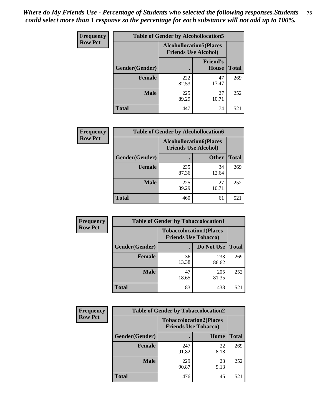| <b>Frequency</b> | <b>Table of Gender by Alcohollocation5</b> |                                                               |                          |              |
|------------------|--------------------------------------------|---------------------------------------------------------------|--------------------------|--------------|
| <b>Row Pct</b>   |                                            | <b>Alcohollocation5(Places</b><br><b>Friends Use Alcohol)</b> |                          |              |
|                  | Gender(Gender)                             |                                                               | <b>Friend's</b><br>House | <b>Total</b> |
|                  | <b>Female</b>                              | 222<br>82.53                                                  | 47<br>17.47              | 269          |
|                  | <b>Male</b>                                | 225<br>89.29                                                  | 27<br>10.71              | 252          |
|                  | <b>Total</b>                               | 447                                                           | 74                       | 521          |

| Frequency      | <b>Table of Gender by Alcohollocation6</b> |                                                               |              |              |
|----------------|--------------------------------------------|---------------------------------------------------------------|--------------|--------------|
| <b>Row Pct</b> |                                            | <b>Alcohollocation6(Places</b><br><b>Friends Use Alcohol)</b> |              |              |
|                | <b>Gender</b> (Gender)                     |                                                               | <b>Other</b> | <b>Total</b> |
|                | <b>Female</b>                              | 235<br>87.36                                                  | 34<br>12.64  | 269          |
|                | <b>Male</b>                                | 225<br>89.29                                                  | 27<br>10.71  | 252          |
|                | <b>Total</b>                               | 460                                                           | 61           | 521          |

| Frequency      | <b>Table of Gender by Tobaccolocation1</b> |                                                               |              |              |  |
|----------------|--------------------------------------------|---------------------------------------------------------------|--------------|--------------|--|
| <b>Row Pct</b> |                                            | <b>Tobaccolocation1(Places</b><br><b>Friends Use Tobacco)</b> |              |              |  |
|                | Gender(Gender)                             |                                                               | Do Not Use   | <b>Total</b> |  |
|                | Female                                     | 36<br>13.38                                                   | 233<br>86.62 | 269          |  |
|                | <b>Male</b>                                | 47<br>18.65                                                   | 205<br>81.35 | 252          |  |
|                | <b>Total</b>                               | 83                                                            | 438          | 521          |  |

| <b>Frequency</b> | <b>Table of Gender by Tobaccolocation2</b> |                                                               |             |              |
|------------------|--------------------------------------------|---------------------------------------------------------------|-------------|--------------|
| <b>Row Pct</b>   |                                            | <b>Tobaccolocation2(Places</b><br><b>Friends Use Tobacco)</b> |             |              |
|                  | Gender(Gender)                             |                                                               | <b>Home</b> | <b>Total</b> |
|                  | Female                                     | 247<br>91.82                                                  | 22<br>8.18  | 269          |
|                  | <b>Male</b>                                | 229<br>90.87                                                  | 23<br>9.13  | 252          |
|                  | <b>Total</b>                               | 476                                                           | 45          | 521          |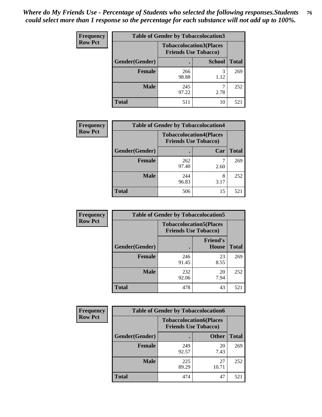| <b>Frequency</b> |                | <b>Table of Gender by Tobaccolocation3</b>                    |               |              |
|------------------|----------------|---------------------------------------------------------------|---------------|--------------|
| <b>Row Pct</b>   |                | <b>Tobaccolocation3(Places</b><br><b>Friends Use Tobacco)</b> |               |              |
|                  | Gender(Gender) |                                                               | <b>School</b> | <b>Total</b> |
|                  | Female         | 266<br>98.88                                                  | 1.12          | 269          |
|                  | <b>Male</b>    | 245<br>97.22                                                  | 2.78          | 252          |
|                  | <b>Total</b>   | 511                                                           | 10            | 521          |

| <b>Frequency</b> | <b>Table of Gender by Tobaccolocation4</b> |                                                               |      |              |
|------------------|--------------------------------------------|---------------------------------------------------------------|------|--------------|
| <b>Row Pct</b>   |                                            | <b>Tobaccolocation4(Places</b><br><b>Friends Use Tobacco)</b> |      |              |
|                  | Gender(Gender)                             |                                                               | Car  | <b>Total</b> |
|                  | <b>Female</b>                              | 262<br>97.40                                                  | 2.60 | 269          |
|                  | <b>Male</b>                                | 244<br>96.83                                                  | 3.17 | 252          |
|                  | <b>Total</b>                               | 506                                                           | 15   | 521          |

| <b>Frequency</b> | <b>Table of Gender by Tobaccolocation5</b> |                                                               |                                 |              |
|------------------|--------------------------------------------|---------------------------------------------------------------|---------------------------------|--------------|
| <b>Row Pct</b>   |                                            | <b>Tobaccolocation5(Places</b><br><b>Friends Use Tobacco)</b> |                                 |              |
|                  | Gender(Gender)                             |                                                               | <b>Friend's</b><br><b>House</b> | <b>Total</b> |
|                  | <b>Female</b>                              | 246<br>91.45                                                  | 23<br>8.55                      | 269          |
|                  | <b>Male</b>                                | 232<br>92.06                                                  | 20<br>7.94                      | 252          |
|                  | <b>Total</b>                               | 478                                                           | 43                              | 521          |

| <b>Frequency</b> | <b>Table of Gender by Tobaccolocation6</b> |                                                               |              |              |
|------------------|--------------------------------------------|---------------------------------------------------------------|--------------|--------------|
| <b>Row Pct</b>   |                                            | <b>Tobaccolocation6(Places</b><br><b>Friends Use Tobacco)</b> |              |              |
|                  | Gender(Gender)                             |                                                               | <b>Other</b> | <b>Total</b> |
|                  | Female                                     | 249<br>92.57                                                  | 20<br>7.43   | 269          |
|                  | <b>Male</b>                                | 225<br>89.29                                                  | 27<br>10.71  | 252          |
|                  | <b>Total</b>                               | 474                                                           | 47           | 521          |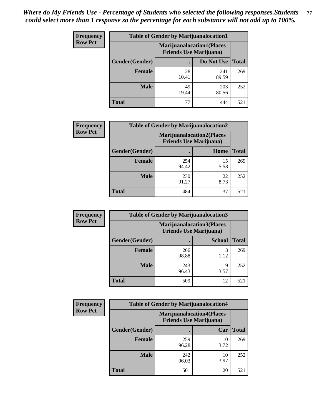| <b>Frequency</b> | <b>Table of Gender by Marijuanalocation1</b> |                                                                    |              |              |  |
|------------------|----------------------------------------------|--------------------------------------------------------------------|--------------|--------------|--|
| <b>Row Pct</b>   |                                              | <b>Marijuanalocation1(Places</b><br><b>Friends Use Marijuana</b> ) |              |              |  |
|                  | <b>Gender</b> (Gender)                       |                                                                    | Do Not Use   | <b>Total</b> |  |
|                  | <b>Female</b>                                | 28<br>10.41                                                        | 241<br>89.59 | 269          |  |
|                  | <b>Male</b>                                  | 49<br>19.44                                                        | 203<br>80.56 | 252          |  |
|                  | <b>Total</b>                                 | 77                                                                 | 444          | 521          |  |

| <b>Frequency</b> | <b>Table of Gender by Marijuanalocation2</b> |                                                                    |            |              |
|------------------|----------------------------------------------|--------------------------------------------------------------------|------------|--------------|
| <b>Row Pct</b>   |                                              | <b>Marijuanalocation2(Places</b><br><b>Friends Use Marijuana</b> ) |            |              |
|                  | Gender(Gender)                               |                                                                    | Home       | <b>Total</b> |
|                  | <b>Female</b>                                | 254<br>94.42                                                       | 15<br>5.58 | 269          |
|                  | <b>Male</b>                                  | 230<br>91.27                                                       | 22<br>8.73 | 252          |
|                  | <b>Total</b>                                 | 484                                                                | 37         | 521          |

| Frequency      |                | <b>Table of Gender by Marijuanalocation3</b> |                                                                     |              |
|----------------|----------------|----------------------------------------------|---------------------------------------------------------------------|--------------|
| <b>Row Pct</b> |                |                                              | <b>Marijuanalocation3(Places)</b><br><b>Friends Use Marijuana</b> ) |              |
|                | Gender(Gender) |                                              | <b>School</b>                                                       | <b>Total</b> |
|                | Female         | 266<br>98.88                                 | 3<br>1.12                                                           | 269          |
|                | <b>Male</b>    | 243<br>96.43                                 | Q<br>3.57                                                           | 252          |
|                | <b>Total</b>   | 509                                          | 12                                                                  | 521          |

| <b>Frequency</b> | <b>Table of Gender by Marijuanalocation4</b> |                                                                    |            |              |
|------------------|----------------------------------------------|--------------------------------------------------------------------|------------|--------------|
| <b>Row Pct</b>   |                                              | <b>Marijuanalocation4(Places</b><br><b>Friends Use Marijuana</b> ) |            |              |
|                  | Gender(Gender)                               |                                                                    | Car        | <b>Total</b> |
|                  | <b>Female</b>                                | 259<br>96.28                                                       | 10<br>3.72 | 269          |
|                  | <b>Male</b>                                  | 242<br>96.03                                                       | 10<br>3.97 | 252          |
|                  | <b>Total</b>                                 | 501                                                                | 20         | 521          |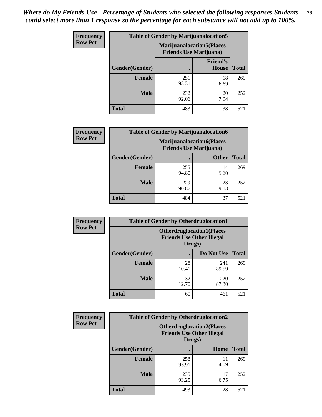| <b>Frequency</b> | <b>Table of Gender by Marijuanalocation5</b> |                                                                     |                                 |              |
|------------------|----------------------------------------------|---------------------------------------------------------------------|---------------------------------|--------------|
| <b>Row Pct</b>   |                                              | <b>Marijuanalocation5</b> (Places<br><b>Friends Use Marijuana</b> ) |                                 |              |
|                  | Gender(Gender)                               |                                                                     | <b>Friend's</b><br><b>House</b> | <b>Total</b> |
|                  | <b>Female</b>                                | 251<br>93.31                                                        | 18<br>6.69                      | 269          |
|                  | <b>Male</b>                                  | 232<br>92.06                                                        | 20<br>7.94                      | 252          |
|                  | <b>Total</b>                                 | 483                                                                 | 38                              | 521          |

| <b>Frequency</b> | <b>Table of Gender by Marijuanalocation6</b> |                                                                    |              |              |
|------------------|----------------------------------------------|--------------------------------------------------------------------|--------------|--------------|
| <b>Row Pct</b>   |                                              | <b>Marijuanalocation6(Places</b><br><b>Friends Use Marijuana</b> ) |              |              |
|                  | Gender(Gender)                               |                                                                    | <b>Other</b> | <b>Total</b> |
|                  | <b>Female</b>                                | 255<br>94.80                                                       | 14<br>5.20   | 269          |
|                  | <b>Male</b>                                  | 229<br>90.87                                                       | 23<br>9.13   | 252          |
|                  | <b>Total</b>                                 | 484                                                                | 37           | 521          |

| Frequency      | <b>Table of Gender by Otherdruglocation1</b> |                                                                                |              |              |
|----------------|----------------------------------------------|--------------------------------------------------------------------------------|--------------|--------------|
| <b>Row Pct</b> |                                              | <b>Otherdruglocation1(Places</b><br><b>Friends Use Other Illegal</b><br>Drugs) |              |              |
|                | Gender(Gender)                               |                                                                                | Do Not Use   | <b>Total</b> |
|                | Female                                       | 28<br>10.41                                                                    | 241<br>89.59 | 269          |
|                | <b>Male</b>                                  | 32<br>12.70                                                                    | 220<br>87.30 | 252          |
|                | <b>Total</b>                                 | 60                                                                             | 461          | 521          |

| Frequency      | <b>Table of Gender by Otherdruglocation2</b> |                                                                                |            |              |
|----------------|----------------------------------------------|--------------------------------------------------------------------------------|------------|--------------|
| <b>Row Pct</b> |                                              | <b>Otherdruglocation2(Places</b><br><b>Friends Use Other Illegal</b><br>Drugs) |            |              |
|                | Gender(Gender)                               |                                                                                | Home       | <b>Total</b> |
|                | Female                                       | 258<br>95.91                                                                   | 11<br>4.09 | 269          |
|                | <b>Male</b>                                  | 235<br>93.25                                                                   | 17<br>6.75 | 252          |
|                | <b>Total</b>                                 | 493                                                                            | 28         | 521          |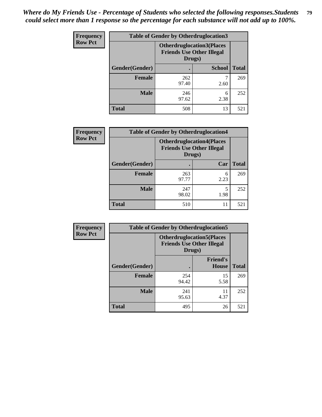| <b>Frequency</b> | <b>Table of Gender by Otherdruglocation3</b> |                                                                                |               |              |
|------------------|----------------------------------------------|--------------------------------------------------------------------------------|---------------|--------------|
| <b>Row Pct</b>   |                                              | <b>Otherdruglocation3(Places</b><br><b>Friends Use Other Illegal</b><br>Drugs) |               |              |
|                  | Gender(Gender)                               |                                                                                | <b>School</b> | <b>Total</b> |
|                  | Female                                       | 262<br>97.40                                                                   | 2.60          | 269          |
|                  | <b>Male</b>                                  | 246<br>97.62                                                                   | 6<br>2.38     | 252          |
|                  | <b>Total</b>                                 | 508                                                                            | 13            | 521          |

| <b>Frequency</b> | <b>Table of Gender by Otherdruglocation4</b> |                                            |                                  |              |
|------------------|----------------------------------------------|--------------------------------------------|----------------------------------|--------------|
| <b>Row Pct</b>   |                                              | <b>Friends Use Other Illegal</b><br>Drugs) | <b>Otherdruglocation4(Places</b> |              |
|                  | Gender(Gender)                               |                                            | Car                              | <b>Total</b> |
|                  | Female                                       | 263<br>97.77                               | 6<br>2.23                        | 269          |
|                  | <b>Male</b>                                  | 247<br>98.02                               | 5<br>1.98                        | 252          |
|                  | <b>Total</b>                                 | 510                                        | 11                               | 521          |

| Frequency      | <b>Table of Gender by Otherdruglocation5</b> |                                                                                |                                 |              |
|----------------|----------------------------------------------|--------------------------------------------------------------------------------|---------------------------------|--------------|
| <b>Row Pct</b> |                                              | <b>Otherdruglocation5(Places</b><br><b>Friends Use Other Illegal</b><br>Drugs) |                                 |              |
|                | Gender(Gender)                               |                                                                                | <b>Friend's</b><br><b>House</b> | <b>Total</b> |
|                | <b>Female</b>                                | 254<br>94.42                                                                   | 15<br>5.58                      | 269          |
|                | <b>Male</b>                                  | 241<br>95.63                                                                   | 11<br>4.37                      | 252          |
|                | <b>Total</b>                                 | 495                                                                            | 26                              | 521          |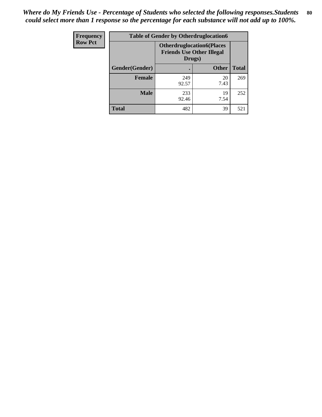| Frequency      | <b>Table of Gender by Otherdruglocation6</b> |                                            |                                  |              |
|----------------|----------------------------------------------|--------------------------------------------|----------------------------------|--------------|
| <b>Row Pct</b> |                                              | <b>Friends Use Other Illegal</b><br>Drugs) | <b>Otherdruglocation6(Places</b> |              |
|                | Gender(Gender)                               |                                            | <b>Other</b>                     | <b>Total</b> |
|                | <b>Female</b>                                | 249<br>92.57                               | 20<br>7.43                       | 269          |
|                | <b>Male</b>                                  | 233<br>92.46                               | 19<br>7.54                       | 252          |
|                | <b>Total</b>                                 | 482                                        | 39                               | 521          |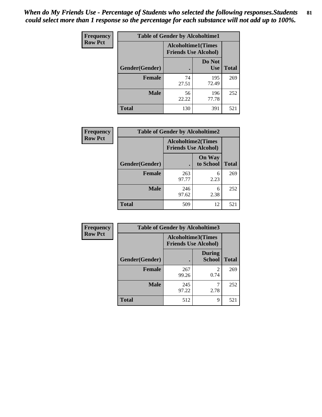| Frequency      | <b>Table of Gender by Alcoholtime1</b> |                                                          |                      |              |
|----------------|----------------------------------------|----------------------------------------------------------|----------------------|--------------|
| <b>Row Pct</b> |                                        | <b>Alcoholtime1(Times</b><br><b>Friends Use Alcohol)</b> |                      |              |
|                | Gender(Gender)                         | $\bullet$                                                | Do Not<br><b>Use</b> | <b>Total</b> |
|                | <b>Female</b>                          | 74<br>27.51                                              | 195<br>72.49         | 269          |
|                | <b>Male</b>                            | 56<br>22.22                                              | 196<br>77.78         | 252          |
|                | <b>Total</b>                           | 130                                                      | 391                  | 521          |

| <b>Frequency</b> | <b>Table of Gender by Alcoholtime2</b> |                                                          |                            |              |
|------------------|----------------------------------------|----------------------------------------------------------|----------------------------|--------------|
| <b>Row Pct</b>   |                                        | <b>Alcoholtime2(Times</b><br><b>Friends Use Alcohol)</b> |                            |              |
|                  | Gender(Gender)                         |                                                          | <b>On Way</b><br>to School | <b>Total</b> |
|                  | <b>Female</b>                          | 263<br>97.77                                             | 6<br>2.23                  | 269          |
|                  | <b>Male</b>                            | 246<br>97.62                                             | 6<br>2.38                  | 252          |
|                  | <b>Total</b>                           | 509                                                      | 12                         | 521          |

| Frequency      | <b>Table of Gender by Alcoholtime3</b> |                                                   |                                |              |
|----------------|----------------------------------------|---------------------------------------------------|--------------------------------|--------------|
| <b>Row Pct</b> |                                        | Alcoholtime3(Times<br><b>Friends Use Alcohol)</b> |                                |              |
|                | Gender(Gender)                         |                                                   | <b>During</b><br><b>School</b> | <b>Total</b> |
|                | Female                                 | 267<br>99.26                                      | 2<br>0.74                      | 269          |
|                | <b>Male</b>                            | 245<br>97.22                                      | 2.78                           | 252          |
|                | <b>Total</b>                           | 512                                               | 9                              | 521          |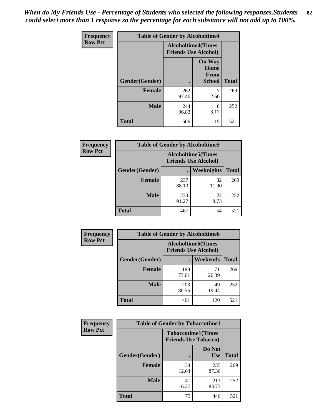*When do My Friends Use - Percentage of Students who selected the following responses.Students could select more than 1 response so the percentage for each substance will not add up to 100%.* **82**

| Frequency      | <b>Table of Gender by Alcoholtime4</b> |                                                          |                                         |              |
|----------------|----------------------------------------|----------------------------------------------------------|-----------------------------------------|--------------|
| <b>Row Pct</b> |                                        | <b>Alcoholtime4(Times</b><br><b>Friends Use Alcohol)</b> |                                         |              |
|                | Gender(Gender)                         |                                                          | <b>On Way</b><br>Home<br>From<br>School | <b>Total</b> |
|                | <b>Female</b>                          | 262<br>97.40                                             | 7<br>2.60                               | 269          |
|                | <b>Male</b>                            | 244<br>96.83                                             | 8<br>3.17                               | 252          |
|                | <b>Total</b>                           | 506                                                      | 15                                      | 521          |

| <b>Frequency</b> | <b>Table of Gender by Alcoholtime5</b> |              |                                                           |              |
|------------------|----------------------------------------|--------------|-----------------------------------------------------------|--------------|
| <b>Row Pct</b>   |                                        |              | <b>Alcoholtime5</b> (Times<br><b>Friends Use Alcohol)</b> |              |
|                  | Gender(Gender)                         |              | Weeknights                                                | <b>Total</b> |
|                  | <b>Female</b>                          | 237<br>88.10 | 32<br>11.90                                               | 269          |
|                  | <b>Male</b>                            | 230<br>91.27 | 22<br>8.73                                                | 252          |
|                  | <b>Total</b>                           | 467          | 54                                                        | 521          |

| <b>Frequency</b> |                | <b>Table of Gender by Alcoholtime6</b>                    |             |              |
|------------------|----------------|-----------------------------------------------------------|-------------|--------------|
| <b>Row Pct</b>   |                | <b>Alcoholtime6</b> (Times<br><b>Friends Use Alcohol)</b> |             |              |
|                  | Gender(Gender) |                                                           | Weekends    | <b>Total</b> |
|                  | Female         | 198<br>73.61                                              | 71<br>26.39 | 269          |
|                  | <b>Male</b>    | 203<br>80.56                                              | 49<br>19.44 | 252          |
|                  | <b>Total</b>   | 401                                                       | 120         | 521          |

| <b>Frequency</b> | <b>Table of Gender by Tobaccotime1</b> |                                                          |                      |              |
|------------------|----------------------------------------|----------------------------------------------------------|----------------------|--------------|
| <b>Row Pct</b>   |                                        | <b>Tobaccotime1(Times</b><br><b>Friends Use Tobacco)</b> |                      |              |
|                  | Gender(Gender)                         |                                                          | Do Not<br><b>Use</b> | <b>Total</b> |
|                  | <b>Female</b>                          | 34<br>12.64                                              | 235<br>87.36         | 269          |
|                  | <b>Male</b>                            | 41<br>16.27                                              | 211<br>83.73         | 252          |
|                  | <b>Total</b>                           | 75                                                       | 446                  | 521          |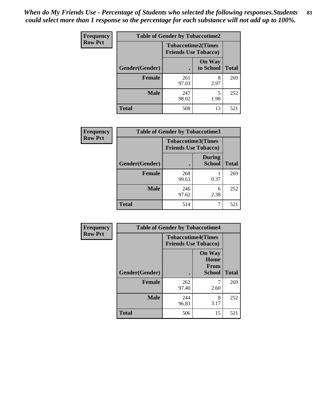*When do My Friends Use - Percentage of Students who selected the following responses.Students could select more than 1 response so the percentage for each substance will not add up to 100%.* **83**

| Frequency      | <b>Table of Gender by Tobaccotime2</b> |                                                          |                            |              |
|----------------|----------------------------------------|----------------------------------------------------------|----------------------------|--------------|
| <b>Row Pct</b> |                                        | <b>Tobaccotime2(Times</b><br><b>Friends Use Tobacco)</b> |                            |              |
|                | Gender(Gender)                         | $\bullet$                                                | <b>On Way</b><br>to School | <b>Total</b> |
|                | Female                                 | 261<br>97.03                                             | 8<br>2.97                  | 269          |
|                | <b>Male</b>                            | 247<br>98.02                                             | 5<br>1.98                  | 252          |
|                | <b>Total</b>                           | 508                                                      | 13                         | 521          |

| Frequency      |                | <b>Table of Gender by Tobaccotime3</b>                   |                                |              |
|----------------|----------------|----------------------------------------------------------|--------------------------------|--------------|
| <b>Row Pct</b> |                | <b>Tobaccotime3(Times</b><br><b>Friends Use Tobacco)</b> |                                |              |
|                | Gender(Gender) |                                                          | <b>During</b><br><b>School</b> | <b>Total</b> |
|                | <b>Female</b>  | 268<br>99.63                                             | 0.37                           | 269          |
|                | <b>Male</b>    | 246<br>97.62                                             | 6<br>2.38                      | 252          |
|                | <b>Total</b>   | 514                                                      |                                | 521          |

| Frequency      | <b>Table of Gender by Tobaccotime4</b> |                                                          |                                                |              |
|----------------|----------------------------------------|----------------------------------------------------------|------------------------------------------------|--------------|
| <b>Row Pct</b> |                                        | <b>Tobaccotime4(Times</b><br><b>Friends Use Tobacco)</b> |                                                |              |
|                | Gender(Gender)                         |                                                          | <b>On Way</b><br>Home<br>From<br><b>School</b> | <b>Total</b> |
|                | <b>Female</b>                          | 262<br>97.40                                             | 2.60                                           | 269          |
|                | <b>Male</b>                            | 244<br>96.83                                             | 8<br>3.17                                      | 252          |
|                | <b>Total</b>                           | 506                                                      | 15                                             | 521          |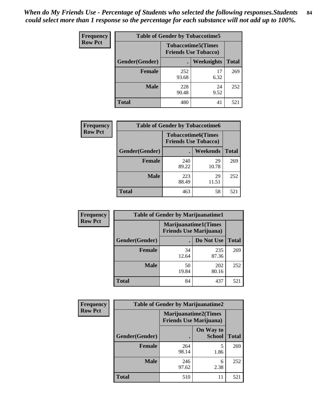| <b>Frequency</b> | <b>Table of Gender by Tobaccotime5</b> |                                                          |                   |              |  |
|------------------|----------------------------------------|----------------------------------------------------------|-------------------|--------------|--|
| <b>Row Pct</b>   |                                        | <b>Tobaccotime5(Times</b><br><b>Friends Use Tobacco)</b> |                   |              |  |
|                  | <b>Gender</b> (Gender)                 |                                                          | <b>Weeknights</b> | <b>Total</b> |  |
|                  | <b>Female</b>                          | 252<br>93.68                                             | 17<br>6.32        | 269          |  |
|                  | <b>Male</b>                            | 228<br>90.48                                             | 24<br>9.52        | 252          |  |
|                  | <b>Total</b>                           | 480                                                      | 41                | 521          |  |

| <b>Frequency</b> |                | <b>Table of Gender by Tobaccotime6</b> |                           |              |  |
|------------------|----------------|----------------------------------------|---------------------------|--------------|--|
| <b>Row Pct</b>   |                | <b>Friends Use Tobacco)</b>            | <b>Tobaccotime6(Times</b> |              |  |
|                  | Gender(Gender) |                                        | Weekends                  | <b>Total</b> |  |
|                  | <b>Female</b>  | 240<br>89.22                           | 29<br>10.78               | 269          |  |
|                  | <b>Male</b>    | 223<br>88.49                           | 29<br>11.51               | 252          |  |
|                  | <b>Total</b>   | 463                                    | 58                        | 521          |  |

| <b>Frequency</b> | <b>Table of Gender by Marijuanatime1</b> |                                |                             |              |
|------------------|------------------------------------------|--------------------------------|-----------------------------|--------------|
| <b>Row Pct</b>   |                                          | <b>Friends Use Marijuana</b> ) | <b>Marijuanatime1(Times</b> |              |
|                  | Gender(Gender)                           |                                | Do Not Use                  | <b>Total</b> |
|                  | <b>Female</b>                            | 34<br>12.64                    | 235<br>87.36                | 269          |
|                  | <b>Male</b>                              | 50<br>19.84                    | 202<br>80.16                | 252          |
|                  | <b>Total</b>                             | 84                             | 437                         | 521          |

| <b>Frequency</b> | <b>Table of Gender by Marijuanatime2</b> |                                |                             |              |
|------------------|------------------------------------------|--------------------------------|-----------------------------|--------------|
| <b>Row Pct</b>   |                                          | <b>Friends Use Marijuana</b> ) | <b>Marijuanatime2(Times</b> |              |
|                  | Gender(Gender)                           |                                | On Way to<br><b>School</b>  | <b>Total</b> |
|                  | Female                                   | 264<br>98.14                   | 1.86                        | 269          |
|                  | <b>Male</b>                              | 246<br>97.62                   | 6<br>2.38                   | 252          |
|                  | <b>Total</b>                             | 510                            | 11                          | 521          |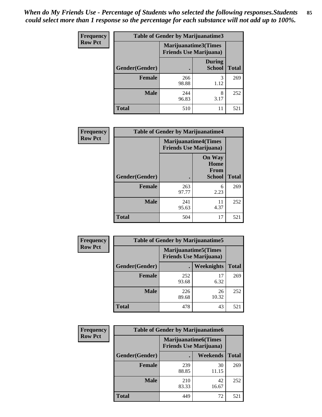*When do My Friends Use - Percentage of Students who selected the following responses.Students could select more than 1 response so the percentage for each substance will not add up to 100%.* **85**

| <b>Frequency</b> | Table of Gender by Marijuanatime3 |                                                                |                                |              |
|------------------|-----------------------------------|----------------------------------------------------------------|--------------------------------|--------------|
| <b>Row Pct</b>   |                                   | <b>Marijuanatime3</b> (Times<br><b>Friends Use Marijuana</b> ) |                                |              |
|                  | Gender(Gender)                    |                                                                | <b>During</b><br><b>School</b> | <b>Total</b> |
|                  | <b>Female</b>                     | 266<br>98.88                                                   | 3<br>1.12                      | 269          |
|                  | <b>Male</b>                       | 244<br>96.83                                                   | 8<br>3.17                      | 252          |
|                  | <b>Total</b>                      | 510                                                            | 11                             | 521          |

| Frequency      | <b>Table of Gender by Marijuanatime4</b> |                                                               |                                                |              |
|----------------|------------------------------------------|---------------------------------------------------------------|------------------------------------------------|--------------|
| <b>Row Pct</b> |                                          | <b>Marijuanatime4(Times</b><br><b>Friends Use Marijuana</b> ) |                                                |              |
|                | Gender(Gender)                           |                                                               | <b>On Way</b><br>Home<br>From<br><b>School</b> | <b>Total</b> |
|                | <b>Female</b>                            | 263<br>97.77                                                  | 6<br>2.23                                      | 269          |
|                | <b>Male</b>                              | 241<br>95.63                                                  | 11<br>4.37                                     | 252          |
|                | <b>Total</b>                             | 504                                                           | 17                                             | 521          |

| Frequency      | <b>Table of Gender by Marijuanatime5</b> |                |                                                                |              |
|----------------|------------------------------------------|----------------|----------------------------------------------------------------|--------------|
| <b>Row Pct</b> |                                          |                | <b>Marijuanatime5</b> (Times<br><b>Friends Use Marijuana</b> ) |              |
|                | Gender(Gender)                           | $\blacksquare$ | Weeknights                                                     | <b>Total</b> |
|                | <b>Female</b>                            | 252<br>93.68   | 17<br>6.32                                                     | 269          |
|                | <b>Male</b>                              | 226<br>89.68   | 26<br>10.32                                                    | 252          |
|                | <b>Total</b>                             | 478            | 43                                                             | 521          |

| <b>Frequency</b> | <b>Table of Gender by Marijuanatime6</b> |                                                               |                 |              |
|------------------|------------------------------------------|---------------------------------------------------------------|-----------------|--------------|
| <b>Row Pct</b>   |                                          | <b>Marijuanatime6(Times</b><br><b>Friends Use Marijuana</b> ) |                 |              |
|                  | Gender(Gender)                           |                                                               | <b>Weekends</b> | <b>Total</b> |
|                  | <b>Female</b>                            | 239<br>88.85                                                  | 30<br>11.15     | 269          |
|                  | <b>Male</b>                              | 210<br>83.33                                                  | 42<br>16.67     | 252          |
|                  | <b>Total</b>                             | 449                                                           | 72              | 521          |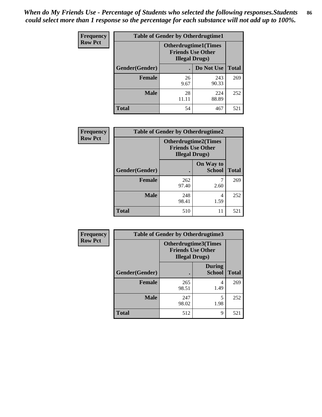| <b>Frequency</b> | <b>Table of Gender by Otherdrugtime1</b> |                                                                                    |              |              |
|------------------|------------------------------------------|------------------------------------------------------------------------------------|--------------|--------------|
| <b>Row Pct</b>   |                                          | <b>Otherdrugtime1</b> (Times<br><b>Friends Use Other</b><br><b>Illegal Drugs</b> ) |              |              |
|                  | Gender(Gender)                           |                                                                                    | Do Not Use   | <b>Total</b> |
|                  | <b>Female</b>                            | 26<br>9.67                                                                         | 243<br>90.33 | 269          |
|                  | <b>Male</b>                              | 28<br>11.11                                                                        | 224<br>88.89 | 252          |
|                  | <b>Total</b>                             | 54                                                                                 | 467          | 521          |

| Frequency      | <b>Table of Gender by Otherdrugtime2</b> |                                                                                   |                            |              |
|----------------|------------------------------------------|-----------------------------------------------------------------------------------|----------------------------|--------------|
| <b>Row Pct</b> |                                          | <b>Otherdrugtime2(Times</b><br><b>Friends Use Other</b><br><b>Illegal Drugs</b> ) |                            |              |
|                | <b>Gender</b> (Gender)                   |                                                                                   | On Way to<br><b>School</b> | <b>Total</b> |
|                | <b>Female</b>                            | 262<br>97.40                                                                      | 2.60                       | 269          |
|                | <b>Male</b>                              | 248<br>98.41                                                                      | 4<br>1.59                  | 252          |
|                | <b>Total</b>                             | 510                                                                               | 11                         | 521          |

| Frequency      | <b>Table of Gender by Otherdrugtime3</b> |                                                                            |                                |              |
|----------------|------------------------------------------|----------------------------------------------------------------------------|--------------------------------|--------------|
| <b>Row Pct</b> |                                          | Otherdrugtime3(Times<br><b>Friends Use Other</b><br><b>Illegal Drugs</b> ) |                                |              |
|                | Gender(Gender)                           |                                                                            | <b>During</b><br><b>School</b> | <b>Total</b> |
|                | <b>Female</b>                            | 265<br>98.51                                                               | 4<br>1.49                      | 269          |
|                | <b>Male</b>                              | 247<br>98.02                                                               | 5<br>1.98                      | 252          |
|                | <b>Total</b>                             | 512                                                                        | 9                              | 521          |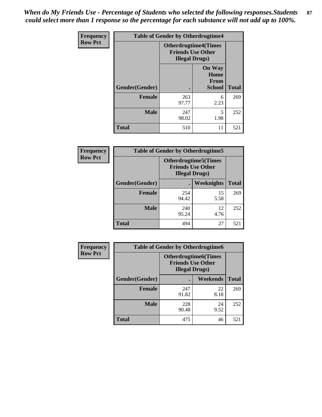*When do My Friends Use - Percentage of Students who selected the following responses.Students could select more than 1 response so the percentage for each substance will not add up to 100%.* **87**

| <b>Frequency</b> |                |                        | <b>Table of Gender by Otherdrugtime4</b>                |              |  |
|------------------|----------------|------------------------|---------------------------------------------------------|--------------|--|
| <b>Row Pct</b>   |                | <b>Illegal Drugs</b> ) | <b>Otherdrugtime4(Times</b><br><b>Friends Use Other</b> |              |  |
|                  | Gender(Gender) |                        | <b>On Way</b><br>Home<br><b>From</b><br><b>School</b>   | <b>Total</b> |  |
|                  | <b>Female</b>  | 263<br>97.77           | 6<br>2.23                                               | 269          |  |
|                  | <b>Male</b>    | 247<br>98.02           | 5<br>1.98                                               | 252          |  |
|                  | <b>Total</b>   | 510                    | 11                                                      | 521          |  |

| Frequency      | <b>Table of Gender by Otherdrugtime5</b> |                                                                                    |            |              |
|----------------|------------------------------------------|------------------------------------------------------------------------------------|------------|--------------|
| <b>Row Pct</b> |                                          | <b>Otherdrugtime5</b> (Times<br><b>Friends Use Other</b><br><b>Illegal Drugs</b> ) |            |              |
|                | Gender(Gender)                           |                                                                                    | Weeknights | <b>Total</b> |
|                | <b>Female</b>                            | 254<br>94.42                                                                       | 15<br>5.58 | 269          |
|                | <b>Male</b>                              | 240<br>95.24                                                                       | 12<br>4.76 | 252          |
|                | <b>Total</b>                             | 494                                                                                | 27         | 521          |

| <b>Frequency</b> | <b>Table of Gender by Otherdrugtime6</b> |                                                                                   |            |              |
|------------------|------------------------------------------|-----------------------------------------------------------------------------------|------------|--------------|
| <b>Row Pct</b>   |                                          | <b>Otherdrugtime6(Times</b><br><b>Friends Use Other</b><br><b>Illegal Drugs</b> ) |            |              |
|                  | Gender(Gender)                           |                                                                                   | Weekends   | <b>Total</b> |
|                  | <b>Female</b>                            | 247<br>91.82                                                                      | 22<br>8.18 | 269          |
|                  | <b>Male</b>                              | 228<br>90.48                                                                      | 24<br>9.52 | 252          |
|                  | <b>Total</b>                             | 475                                                                               | 46         | 521          |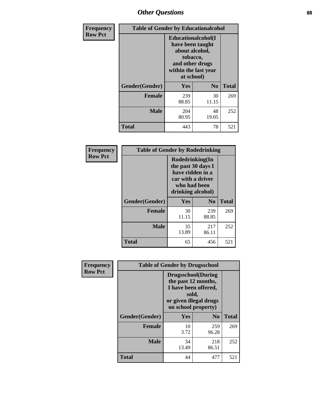### *Other Questions* **88**

| <b>Frequency</b> | <b>Table of Gender by Educationalcohol</b> |                                                                                                                                       |                |              |
|------------------|--------------------------------------------|---------------------------------------------------------------------------------------------------------------------------------------|----------------|--------------|
| <b>Row Pct</b>   |                                            | <b>Educationalcohol</b> (I<br>have been taught<br>about alcohol,<br>tobacco,<br>and other drugs<br>within the last year<br>at school) |                |              |
|                  | Gender(Gender)                             | <b>Yes</b>                                                                                                                            | N <sub>0</sub> | <b>Total</b> |
|                  | <b>Female</b>                              | 239<br>88.85                                                                                                                          | 30<br>11.15    | 269          |
|                  | <b>Male</b>                                | 204<br>80.95                                                                                                                          | 48<br>19.05    | 252          |
|                  | <b>Total</b>                               | 443                                                                                                                                   | 78             | 521          |

| Frequency      | <b>Table of Gender by Rodedrinking</b> |                                                                                                                     |                |              |
|----------------|----------------------------------------|---------------------------------------------------------------------------------------------------------------------|----------------|--------------|
| <b>Row Pct</b> |                                        | Rodedrinking(In<br>the past 30 days I<br>have ridden in a<br>car with a driver<br>who had been<br>drinking alcohol) |                |              |
|                | Gender(Gender)                         | Yes                                                                                                                 | N <sub>0</sub> | <b>Total</b> |
|                | <b>Female</b>                          | 30<br>11.15                                                                                                         | 239<br>88.85   | 269          |
|                | <b>Male</b>                            | 35<br>13.89                                                                                                         | 217<br>86.11   | 252          |
|                | <b>Total</b>                           | 65                                                                                                                  | 456            | 521          |

| Frequency      |                | <b>Table of Gender by Drugsschool</b>                                                                                               |                |              |
|----------------|----------------|-------------------------------------------------------------------------------------------------------------------------------------|----------------|--------------|
| <b>Row Pct</b> |                | <b>Drugsschool</b> (During<br>the past 12 months,<br>I have been offered,<br>sold,<br>or given illegal drugs<br>on school property) |                |              |
|                | Gender(Gender) | Yes                                                                                                                                 | N <sub>0</sub> | <b>Total</b> |
|                | <b>Female</b>  | 10<br>3.72                                                                                                                          | 259<br>96.28   | 269          |
|                | <b>Male</b>    | 34<br>13.49                                                                                                                         | 218<br>86.51   | 252          |
|                | <b>Total</b>   | 44                                                                                                                                  | 477            | 521          |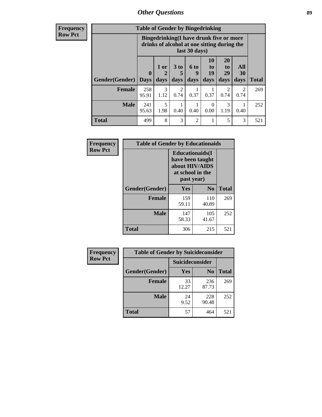### *Other Questions* **89**

**Frequency Row Pct**

| <b>Table of Gender by Bingedrinking</b> |                             |                                                                                                         |                   |                   |                               |                               |                          |              |
|-----------------------------------------|-----------------------------|---------------------------------------------------------------------------------------------------------|-------------------|-------------------|-------------------------------|-------------------------------|--------------------------|--------------|
|                                         |                             | Bingedrinking(I have drunk five or more<br>drinks of alcohol at one sitting during the<br>last 30 days) |                   |                   |                               |                               |                          |              |
| <b>Gender</b> (Gender)                  | $\mathbf{0}$<br><b>Days</b> | 1 or<br>days                                                                                            | 3 to<br>5<br>days | 6 to<br>q<br>days | <b>10</b><br>to<br>19<br>days | <b>20</b><br>to<br>29<br>days | All<br><b>30</b><br>days | <b>Total</b> |
| Female                                  | 258                         | 3                                                                                                       | 2                 |                   |                               | 2                             | 2                        | 269          |
|                                         | 95.91                       | 1.12                                                                                                    | 0.74              | 0.37              | 0.37                          | 0.74                          | 0.74                     |              |
| <b>Male</b>                             | 241<br>95.63                | 5<br>1.98                                                                                               | 0.40              | 0.40              | 0<br>0.00                     | 3<br>1.19                     | 0.40                     | 252          |

| Frequency      | <b>Table of Gender by Educationaids</b> |                                                                                                 |                |              |
|----------------|-----------------------------------------|-------------------------------------------------------------------------------------------------|----------------|--------------|
| <b>Row Pct</b> |                                         | <b>Educationaids</b> (I<br>have been taught<br>about HIV/AIDS<br>at school in the<br>past year) |                |              |
|                | Gender(Gender)                          | Yes                                                                                             | $\mathbf{N_0}$ | <b>Total</b> |
|                | <b>Female</b>                           | 159<br>59.11                                                                                    | 110<br>40.89   | 269          |
|                | <b>Male</b>                             | 147<br>58.33                                                                                    | 105<br>41.67   | 252          |
|                | <b>Total</b>                            | 306                                                                                             | 215            | 521          |

| <b>Frequency</b> | <b>Table of Gender by Suicideconsider</b> |                 |                |              |
|------------------|-------------------------------------------|-----------------|----------------|--------------|
| <b>Row Pct</b>   |                                           | Suicideconsider |                |              |
|                  | Gender(Gender)                            | <b>Yes</b>      | N <sub>0</sub> | <b>Total</b> |
|                  | <b>Female</b>                             | 33<br>12.27     | 236<br>87.73   | 269          |
|                  | <b>Male</b>                               | 24<br>9.52      | 228<br>90.48   | 252          |
|                  | Total                                     | 57              | 464            | 521          |